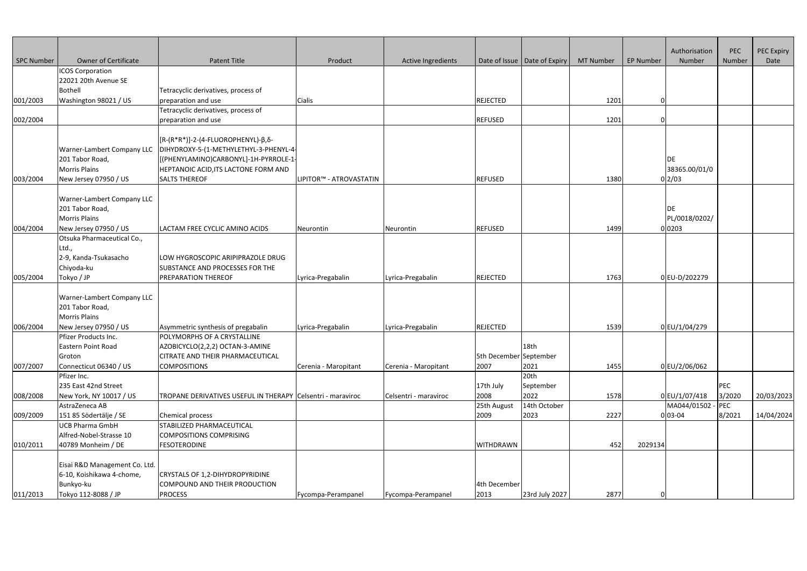|            |                                         |                                                                                |                         |                           |                        |                                |                  |                  | Authorisation       | PEC    | PEC Expiry |
|------------|-----------------------------------------|--------------------------------------------------------------------------------|-------------------------|---------------------------|------------------------|--------------------------------|------------------|------------------|---------------------|--------|------------|
| SPC Number | <b>Owner of Certificate</b>             | <b>Patent Title</b>                                                            | Product                 | <b>Active Ingredients</b> |                        | Date of Issue   Date of Expiry | <b>MT Number</b> | <b>EP Number</b> | Number              | Number | Date       |
|            | <b>ICOS Corporation</b>                 |                                                                                |                         |                           |                        |                                |                  |                  |                     |        |            |
|            | 22021 20th Avenue SE                    |                                                                                |                         |                           |                        |                                |                  |                  |                     |        |            |
|            | <b>Bothell</b>                          | Tetracyclic derivatives, process of                                            |                         |                           |                        |                                |                  |                  |                     |        |            |
| 001/2003   | Washington 98021 / US                   | preparation and use                                                            | Cialis                  |                           | <b>REJECTED</b>        |                                | 1201             |                  |                     |        |            |
|            |                                         | Tetracyclic derivatives, process of                                            |                         |                           |                        |                                |                  |                  |                     |        |            |
| 002/2004   |                                         | preparation and use                                                            |                         |                           | <b>REFUSED</b>         |                                | 1201             |                  |                     |        |            |
|            |                                         | $\left[\left[R-(R^*R^*)\right]-2-(4-FLUOROPHENYL)-\beta,\delta-\right]$        |                         |                           |                        |                                |                  |                  |                     |        |            |
|            | Warner-Lambert Company LLC              | DIHYDROXY-5-(1-METHYLETHYL-3-PHENYL-4                                          |                         |                           |                        |                                |                  |                  |                     |        |            |
|            | 201 Tabor Road,<br><b>Morris Plains</b> | [[(PHENYLAMINO)CARBONYL]-1H-PYRROLE-1-<br>HEPTANOIC ACID, ITS LACTONE FORM AND |                         |                           |                        |                                |                  |                  | DE<br>38365.00/01/0 |        |            |
| 003/2004   | New Jersey 07950 / US                   | <b>SALTS THEREOF</b>                                                           | LIPITOR™ - ATROVASTATIN |                           | <b>REFUSED</b>         |                                | 1380             |                  | 0 2/03              |        |            |
|            |                                         |                                                                                |                         |                           |                        |                                |                  |                  |                     |        |            |
|            | Warner-Lambert Company LLC              |                                                                                |                         |                           |                        |                                |                  |                  |                     |        |            |
|            | 201 Tabor Road,                         |                                                                                |                         |                           |                        |                                |                  |                  | DE                  |        |            |
|            | <b>Morris Plains</b>                    |                                                                                |                         |                           |                        |                                |                  |                  | PL/0018/0202/       |        |            |
| 004/2004   | New Jersey 07950 / US                   | LACTAM FREE CYCLIC AMINO ACIDS                                                 | Neurontin               | Neurontin                 | <b>REFUSED</b>         |                                | 1499             |                  | 0 0203              |        |            |
|            | Otsuka Pharmaceutical Co.,              |                                                                                |                         |                           |                        |                                |                  |                  |                     |        |            |
|            | Ltd.,                                   |                                                                                |                         |                           |                        |                                |                  |                  |                     |        |            |
|            | 2-9, Kanda-Tsukasacho                   | LOW HYGROSCOPIC ARIPIPRAZOLE DRUG                                              |                         |                           |                        |                                |                  |                  |                     |        |            |
|            | Chiyoda-ku                              | SUBSTANCE AND PROCESSES FOR THE                                                |                         |                           |                        |                                |                  |                  |                     |        |            |
| 005/2004   | Tokyo / JP                              | <b>PREPARATION THEREOF</b>                                                     | Lyrica-Pregabalin       | Lyrica-Pregabalin         | REJECTED               |                                | 1763             |                  | 0EU-D/202279        |        |            |
|            |                                         |                                                                                |                         |                           |                        |                                |                  |                  |                     |        |            |
|            | Warner-Lambert Company LLC              |                                                                                |                         |                           |                        |                                |                  |                  |                     |        |            |
|            | 201 Tabor Road,                         |                                                                                |                         |                           |                        |                                |                  |                  |                     |        |            |
|            | <b>Morris Plains</b>                    |                                                                                |                         |                           |                        |                                |                  |                  |                     |        |            |
| 006/2004   | New Jersey 07950 / US                   | Asymmetric synthesis of pregabalin                                             | Lyrica-Pregabalin       | Lyrica-Pregabalin         | REJECTED               |                                | 1539             |                  | 0 EU/1/04/279       |        |            |
|            | Pfizer Products Inc.                    | POLYMORPHS OF A CRYSTALLINE                                                    |                         |                           |                        |                                |                  |                  |                     |        |            |
|            | Eastern Point Road                      | AZOBICYCLO(2,2,2) OCTAN-3-AMINE                                                |                         |                           |                        | 18th                           |                  |                  |                     |        |            |
|            | Groton                                  | <b>CITRATE AND THEIR PHARMACEUTICAL</b>                                        |                         |                           | 5th December September |                                |                  |                  |                     |        |            |
| 007/2007   | Connecticut 06340 / US                  | <b>COMPOSITIONS</b>                                                            | Cerenia - Maropitant    | Cerenia - Maropitant      | 2007                   | 2021                           | 1455             |                  | 0 EU/2/06/062       |        |            |
|            | Pfizer Inc.                             |                                                                                |                         |                           |                        | 20th                           |                  |                  |                     |        |            |
|            | 235 East 42nd Street                    |                                                                                |                         |                           | 17th July              | September                      |                  |                  |                     | PEC    |            |
| 008/2008   | New York, NY 10017 / US                 | TROPANE DERIVATIVES USEFUL IN THERAPY Celsentri - maraviroc                    |                         | Celsentri - maraviroc     | 2008                   | 2022                           | 1578             |                  | 0 EU/1/07/418       | 3/2020 | 20/03/2023 |
|            | AstraZeneca AB                          |                                                                                |                         |                           | 25th August            | 14th October                   |                  |                  | MA044/01502 -       | PEC    |            |
| 009/2009   | 151 85 Södertälje / SE                  | Chemical process                                                               |                         |                           | 2009                   | 2023                           | 2227             |                  | $0 03-04$           | 8/2021 | 14/04/2024 |
|            | <b>UCB Pharma GmbH</b>                  | STABILIZED PHARMACEUTICAL                                                      |                         |                           |                        |                                |                  |                  |                     |        |            |
|            | Alfred-Nobel-Strasse 10                 | COMPOSITIONS COMPRISING                                                        |                         |                           |                        |                                |                  |                  |                     |        |            |
| 010/2011   | 40789 Monheim / DE                      | <b>FESOTERODINE</b>                                                            |                         |                           | <b>WITHDRAWN</b>       |                                | 452              | 2029134          |                     |        |            |
|            |                                         |                                                                                |                         |                           |                        |                                |                  |                  |                     |        |            |
|            | Eisai R&D Management Co. Ltd.           |                                                                                |                         |                           |                        |                                |                  |                  |                     |        |            |
|            | 6-10, Koishikawa 4-chome,               | CRYSTALS OF 1,2-DIHYDROPYRIDINE                                                |                         |                           |                        |                                |                  |                  |                     |        |            |
|            | Bunkyo-ku                               | COMPOUND AND THEIR PRODUCTION                                                  |                         |                           | 4th December           |                                |                  |                  |                     |        |            |
| 011/2013   | Tokyo 112-8088 / JP                     | <b>PROCESS</b>                                                                 | Fycompa-Perampanel      | Fycompa-Perampanel        | 2013                   | 23rd July 2027                 | 2877             |                  |                     |        |            |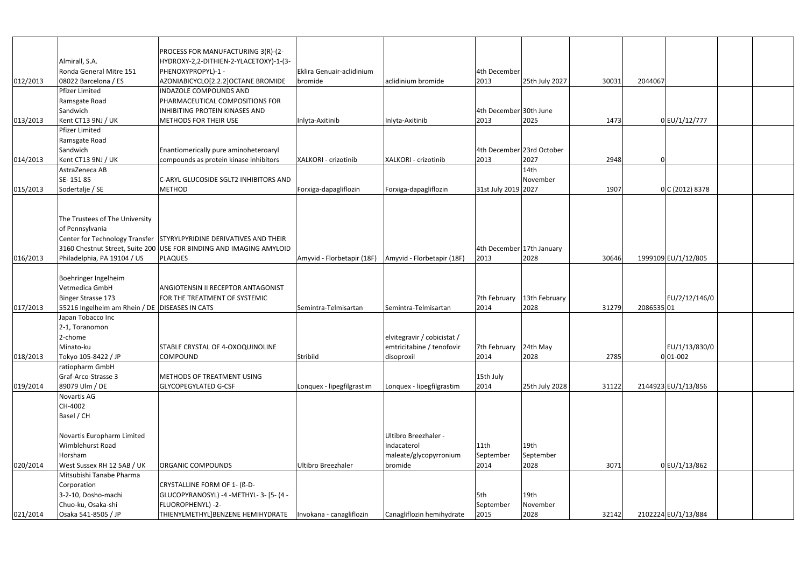|          |                                                  | PROCESS FOR MANUFACTURING 3(R)-(2-                                  |                            |                             |                           |                  |       |           |                     |  |
|----------|--------------------------------------------------|---------------------------------------------------------------------|----------------------------|-----------------------------|---------------------------|------------------|-------|-----------|---------------------|--|
|          | Almirall, S.A.                                   | HYDROXY-2,2-DITHIEN-2-YLACETOXY)-1-(3-                              |                            |                             |                           |                  |       |           |                     |  |
|          | Ronda General Mitre 151                          | PHENOXYPROPYL)-1 -                                                  | Eklira Genuair-aclidinium  |                             | 4th December              |                  |       |           |                     |  |
| 012/2013 | 08022 Barcelona / ES                             | AZONIABICYCLO[2.2.2]OCTANE BROMIDE                                  | bromide                    | aclidinium bromide          | 2013                      | 25th July 2027   | 30031 | 2044067   |                     |  |
|          | <b>Pfizer Limited</b>                            | <b>INDAZOLE COMPOUNDS AND</b>                                       |                            |                             |                           |                  |       |           |                     |  |
|          | Ramsgate Road                                    | <b>PHARMACEUTICAL COMPOSITIONS FOR</b>                              |                            |                             |                           |                  |       |           |                     |  |
|          | Sandwich                                         | <b>INHIBITING PROTEIN KINASES AND</b>                               |                            |                             | 4th December 30th June    |                  |       |           |                     |  |
| 013/2013 | Kent CT13 9NJ / UK                               | METHODS FOR THEIR USE                                               | Inlyta-Axitinib            | Inlyta-Axitinib             | 2013                      | 2025             | 1473  |           | 0 EU/1/12/777       |  |
|          | <b>Pfizer Limited</b>                            |                                                                     |                            |                             |                           |                  |       |           |                     |  |
|          | Ramsgate Road                                    |                                                                     |                            |                             |                           |                  |       |           |                     |  |
|          | Sandwich                                         | Enantiomerically pure aminoheteroaryl                               |                            |                             | 4th December 23rd October |                  |       |           |                     |  |
| 014/2013 | Kent CT13 9NJ / UK                               | compounds as protein kinase inhibitors                              | XALKORI - crizotinib       | XALKORI - crizotinib        | 2013                      | 2027             | 2948  |           |                     |  |
|          | AstraZeneca AB                                   |                                                                     |                            |                             |                           | 14 <sub>th</sub> |       |           |                     |  |
|          | SE-15185                                         | C-ARYL GLUCOSIDE SGLT2 INHIBITORS AND                               |                            |                             |                           | November         |       |           |                     |  |
| 015/2013 | Sodertalje / SE                                  | <b>METHOD</b>                                                       | Forxiga-dapagliflozin      | Forxiga-dapagliflozin       | 31st July 2019 2027       |                  | 1907  |           | 0 C(2012)8378       |  |
|          |                                                  |                                                                     |                            |                             |                           |                  |       |           |                     |  |
|          |                                                  |                                                                     |                            |                             |                           |                  |       |           |                     |  |
|          | The Trustees of The University                   |                                                                     |                            |                             |                           |                  |       |           |                     |  |
|          | of Pennsylvania                                  |                                                                     |                            |                             |                           |                  |       |           |                     |  |
|          |                                                  | Center for Technology Transfer STYRYLPYRIDINE DERIVATIVES AND THEIR |                            |                             |                           |                  |       |           |                     |  |
|          |                                                  | 3160 Chestnut Street, Suite 200 USE FOR BINDING AND IMAGING AMYLOID |                            |                             | 4th December 17th January |                  |       |           |                     |  |
| 016/2013 | Philadelphia, PA 19104 / US                      | <b>PLAQUES</b>                                                      | Amyvid - Florbetapir (18F) | Amyvid - Florbetapir (18F)  | 2013                      | 2028             | 30646 |           | 1999109 EU/1/12/805 |  |
|          |                                                  |                                                                     |                            |                             |                           |                  |       |           |                     |  |
|          | Boehringer Ingelheim                             |                                                                     |                            |                             |                           |                  |       |           |                     |  |
|          | Vetmedica GmbH                                   | <b>ANGIOTENSIN II RECEPTOR ANTAGONIST</b>                           |                            |                             |                           |                  |       |           |                     |  |
|          | <b>Binger Strasse 173</b>                        | FOR THE TREATMENT OF SYSTEMIC                                       |                            |                             | 7th February              | 13th February    |       |           | EU/2/12/146/0       |  |
| 017/2013 | 55216 Ingelheim am Rhein / DE   DISEASES IN CATS |                                                                     | Semintra-Telmisartan       | Semintra-Telmisartan        | 2014                      | 2028             | 31279 | 208653501 |                     |  |
|          | Japan Tobacco Inc                                |                                                                     |                            |                             |                           |                  |       |           |                     |  |
|          | 2-1, Toranomon                                   |                                                                     |                            |                             |                           |                  |       |           |                     |  |
|          | 2-chome                                          |                                                                     |                            | elvitegravir / cobicistat / |                           |                  |       |           |                     |  |
|          | Minato-ku                                        | STABLE CRYSTAL OF 4-OXOQUINOLINE                                    |                            | emtricitabine / tenofovir   | 7th February              | 24th May         |       |           | EU/1/13/830/0       |  |
| 018/2013 | Tokyo 105-8422 / JP                              | <b>COMPOUND</b>                                                     | Stribild                   | disoproxil                  | 2014                      | 2028             | 2785  |           | $0 01-002$          |  |
|          | ratiopharm GmbH                                  |                                                                     |                            |                             |                           |                  |       |           |                     |  |
|          | Graf-Arco-Strasse 3                              | METHODS OF TREATMENT USING                                          |                            |                             | 15th July                 |                  |       |           |                     |  |
| 019/2014 | 89079 Ulm / DE                                   | <b>GLYCOPEGYLATED G-CSF</b>                                         | Lonquex - lipegfilgrastim  | Lonquex - lipegfilgrastim   | 2014                      | 25th July 2028   | 31122 |           | 2144923 EU/1/13/856 |  |
|          | <b>Novartis AG</b>                               |                                                                     |                            |                             |                           |                  |       |           |                     |  |
|          | CH-4002                                          |                                                                     |                            |                             |                           |                  |       |           |                     |  |
|          | Basel / CH                                       |                                                                     |                            |                             |                           |                  |       |           |                     |  |
|          |                                                  |                                                                     |                            |                             |                           |                  |       |           |                     |  |
|          | Novartis Europharm Limited                       |                                                                     |                            | Ultibro Breezhaler -        |                           |                  |       |           |                     |  |
|          | Wimblehurst Road                                 |                                                                     |                            | Indacaterol                 | 11th                      | 19th             |       |           |                     |  |
|          | Horsham                                          |                                                                     |                            | maleate/glycopyrronium      | September                 | September        |       |           |                     |  |
| 020/2014 | West Sussex RH 12 5AB / UK                       | <b>ORGANIC COMPOUNDS</b>                                            | Ultibro Breezhaler         | bromide                     | 2014                      | 2028             | 3071  |           | 0 EU/1/13/862       |  |
|          | Mitsubishi Tanabe Pharma                         |                                                                     |                            |                             |                           |                  |       |           |                     |  |
|          |                                                  |                                                                     |                            |                             |                           |                  |       |           |                     |  |
|          | Corporation                                      | CRYSTALLINE FORM OF 1- (ß-D-                                        |                            |                             |                           | 19th             |       |           |                     |  |
|          | 3-2-10, Dosho-machi                              | GLUCOPYRANOSYL) -4 -METHYL- 3- [5- (4 -                             |                            |                             | l5th                      |                  |       |           |                     |  |
|          | Chuo-ku, Osaka-shi                               | FLUOROPHENYL) -2-                                                   |                            |                             | September                 | November         |       |           |                     |  |
| 021/2014 | Osaka 541-8505 / JP                              | THIENYLMETHYL]BENZENE HEMIHYDRATE   Invokana - canagliflozin        |                            | Canagliflozin hemihydrate   | 2015                      | 2028             | 32142 |           | 2102224 EU/1/13/884 |  |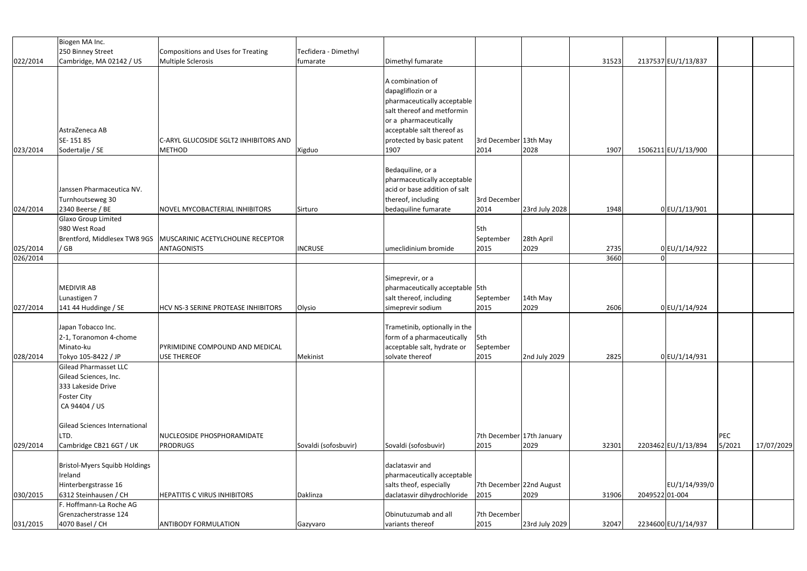|                      | Biogen MA Inc.                                                                                              |                                                                                        |                      |                                                                                                                                                                                                 |                                   |                    |              |               |                     |               |            |
|----------------------|-------------------------------------------------------------------------------------------------------------|----------------------------------------------------------------------------------------|----------------------|-------------------------------------------------------------------------------------------------------------------------------------------------------------------------------------------------|-----------------------------------|--------------------|--------------|---------------|---------------------|---------------|------------|
|                      | 250 Binney Street                                                                                           | Compositions and Uses for Treating                                                     | Tecfidera - Dimethyl |                                                                                                                                                                                                 |                                   |                    |              |               |                     |               |            |
| 022/2014             | Cambridge, MA 02142 / US                                                                                    | Multiple Sclerosis                                                                     | fumarate             | Dimethyl fumarate                                                                                                                                                                               |                                   |                    | 31523        |               | 2137537 EU/1/13/837 |               |            |
| 023/2014             | AstraZeneca AB<br>SE-15185<br>Sodertalje / SE                                                               | C-ARYL GLUCOSIDE SGLT2 INHIBITORS AND<br><b>METHOD</b>                                 | Xigduo               | A combination of<br>dapagliflozin or a<br>pharmaceutically acceptable<br>salt thereof and metformin<br>or a pharmaceutically<br>acceptable salt thereof as<br>protected by basic patent<br>1907 | 3rd December 13th May<br>2014     | 2028               | 1907         |               | 1506211 EU/1/13/900 |               |            |
|                      |                                                                                                             |                                                                                        |                      |                                                                                                                                                                                                 |                                   |                    |              |               |                     |               |            |
| 024/2014             | Janssen Pharmaceutica NV.<br>Turnhoutseweg 30<br>2340 Beerse / BE                                           | NOVEL MYCOBACTERIAL INHIBITORS                                                         | Sirturo              | Bedaquiline, or a<br>pharmaceutically acceptable<br>acid or base addition of salt<br>thereof, including<br>bedaquiline fumarate                                                                 | 3rd December<br>2014              | 23rd July 2028     | 1948         |               | 0 EU/1/13/901       |               |            |
|                      | Glaxo Group Limited<br>980 West Road<br>/GB                                                                 | Brentford, Middlesex TW8 9GS   MUSCARINIC ACETYLCHOLINE RECEPTOR<br><b>ANTAGONISTS</b> | <b>INCRUSE</b>       | umeclidinium bromide                                                                                                                                                                            | 5th<br>September<br>2015          | 28th April<br>2029 |              |               |                     |               |            |
| 025/2014<br>026/2014 |                                                                                                             |                                                                                        |                      |                                                                                                                                                                                                 |                                   |                    | 2735<br>3660 |               | 0 EU/1/14/922       |               |            |
|                      |                                                                                                             |                                                                                        |                      |                                                                                                                                                                                                 |                                   |                    |              |               |                     |               |            |
| 027/2014             | MEDIVIR AB<br>Lunastigen 7<br>141 44 Huddinge / SE                                                          | HCV NS-3 SERINE PROTEASE INHIBITORS                                                    | Olysio               | Simeprevir, or a<br>pharmaceutically acceptable 5th<br>salt thereof, including<br>simeprevir sodium                                                                                             | September<br>2015                 | 14th May<br>2029   | 2606         |               | 0 EU/1/14/924       |               |            |
| 028/2014             | Japan Tobacco Inc.<br>2-1, Toranomon 4-chome<br>Minato-ku<br>Tokyo 105-8422 / JP                            | PYRIMIDINE COMPOUND AND MEDICAL<br><b>USE THEREOF</b>                                  | Mekinist             | Trametinib, optionally in the<br>form of a pharmaceutically $\left  \right $ 5th<br>acceptable salt, hydrate or<br>solvate thereof                                                              | September<br>2015                 | 2nd July 2029      | 2825         |               | 0 EU/1/14/931       |               |            |
|                      | Gilead Pharmasset LLC<br>Gilead Sciences, Inc.<br>333 Lakeside Drive<br><b>Foster City</b><br>CA 94404 / US |                                                                                        |                      |                                                                                                                                                                                                 |                                   |                    |              |               |                     |               |            |
| 029/2014             | Gilead Sciences International<br>LTD.<br>Cambridge CB21 6GT / UK                                            | NUCLEOSIDE PHOSPHORAMIDATE<br><b>PRODRUGS</b>                                          | Sovaldi (sofosbuvir) | Sovaldi (sofosbuvir)                                                                                                                                                                            | 7th December 17th January<br>2015 | 2029               | 32301        |               | 2203462 EU/1/13/894 | PEC<br>5/2021 | 17/07/2029 |
| 030/2015             | <b>Bristol-Myers Squibb Holdings</b><br>Ireland<br>Hinterbergstrasse 16<br>6312 Steinhausen / CH            | <b>HEPATITIS C VIRUS INHIBITORS</b>                                                    | Daklinza             | daclatasvir and<br>pharmaceutically acceptable<br>salts theof, especially<br>daclatasvir dihydrochloride                                                                                        | 7th December 22nd August<br>2015  | 2029               | 31906        | 204952201-004 | EU/1/14/939/0       |               |            |
|                      | . Hoffmann-La Roche AG                                                                                      |                                                                                        |                      |                                                                                                                                                                                                 |                                   |                    |              |               |                     |               |            |
| 031/2015             | Grenzacherstrasse 124<br>4070 Basel / CH                                                                    | <b>ANTIBODY FORMULATION</b>                                                            | Gazyvaro             | Obinutuzumab and all<br>variants thereof                                                                                                                                                        | 7th December<br>2015              | 23rd July 2029     | 32047        |               | 2234600 EU/1/14/937 |               |            |
|                      |                                                                                                             |                                                                                        |                      |                                                                                                                                                                                                 |                                   |                    |              |               |                     |               |            |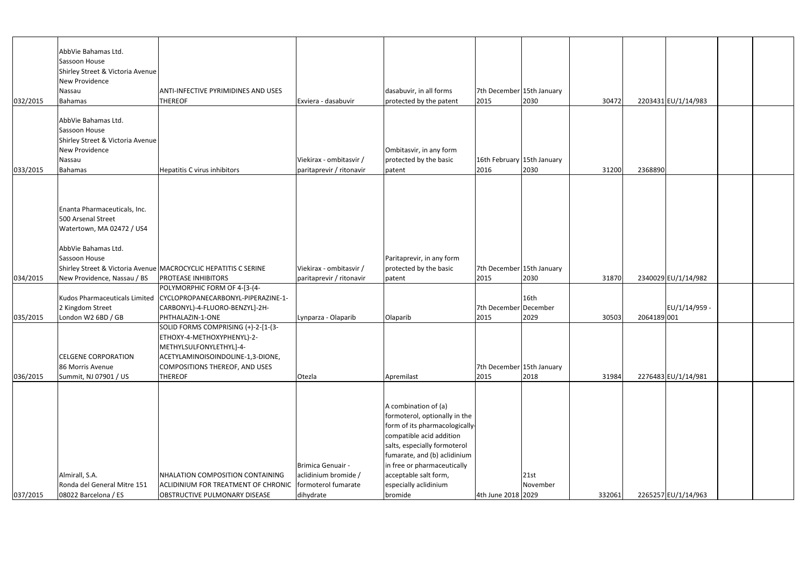|          | AbbVie Bahamas Ltd.              |                                                                    |                          |                               |                            |          |        |            |                     |  |
|----------|----------------------------------|--------------------------------------------------------------------|--------------------------|-------------------------------|----------------------------|----------|--------|------------|---------------------|--|
|          | Sassoon House                    |                                                                    |                          |                               |                            |          |        |            |                     |  |
|          | Shirley Street & Victoria Avenue |                                                                    |                          |                               |                            |          |        |            |                     |  |
|          | New Providence                   |                                                                    |                          |                               |                            |          |        |            |                     |  |
|          | Nassau                           | <b>ANTI-INFECTIVE PYRIMIDINES AND USES</b>                         |                          | dasabuvir, in all forms       | 7th December 15th January  |          |        |            |                     |  |
| 032/2015 | Bahamas                          | <b>THEREOF</b>                                                     | Exviera - dasabuvir      | protected by the patent       | 2015                       | 2030     | 30472  |            | 2203431 EU/1/14/983 |  |
|          |                                  |                                                                    |                          |                               |                            |          |        |            |                     |  |
|          | AbbVie Bahamas Ltd.              |                                                                    |                          |                               |                            |          |        |            |                     |  |
|          | Sassoon House                    |                                                                    |                          |                               |                            |          |        |            |                     |  |
|          | Shirley Street & Victoria Avenue |                                                                    |                          |                               |                            |          |        |            |                     |  |
|          | New Providence                   |                                                                    |                          | Ombitasvir, in any form       |                            |          |        |            |                     |  |
|          | Nassau                           |                                                                    | Viekirax - ombitasvir /  | protected by the basic        | 16th February 15th January |          |        |            |                     |  |
| 033/2015 | Bahamas                          | <b>Hepatitis C virus inhibitors</b>                                | paritaprevir / ritonavir | patent                        | 2016                       | 2030     | 31200  | 2368890    |                     |  |
|          |                                  |                                                                    |                          |                               |                            |          |        |            |                     |  |
|          |                                  |                                                                    |                          |                               |                            |          |        |            |                     |  |
|          |                                  |                                                                    |                          |                               |                            |          |        |            |                     |  |
|          |                                  |                                                                    |                          |                               |                            |          |        |            |                     |  |
|          | Enanta Pharmaceuticals, Inc.     |                                                                    |                          |                               |                            |          |        |            |                     |  |
|          | 500 Arsenal Street               |                                                                    |                          |                               |                            |          |        |            |                     |  |
|          | Watertown, MA 02472 / US4        |                                                                    |                          |                               |                            |          |        |            |                     |  |
|          |                                  |                                                                    |                          |                               |                            |          |        |            |                     |  |
|          | AbbVie Bahamas Ltd.              |                                                                    |                          |                               |                            |          |        |            |                     |  |
|          | Sassoon House                    |                                                                    |                          | Paritaprevir, in any form     |                            |          |        |            |                     |  |
|          |                                  | Shirley Street & Victoria Avenue MACROCYCLIC HEPATITIS C SERINE    | Viekirax - ombitasvir /  | protected by the basic        | 7th December 15th January  |          |        |            |                     |  |
| 034/2015 | New Providence, Nassau / BS      | <b>PROTEASE INHIBITORS</b>                                         | paritaprevir / ritonavir | patent                        | 2015                       | 2030     | 31870  |            | 2340029 EU/1/14/982 |  |
|          |                                  | POLYMORPHIC FORM OF 4-[3-(4-                                       |                          |                               |                            |          |        |            |                     |  |
|          |                                  | Kudos Pharmaceuticals Limited   CYCLOPROPANECARBONYL-PIPERAZINE-1- |                          |                               |                            | 16th     |        |            |                     |  |
|          | 2 Kingdom Street                 | CARBONYL)-4-FLUORO-BENZYL]-2H-                                     |                          |                               | 7th December December      |          |        |            | EU/1/14/959 -       |  |
| 035/2015 | London W2 6BD / GB               | PHTHALAZIN-1-ONE                                                   | Lynparza - Olaparib      | Olaparib                      | 2015                       | 2029     | 30503  | 2064189001 |                     |  |
|          |                                  | SOLID FORMS COMPRISING (+)-2-[1-(3-                                |                          |                               |                            |          |        |            |                     |  |
|          |                                  | ETHOXY-4-METHOXYPHENYL)-2-                                         |                          |                               |                            |          |        |            |                     |  |
|          |                                  |                                                                    |                          |                               |                            |          |        |            |                     |  |
|          |                                  | METHYLSULFONYLETHYL]-4-                                            |                          |                               |                            |          |        |            |                     |  |
|          | <b>CELGENE CORPORATION</b>       | ACETYLAMINOISOINDOLINE-1,3-DIONE,                                  |                          |                               |                            |          |        |            |                     |  |
|          | 86 Morris Avenue                 | COMPOSITIONS THEREOF, AND USES                                     |                          |                               | 7th December 15th January  |          |        |            |                     |  |
| 036/2015 | Summit, NJ 07901 / US            | <b>THEREOF</b>                                                     | Otezla                   | Apremilast                    | 2015                       | 2018     | 31984  |            | 2276483 EU/1/14/981 |  |
|          |                                  |                                                                    |                          |                               |                            |          |        |            |                     |  |
|          |                                  |                                                                    |                          |                               |                            |          |        |            |                     |  |
|          |                                  |                                                                    |                          | A combination of (a)          |                            |          |        |            |                     |  |
|          |                                  |                                                                    |                          | formoterol, optionally in the |                            |          |        |            |                     |  |
|          |                                  |                                                                    |                          | form of its pharmacologically |                            |          |        |            |                     |  |
|          |                                  |                                                                    |                          | compatible acid addition      |                            |          |        |            |                     |  |
|          |                                  |                                                                    |                          | salts, especially formoterol  |                            |          |        |            |                     |  |
|          |                                  |                                                                    |                          | fumarate, and (b) aclidinium  |                            |          |        |            |                     |  |
|          |                                  |                                                                    | Brimica Genuair -        | in free or pharmaceutically   |                            |          |        |            |                     |  |
|          | Almirall, S.A.                   | NHALATION COMPOSITION CONTAINING                                   | aclidinium bromide /     | acceptable salt form,         |                            | 21st     |        |            |                     |  |
|          | Ronda del General Mitre 151      | ACLIDINIUM FOR TREATMENT OF CHRONIC   formoterol fumarate          |                          | especially aclidinium         |                            | November |        |            |                     |  |
| 037/2015 | 08022 Barcelona / ES             | <b>OBSTRUCTIVE PULMONARY DISEASE</b>                               | dihydrate                | bromide                       | 4th June 2018 2029         |          | 332061 |            | 2265257 EU/1/14/963 |  |
|          |                                  |                                                                    |                          |                               |                            |          |        |            |                     |  |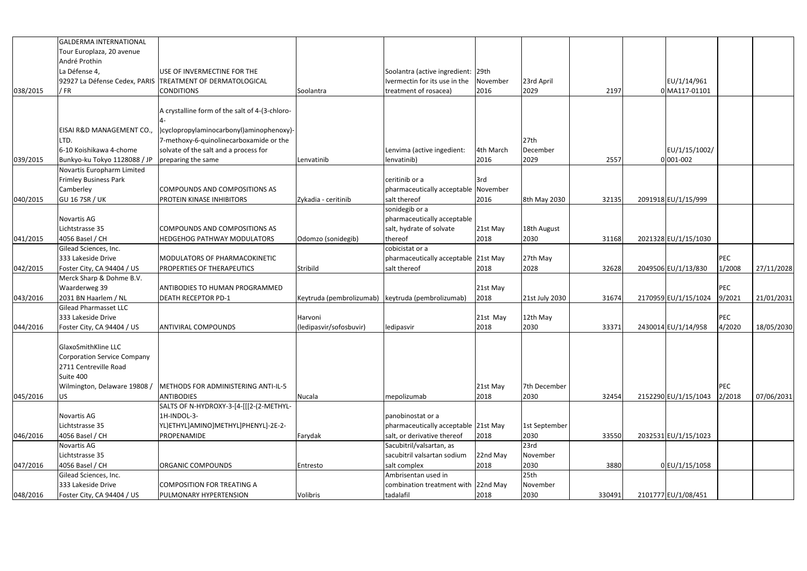|          | <b>GALDERMA INTERNATIONAL</b>      |                                                              |                                                   |                                      |           |                  |        |                      |            |            |
|----------|------------------------------------|--------------------------------------------------------------|---------------------------------------------------|--------------------------------------|-----------|------------------|--------|----------------------|------------|------------|
|          | Tour Europlaza, 20 avenue          |                                                              |                                                   |                                      |           |                  |        |                      |            |            |
|          | André Prothin                      |                                                              |                                                   |                                      |           |                  |        |                      |            |            |
|          | La Défense 4,                      | USE OF INVERMECTINE FOR THE                                  |                                                   | Soolantra (active ingredient: 29th   |           |                  |        |                      |            |            |
|          |                                    | 92927 La Défense Cedex, PARIS TREATMENT OF DERMATOLOGICAL    |                                                   | Ivermectin for its use in the        | November  | 23rd April       |        | EU/1/14/961          |            |            |
| 038/2015 | / FR                               | <b>CONDITIONS</b>                                            | Soolantra                                         | treatment of rosacea)                | 2016      | 2029             | 2197   | 0 MA117-01101        |            |            |
|          |                                    |                                                              |                                                   |                                      |           |                  |        |                      |            |            |
|          |                                    | A crystalline form of the salt of 4-(3-chloro-               |                                                   |                                      |           |                  |        |                      |            |            |
|          |                                    |                                                              |                                                   |                                      |           |                  |        |                      |            |            |
|          | EISAI R&D MANAGEMENT CO.,          | )cyclopropylaminocarbonyl)aminophenoxy)-                     |                                                   |                                      |           |                  |        |                      |            |            |
|          | LTD.                               | 7-methoxy-6-quinolinecarboxamide or the                      |                                                   |                                      |           | 27th             |        |                      |            |            |
|          | 6-10 Koishikawa 4-chome            |                                                              |                                                   |                                      |           | December         |        |                      |            |            |
|          |                                    | solvate of the salt and a process for                        |                                                   | Lenvima (active ingedient:           | 4th March |                  |        | EU/1/15/1002/        |            |            |
| 039/2015 | Bunkyo-ku Tokyo 1128088 / JP       | preparing the same                                           | Lenvatinib                                        | lenvatinib)                          | 2016      | 2029             | 2557   | $0 001-002$          |            |            |
|          | Novartis Europharm Limited         |                                                              |                                                   |                                      |           |                  |        |                      |            |            |
|          | <b>Frimley Business Park</b>       |                                                              |                                                   | ceritinib or a                       | 13rd      |                  |        |                      |            |            |
|          | Camberley                          | <b>COMPOUNDS AND COMPOSITIONS AS</b>                         |                                                   | pharmaceutically acceptable November |           |                  |        |                      |            |            |
| 040/2015 | <b>GU 16 7SR / UK</b>              | PROTEIN KINASE INHIBITORS                                    | Zykadia - ceritinib                               | salt thereof                         | 2016      | 8th May 2030     | 32135  | 2091918 EU/1/15/999  |            |            |
|          |                                    |                                                              |                                                   | sonidegib or a                       |           |                  |        |                      |            |            |
|          | Novartis AG                        |                                                              |                                                   | pharmaceutically acceptable          |           |                  |        |                      |            |            |
|          | Lichtstrasse 35                    | <b>COMPOUNDS AND COMPOSITIONS AS</b>                         |                                                   | salt, hydrate of solvate             | 21st May  | 18th August      |        |                      |            |            |
| 041/2015 | 4056 Basel / CH                    | HEDGEHOG PATHWAY MODULATORS                                  | Odomzo (sonidegib)                                | thereof                              | 2018      | 2030             | 31168  | 2021328 EU/1/15/1030 |            |            |
|          | Gilead Sciences, Inc.              |                                                              |                                                   | cobicistat or a                      |           |                  |        |                      |            |            |
|          | 333 Lakeside Drive                 | MODULATORS OF PHARMACOKINETIC                                |                                                   | pharmaceutically acceptable 21st May |           | 27th May         |        |                      | PEC        |            |
| 042/2015 | Foster City, CA 94404 / US         | PROPERTIES OF THERAPEUTICS                                   | Stribild                                          | salt thereof                         | 2018      | 2028             | 32628  | 2049506 EU/1/13/830  | 1/2008     | 27/11/2028 |
|          | Merck Sharp & Dohme B.V.           |                                                              |                                                   |                                      |           |                  |        |                      |            |            |
|          | Waarderweg 39                      | <b>ANTIBODIES TO HUMAN PROGRAMMED</b>                        |                                                   |                                      | 21st May  |                  |        |                      | <b>PEC</b> |            |
| 043/2016 | 2031 BN Haarlem / NL               | <b>DEATH RECEPTOR PD-1</b>                                   | Keytruda (pembrolizumab) keytruda (pembrolizumab) |                                      | 2018      | 21st July 2030   | 31674  | 2170959 EU/1/15/1024 | 9/2021     | 21/01/2031 |
|          | Gilead Pharmasset LLC              |                                                              |                                                   |                                      |           |                  |        |                      |            |            |
|          | 333 Lakeside Drive                 |                                                              | Harvoni                                           |                                      | 21st May  | 12th May         |        |                      | PEC        |            |
| 044/2016 | Foster City, CA 94404 / US         | <b>ANTIVIRAL COMPOUNDS</b>                                   | (ledipasvir/sofosbuvir)                           | ledipasvir                           | 2018      | 2030             | 33371  | 2430014 EU/1/14/958  | 4/2020     | 18/05/2030 |
|          |                                    |                                                              |                                                   |                                      |           |                  |        |                      |            |            |
|          | GlaxoSmithKline LLC                |                                                              |                                                   |                                      |           |                  |        |                      |            |            |
|          | <b>Corporation Service Company</b> |                                                              |                                                   |                                      |           |                  |        |                      |            |            |
|          | 2711 Centreville Road              |                                                              |                                                   |                                      |           |                  |        |                      |            |            |
|          | Suite 400                          |                                                              |                                                   |                                      |           |                  |        |                      |            |            |
|          | Wilmington, Delaware 19808 /       | METHODS FOR ADMINISTERING ANTI-IL-5                          |                                                   |                                      | 21st May  | 7th December     |        |                      | PEC        |            |
|          |                                    |                                                              |                                                   |                                      |           |                  |        | 2152290 EU/1/15/1043 |            |            |
| 045/2016 | US <sub>1</sub>                    | <b>ANTIBODIES</b><br>SALTS OF N-HYDROXY-3-[4-[[[2-(2-METHYL- | Nucala                                            | mepolizumab                          | 2018      | 2030             | 32454  |                      | 2/2018     | 07/06/2031 |
|          |                                    |                                                              |                                                   |                                      |           |                  |        |                      |            |            |
|          | Novartis AG                        | 1H-INDOL-3-                                                  |                                                   | panobinostat or a                    |           |                  |        |                      |            |            |
|          | Lichtstrasse 35                    | YL)ETHYL]AMINO]METHYL]PHENYL]-2E-2-                          |                                                   | pharmaceutically acceptable 21st May |           | 1st September    |        |                      |            |            |
| 046/2016 | 4056 Basel / CH                    | PROPENAMIDE                                                  | Farydak                                           | salt, or derivative thereof          | 2018      | 2030             | 33550  | 2032531 EU/1/15/1023 |            |            |
|          | Novartis AG                        |                                                              |                                                   | Sacubitril/valsartan, as             |           | 23rd             |        |                      |            |            |
|          | Lichtstrasse 35                    |                                                              |                                                   | sacubitril valsartan sodium          | 22nd May  | November         |        |                      |            |            |
| 047/2016 | 4056 Basel / CH                    | <b>ORGANIC COMPOUNDS</b>                                     | Entresto                                          | salt complex                         | 2018      | 2030             | 3880   | 0 EU/1/15/1058       |            |            |
|          | Gilead Sciences, Inc.              |                                                              |                                                   | Ambrisentan used in                  |           | 25 <sub>th</sub> |        |                      |            |            |
|          | 333 Lakeside Drive                 | <b>COMPOSITION FOR TREATING A</b>                            |                                                   | combination treatment with 22nd May  |           | November         |        |                      |            |            |
| 048/2016 | Foster City, CA 94404 / US         | PULMONARY HYPERTENSION                                       | Volibris                                          | tadalafil                            | 2018      | 2030             | 330491 | 2101777 EU/1/08/451  |            |            |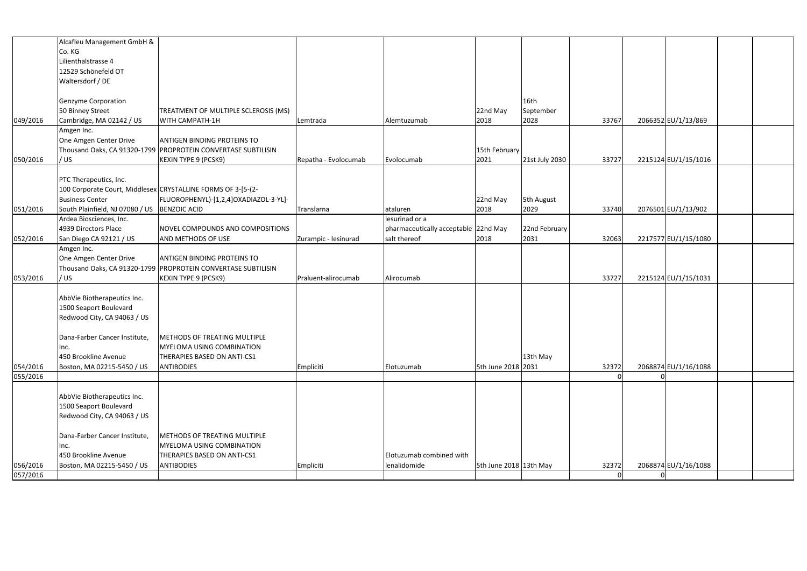|          | Alcafleu Management GmbH &                    |                                                               |                      |                                      |                        |                |       |                      |  |
|----------|-----------------------------------------------|---------------------------------------------------------------|----------------------|--------------------------------------|------------------------|----------------|-------|----------------------|--|
|          |                                               |                                                               |                      |                                      |                        |                |       |                      |  |
|          | Co. KG                                        |                                                               |                      |                                      |                        |                |       |                      |  |
|          | Lilienthalstrasse 4                           |                                                               |                      |                                      |                        |                |       |                      |  |
|          | 12529 Schönefeld OT                           |                                                               |                      |                                      |                        |                |       |                      |  |
|          | Waltersdorf / DE                              |                                                               |                      |                                      |                        |                |       |                      |  |
|          |                                               |                                                               |                      |                                      |                        |                |       |                      |  |
|          | Genzyme Corporation                           |                                                               |                      |                                      |                        | 16th           |       |                      |  |
|          | 50 Binney Street                              | TREATMENT OF MULTIPLE SCLEROSIS (MS)                          |                      |                                      | 22nd May               | September      |       |                      |  |
| 049/2016 | Cambridge, MA 02142 / US                      | WITH CAMPATH-1H                                               | Lemtrada             | Alemtuzumab                          | 2018                   | 2028           | 33767 | 2066352 EU/1/13/869  |  |
|          | Amgen Inc.                                    |                                                               |                      |                                      |                        |                |       |                      |  |
|          | One Amgen Center Drive                        | <b>ANTIGEN BINDING PROTEINS TO</b>                            |                      |                                      |                        |                |       |                      |  |
|          |                                               | Thousand Oaks, CA 91320-1799 PROPROTEIN CONVERTASE SUBTILISIN |                      |                                      | 15th February          |                |       |                      |  |
| 050/2016 | / US                                          | <b>KEXIN TYPE 9 (PCSK9)</b>                                   | Repatha - Evolocumab | Evolocumab                           | 2021                   | 21st July 2030 | 33727 | 2215124 EU/1/15/1016 |  |
|          |                                               |                                                               |                      |                                      |                        |                |       |                      |  |
|          | PTC Therapeutics, Inc.                        |                                                               |                      |                                      |                        |                |       |                      |  |
|          |                                               | 100 Corporate Court, Middlesex CRYSTALLINE FORMS OF 3-[5-(2-  |                      |                                      |                        |                |       |                      |  |
|          | <b>Business Center</b>                        | FLUOROPHENYL)-[1,2,4]OXADIAZOL-3-YL]-                         |                      |                                      | 22nd May               | 5th August     |       |                      |  |
| 051/2016 | South Plainfield, NJ 07080 / US  BENZOIC ACID |                                                               | Translarna           | ataluren                             | 2018                   | 2029           | 33740 | 2076501 EU/1/13/902  |  |
|          | Ardea Biosciences, Inc.                       |                                                               |                      | lesurinad or a                       |                        |                |       |                      |  |
|          | 4939 Directors Place                          | NOVEL COMPOUNDS AND COMPOSITIONS                              |                      | pharmaceutically acceptable 22nd May |                        | 22nd February  |       |                      |  |
| 052/2016 | San Diego CA 92121 / US                       | AND METHODS OF USE                                            | Zurampic - lesinurad | salt thereof                         | 2018                   | 2031           | 32063 | 2217577 EU/1/15/1080 |  |
|          |                                               |                                                               |                      |                                      |                        |                |       |                      |  |
|          | Amgen Inc.                                    |                                                               |                      |                                      |                        |                |       |                      |  |
|          | One Amgen Center Drive                        | <b>ANTIGEN BINDING PROTEINS TO</b>                            |                      |                                      |                        |                |       |                      |  |
|          |                                               | Thousand Oaks, CA 91320-1799 PROPROTEIN CONVERTASE SUBTILISIN |                      |                                      |                        |                |       |                      |  |
| 053/2016 | / US                                          | <b>KEXIN TYPE 9 (PCSK9)</b>                                   | Praluent-alirocumab  | Alirocumab                           |                        |                | 33727 | 2215124 EU/1/15/1031 |  |
|          |                                               |                                                               |                      |                                      |                        |                |       |                      |  |
|          | AbbVie Biotherapeutics Inc.                   |                                                               |                      |                                      |                        |                |       |                      |  |
|          | 1500 Seaport Boulevard                        |                                                               |                      |                                      |                        |                |       |                      |  |
|          | Redwood City, CA 94063 / US                   |                                                               |                      |                                      |                        |                |       |                      |  |
|          |                                               |                                                               |                      |                                      |                        |                |       |                      |  |
|          |                                               |                                                               |                      |                                      |                        |                |       |                      |  |
|          | Inc.                                          | <b>MYELOMA USING COMBINATION</b>                              |                      |                                      |                        |                |       |                      |  |
|          | 450 Brookline Avenue                          | THERAPIES BASED ON ANTI-CS1                                   |                      |                                      |                        | 13th May       |       |                      |  |
| 054/2016 | Boston, MA 02215-5450 / US                    | <b>ANTIBODIES</b>                                             | Empliciti            | Elotuzumab                           | 5th June 2018 2031     |                | 32372 | 2068874 EU/1/16/1088 |  |
| 055/2016 |                                               |                                                               |                      |                                      |                        |                |       |                      |  |
|          |                                               |                                                               |                      |                                      |                        |                |       |                      |  |
|          | AbbVie Biotherapeutics Inc.                   |                                                               |                      |                                      |                        |                |       |                      |  |
|          | 1500 Seaport Boulevard                        |                                                               |                      |                                      |                        |                |       |                      |  |
|          | Redwood City, CA 94063 / US                   |                                                               |                      |                                      |                        |                |       |                      |  |
|          |                                               |                                                               |                      |                                      |                        |                |       |                      |  |
|          | Dana-Farber Cancer Institute,                 | <b>METHODS OF TREATING MULTIPLE</b>                           |                      |                                      |                        |                |       |                      |  |
|          | Inc.                                          | MYELOMA USING COMBINATION                                     |                      |                                      |                        |                |       |                      |  |
|          | 450 Brookline Avenue                          | THERAPIES BASED ON ANTI-CS1                                   |                      | Elotuzumab combined with             |                        |                |       |                      |  |
| 056/2016 | Boston, MA 02215-5450 / US                    | <b>ANTIBODIES</b>                                             | Empliciti            | lenalidomide                         | 5th June 2018 13th May |                | 32372 | 2068874 EU/1/16/1088 |  |
| 057/2016 |                                               |                                                               |                      |                                      |                        |                |       |                      |  |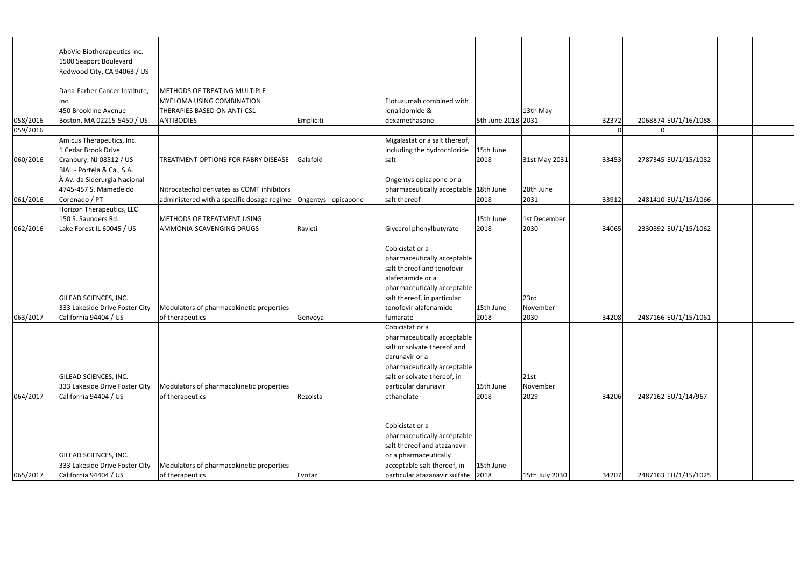|          | AbbVie Biotherapeutics Inc.    |                                                                   |           |                                                            |                    |                |       |                      |  |
|----------|--------------------------------|-------------------------------------------------------------------|-----------|------------------------------------------------------------|--------------------|----------------|-------|----------------------|--|
|          | 1500 Seaport Boulevard         |                                                                   |           |                                                            |                    |                |       |                      |  |
|          | Redwood City, CA 94063 / US    |                                                                   |           |                                                            |                    |                |       |                      |  |
|          |                                |                                                                   |           |                                                            |                    |                |       |                      |  |
|          | Dana-Farber Cancer Institute,  | <b>METHODS OF TREATING MULTIPLE</b>                               |           |                                                            |                    |                |       |                      |  |
|          | nc.                            | <b>MYELOMA USING COMBINATION</b>                                  |           | Elotuzumab combined with                                   |                    |                |       |                      |  |
|          | 450 Brookline Avenue           | THERAPIES BASED ON ANTI-CS1                                       |           | lenalidomide &                                             |                    | 13th May       |       |                      |  |
| 058/2016 | Boston, MA 02215-5450 / US     | <b>ANTIBODIES</b>                                                 | Empliciti | dexamethasone                                              | 5th June 2018 2031 |                | 32372 | 2068874 EU/1/16/1088 |  |
| 059/2016 |                                |                                                                   |           |                                                            |                    |                |       |                      |  |
|          | Amicus Therapeutics, Inc.      |                                                                   |           | Migalastat or a salt thereof,                              |                    |                |       |                      |  |
|          | 1 Cedar Brook Drive            |                                                                   |           | including the hydrochloride                                | 15th June          |                |       |                      |  |
| 060/2016 | Cranbury, NJ 08512 / US        | TREATMENT OPTIONS FOR FABRY DISEASE Galafold                      |           | salt                                                       | 2018               | 31st May 2031  | 33453 | 2787345 EU/1/15/1082 |  |
|          | BIAL - Portela & Ca., S.A.     |                                                                   |           |                                                            |                    |                |       |                      |  |
|          | A Av. da Siderurgia Nacional   |                                                                   |           | Ongentys opicapone or a                                    |                    |                |       |                      |  |
|          | 4745-457 S. Mamede do          | Nitrocatechol derivates as COMT inhibitors                        |           | pharmaceutically acceptable 18th June                      |                    | 28th June      |       |                      |  |
| 061/2016 | Coronado / PT                  | administered with a specific dosage regime   Ongentys - opicapone |           | salt thereof                                               | 2018               | 2031           | 33912 | 2481410 EU/1/15/1066 |  |
|          | Horizon Therapeutics, LLC      |                                                                   |           |                                                            |                    |                |       |                      |  |
|          | 150 S. Saunders Rd.            | METHODS OF TREATMENT USING                                        |           |                                                            | 15th June          | 1st December   |       |                      |  |
| 062/2016 | Lake Forest IL 60045 / US      | <b>AMMONIA-SCAVENGING DRUGS</b>                                   | Ravicti   | Glycerol phenylbutyrate                                    | 2018               | 2030           | 34065 | 2330892 EU/1/15/1062 |  |
|          |                                |                                                                   |           |                                                            |                    |                |       |                      |  |
|          |                                |                                                                   |           | Cobicistat or a                                            |                    |                |       |                      |  |
|          |                                |                                                                   |           | pharmaceutically acceptable                                |                    |                |       |                      |  |
|          |                                |                                                                   |           | salt thereof and tenofovir                                 |                    |                |       |                      |  |
|          |                                |                                                                   |           | alafenamide or a                                           |                    |                |       |                      |  |
|          |                                |                                                                   |           | pharmaceutically acceptable                                |                    |                |       |                      |  |
|          | GILEAD SCIENCES, INC.          |                                                                   |           | salt thereof, in particular                                |                    | 23rd           |       |                      |  |
|          | 333 Lakeside Drive Foster City | Modulators of pharmacokinetic properties                          |           | tenofovir alafenamide                                      | 15th June          | November       |       |                      |  |
| 063/2017 | California 94404 / US          | of therapeutics                                                   | Genvoya   | fumarate                                                   | 2018               | 2030           | 34208 | 2487166 EU/1/15/1061 |  |
|          |                                |                                                                   |           | Cobicistat or a                                            |                    |                |       |                      |  |
|          |                                |                                                                   |           | pharmaceutically acceptable                                |                    |                |       |                      |  |
|          |                                |                                                                   |           | salt or solvate thereof and                                |                    |                |       |                      |  |
|          |                                |                                                                   |           | darunavir or a                                             |                    |                |       |                      |  |
|          |                                |                                                                   |           | pharmaceutically acceptable                                |                    |                |       |                      |  |
|          | GILEAD SCIENCES, INC.          |                                                                   |           | salt or solvate thereof, in                                |                    | 21st           |       |                      |  |
|          | 333 Lakeside Drive Foster City | Modulators of pharmacokinetic properties                          |           | particular darunavir                                       | 15th June          | November       |       |                      |  |
| 064/2017 | California 94404 / US          | of therapeutics                                                   | Rezolsta  | ethanolate                                                 | 2018               | 2029           | 34206 | 2487162 EU/1/14/967  |  |
|          |                                |                                                                   |           |                                                            |                    |                |       |                      |  |
|          |                                |                                                                   |           |                                                            |                    |                |       |                      |  |
|          |                                |                                                                   |           | Cobicistat or a                                            |                    |                |       |                      |  |
|          |                                |                                                                   |           |                                                            |                    |                |       |                      |  |
|          |                                |                                                                   |           | pharmaceutically acceptable<br>salt thereof and atazanavir |                    |                |       |                      |  |
|          |                                |                                                                   |           |                                                            |                    |                |       |                      |  |
|          | GILEAD SCIENCES, INC.          |                                                                   |           | or a pharmaceutically                                      |                    |                |       |                      |  |
|          | 333 Lakeside Drive Foster City | Modulators of pharmacokinetic properties                          |           | acceptable salt thereof, in                                | 15th June          |                |       |                      |  |
| 065/2017 | California 94404 / US          | of therapeutics                                                   | Evotaz    | particular atazanavir sulfate 2018                         |                    | 15th July 2030 | 34207 | 2487163 EU/1/15/1025 |  |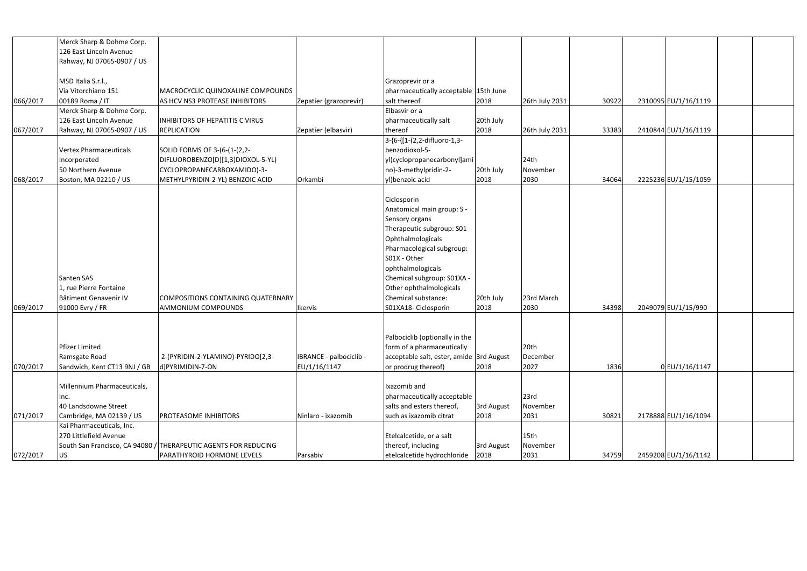|          | Merck Sharp & Dohme Corp.     |                                                                 |                         |                                          |            |                |       |                      |  |
|----------|-------------------------------|-----------------------------------------------------------------|-------------------------|------------------------------------------|------------|----------------|-------|----------------------|--|
|          | 126 East Lincoln Avenue       |                                                                 |                         |                                          |            |                |       |                      |  |
|          | Rahway, NJ 07065-0907 / US    |                                                                 |                         |                                          |            |                |       |                      |  |
|          |                               |                                                                 |                         |                                          |            |                |       |                      |  |
|          | MSD Italia S.r.l.,            |                                                                 |                         | Grazoprevir or a                         |            |                |       |                      |  |
|          | Via Vitorchiano 151           | MACROCYCLIC QUINOXALINE COMPOUNDS                               |                         | pharmaceutically acceptable 15th June    |            |                |       |                      |  |
| 066/2017 | 00189 Roma / IT               | AS HCV NS3 PROTEASE INHIBITORS                                  | Zepatier (grazoprevir)  | salt thereof                             | 2018       | 26th July 2031 | 30922 | 2310095 EU/1/16/1119 |  |
|          | Merck Sharp & Dohme Corp.     |                                                                 |                         | Elbasvir or a                            |            |                |       |                      |  |
|          | 126 East Lincoln Avenue       | <b>INHIBITORS OF HEPATITIS C VIRUS</b>                          |                         | pharmaceutically salt                    | 20th July  |                |       |                      |  |
| 067/2017 | Rahway, NJ 07065-0907 / US    | <b>REPLICATION</b>                                              | Zepatier (elbasvir)     | thereof                                  | 2018       | 26th July 2031 | 33383 | 2410844 EU/1/16/1119 |  |
|          |                               |                                                                 |                         | 3-{6-{[1-(2,2-difluoro-1,3-              |            |                |       |                      |  |
|          | <b>Vertex Pharmaceuticals</b> | SOLID FORMS OF 3-(6-(1-(2,2-                                    |                         | benzodioxol-5-                           |            |                |       |                      |  |
|          | ncorporated                   | DIFLUOROBENZO[D][1,3]DIOXOL-5-YL)                               |                         | yl)cyclopropanecarbonyl]ami              |            | 24th           |       |                      |  |
|          | 50 Northern Avenue            | CYCLOPROPANECARBOXAMIDO)-3-                                     |                         | no}-3-methylpridin-2-                    | 20th July  | November       |       |                      |  |
| 068/2017 | Boston, MA 02210 / US         | METHYLPYRIDIN-2-YL) BENZOIC ACID                                | Orkambi                 | yl}benzoic acid                          | 2018       | 2030           | 34064 | 2225236 EU/1/15/1059 |  |
|          |                               |                                                                 |                         |                                          |            |                |       |                      |  |
|          |                               |                                                                 |                         | Ciclosporin                              |            |                |       |                      |  |
|          |                               |                                                                 |                         | Anatomical main group: S -               |            |                |       |                      |  |
|          |                               |                                                                 |                         | Sensory organs                           |            |                |       |                      |  |
|          |                               |                                                                 |                         | Therapeutic subgroup: S01 -              |            |                |       |                      |  |
|          |                               |                                                                 |                         | Ophthalmologicals                        |            |                |       |                      |  |
|          |                               |                                                                 |                         | Pharmacological subgroup:                |            |                |       |                      |  |
|          |                               |                                                                 |                         | S01X - Other                             |            |                |       |                      |  |
|          |                               |                                                                 |                         | ophthalmologicals                        |            |                |       |                      |  |
|          | Santen SAS                    |                                                                 |                         |                                          |            |                |       |                      |  |
|          |                               |                                                                 |                         | Chemical subgroup: S01XA -               |            |                |       |                      |  |
|          | 1, rue Pierre Fontaine        |                                                                 |                         | Other ophthalmologicals                  |            |                |       |                      |  |
|          | Bâtiment Genavenir IV         | COMPOSITIONS CONTAINING QUATERNARY                              |                         | Chemical substance:                      | 20th July  | 23rd March     |       |                      |  |
| 069/2017 | 91000 Evry / FR               | <b>AMMONIUM COMPOUNDS</b>                                       | Ikervis                 | S01XA18- Ciclosporin                     | 2018       | 2030           | 34398 | 2049079 EU/1/15/990  |  |
|          |                               |                                                                 |                         |                                          |            |                |       |                      |  |
|          |                               |                                                                 |                         |                                          |            |                |       |                      |  |
|          |                               |                                                                 |                         | Palbociclib (optionally in the           |            |                |       |                      |  |
|          | Pfizer Limited                |                                                                 |                         | form of a pharmaceutically               |            | 20th           |       |                      |  |
|          | Ramsgate Road                 | 2-(PYRIDIN-2-YLAMINO)-PYRIDO[2,3-                               | IBRANCE - palbociclib - | acceptable salt, ester, amide 3rd August |            | December       |       |                      |  |
| 070/2017 | Sandwich, Kent CT13 9NJ / GB  | d]PYRIMIDIN-7-ON                                                | EU/1/16/1147            | or prodrug thereof)                      | 2018       | 2027           | 1836  | 0EU/1/16/1147        |  |
|          |                               |                                                                 |                         |                                          |            |                |       |                      |  |
|          | Millennium Pharmaceuticals,   |                                                                 |                         | Ixazomib and                             |            |                |       |                      |  |
|          |                               |                                                                 |                         | pharmaceutically acceptable              |            | 23rd           |       |                      |  |
|          | 40 Landsdowne Street          |                                                                 |                         | salts and esters thereof,                | 3rd August | November       |       |                      |  |
| 071/2017 | Cambridge, MA 02139 / US      | <b>PROTEASOME INHIBITORS</b>                                    | Ninlaro - ixazomib      | such as ixazomib citrat                  | 2018       | 2031           | 30821 | 2178888 EU/1/16/1094 |  |
|          | Kai Pharmaceuticals, Inc.     |                                                                 |                         |                                          |            |                |       |                      |  |
|          | 270 Littlefield Avenue        |                                                                 |                         | Etelcalcetide, or a salt                 |            | 15th           |       |                      |  |
|          |                               | South San Francisco, CA 94080 / THERAPEUTIC AGENTS FOR REDUCING |                         | thereof, including                       | 3rd August | November       |       |                      |  |
| 072/2017 | <b>US</b>                     | PARATHYROID HORMONE LEVELS                                      | Parsabiv                | etelcalcetide hydrochloride              | 2018       | 2031           | 34759 | 2459208 EU/1/16/1142 |  |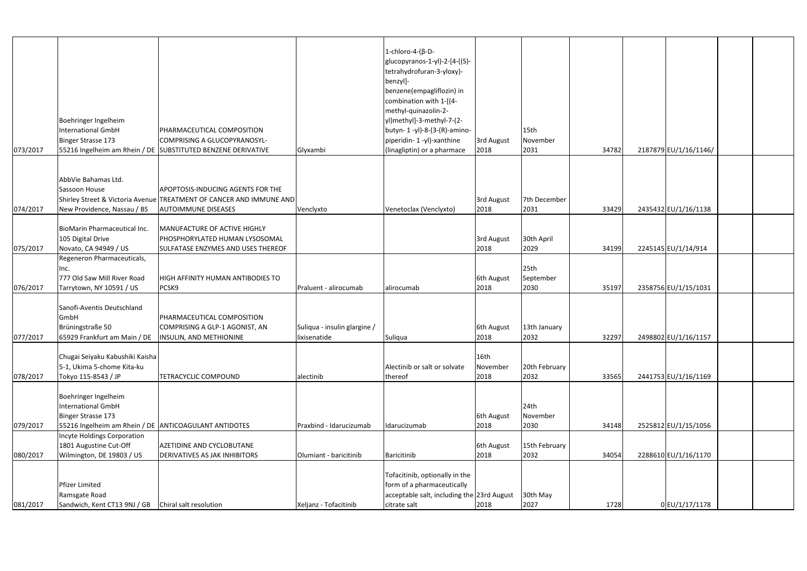| 073/2017 | Boehringer Ingelheim<br><b>International GmbH</b><br><b>Binger Strasse 173</b>                                   | PHARMACEUTICAL COMPOSITION<br>COMPRISING A GLUCOPYRANOSYL-<br>55216 Ingelheim am Rhein / DE SUBSTITUTED BENZENE DERIVATIVE | Glyxambi                                     | $1$ -chloro-4-( $\beta$ -D-<br>glucopyranos-1-yl)-2-[4-((S)-<br>tetrahydrofuran-3-yloxy)-<br>benzyl]-<br>benzene(empagliflozin) in<br>combination with 1-[(4-<br>methyl-quinazolin-2-<br>yl)methyl]-3-methyl-7-(2-<br>butyn-1-yl)-8-(3-(R)-amino-<br>piperidin- 1 -yl)-xanthine<br>(linagliptin) or a pharmace | 3rd August<br>2018 | 15th<br>November<br>2031              | 34782 | 2187879 EU/1/16/1146/ |  |
|----------|------------------------------------------------------------------------------------------------------------------|----------------------------------------------------------------------------------------------------------------------------|----------------------------------------------|----------------------------------------------------------------------------------------------------------------------------------------------------------------------------------------------------------------------------------------------------------------------------------------------------------------|--------------------|---------------------------------------|-------|-----------------------|--|
|          | AbbVie Bahamas Ltd.<br>Sassoon House                                                                             | <b>APOPTOSIS-INDUCING AGENTS FOR THE</b>                                                                                   |                                              |                                                                                                                                                                                                                                                                                                                |                    |                                       |       |                       |  |
| 074/2017 | New Providence, Nassau / BS                                                                                      | Shirley Street & Victoria Avenue TREATMENT OF CANCER AND IMMUNE AND<br><b>AUTOIMMUNE DISEASES</b>                          | Venclyxto                                    | Venetoclax (Venclyxto)                                                                                                                                                                                                                                                                                         | 3rd August<br>2018 | 7th December<br>2031                  | 33429 | 2435432 EU/1/16/1138  |  |
|          |                                                                                                                  |                                                                                                                            |                                              |                                                                                                                                                                                                                                                                                                                |                    |                                       |       |                       |  |
| 075/2017 | <b>BioMarin Pharmaceutical Inc.</b><br>105 Digital Drive<br>Novato, CA 94949 / US                                | MANUFACTURE OF ACTIVE HIGHLY<br>PHOSPHORYLATED HUMAN LYSOSOMAL<br>SULFATASE ENZYMES AND USES THEREOF                       |                                              |                                                                                                                                                                                                                                                                                                                | 3rd August<br>2018 | 30th April<br>2029                    | 34199 | 2245145 EU/1/14/914   |  |
| 076/2017 | Regeneron Pharmaceuticals,<br>nc.<br>777 Old Saw Mill River Road<br>Tarrytown, NY 10591 / US                     | HIGH AFFINITY HUMAN ANTIBODIES TO<br>PCSK9                                                                                 | Praluent - alirocumab                        | alirocumab                                                                                                                                                                                                                                                                                                     | 6th August<br>2018 | 25 <sub>th</sub><br>September<br>2030 | 35197 | 2358756 EU/1/15/1031  |  |
| 077/2017 | Sanofi-Aventis Deutschland<br>GmbH<br>Brüningstraße 50<br>65929 Frankfurt am Main / DE   INSULIN, AND METHIONINE | PHARMACEUTICAL COMPOSITION<br>COMPRISING A GLP-1 AGONIST, AN                                                               | Suliqua - insulin glargine /<br>lixisenatide | Suliqua                                                                                                                                                                                                                                                                                                        | 6th August<br>2018 | 13th January<br>2032                  | 32297 | 2498802 EU/1/16/1157  |  |
|          | Chugai Seiyaku Kabushiki Kaisha<br>5-1, Ukima 5-chome Kita-ku                                                    | <b>TETRACYCLIC COMPOUND</b>                                                                                                |                                              | Alectinib or salt or solvate                                                                                                                                                                                                                                                                                   | 16th<br>November   | 20th February                         |       |                       |  |
| 078/2017 | Tokyo 115-8543 / JP<br>Boehringer Ingelheim<br><b>International GmbH</b><br><b>Binger Strasse 173</b>            |                                                                                                                            | alectinib                                    | thereof                                                                                                                                                                                                                                                                                                        | 2018<br>6th August | 2032<br>24th<br>November              | 33565 | 2441753 EU/1/16/1169  |  |
| 079/2017 | 55216 Ingelheim am Rhein / DE ANTICOAGULANT ANTIDOTES<br>ncyte Holdings Corporation                              |                                                                                                                            | Praxbind - Idarucizumab                      | Idarucizumab                                                                                                                                                                                                                                                                                                   | 2018               | 2030                                  | 34148 | 2525812 EU/1/15/1056  |  |
|          | 1801 Augustine Cut-Off                                                                                           | AZETIDINE AND CYCLOBUTANE<br><b>DERIVATIVES AS JAK INHIBITORS</b>                                                          |                                              | Baricitinib                                                                                                                                                                                                                                                                                                    | 6th August<br>2018 | 15th February<br>2032                 | 34054 | 2288610 EU/1/16/1170  |  |
| 080/2017 | Wilmington, DE 19803 / US<br>Pfizer Limited<br>Ramsgate Road                                                     |                                                                                                                            | Olumiant - baricitinib                       | Tofacitinib, optionally in the<br>form of a pharmaceutically<br>acceptable salt, including the 23rd August                                                                                                                                                                                                     |                    | 30th May                              |       |                       |  |
| 081/2017 |                                                                                                                  |                                                                                                                            | Xeljanz - Tofacitinib                        | citrate salt                                                                                                                                                                                                                                                                                                   | 2018               | 2027                                  | 1728  | 0EU/1/17/1178         |  |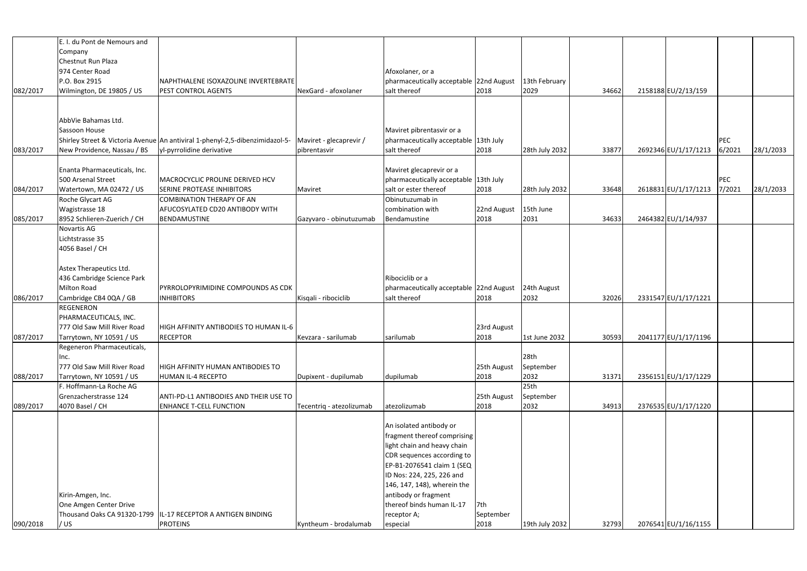|          | E. I. du Pont de Nemours and                           |                                                                                                      |                          |                                         |             |                  |       |                      |            |           |
|----------|--------------------------------------------------------|------------------------------------------------------------------------------------------------------|--------------------------|-----------------------------------------|-------------|------------------|-------|----------------------|------------|-----------|
|          | Company                                                |                                                                                                      |                          |                                         |             |                  |       |                      |            |           |
|          | Chestnut Run Plaza                                     |                                                                                                      |                          |                                         |             |                  |       |                      |            |           |
|          | 974 Center Road                                        |                                                                                                      |                          | Afoxolaner, or a                        |             |                  |       |                      |            |           |
|          | P.O. Box 2915                                          | NAPHTHALENE ISOXAZOLINE INVERTEBRATE                                                                 |                          | pharmaceutically acceptable 22nd August |             | 13th February    |       |                      |            |           |
| 082/2017 | Wilmington, DE 19805 / US                              | <b>PEST CONTROL AGENTS</b>                                                                           | NexGard - afoxolaner     | salt thereof                            | 2018        | 2029             | 34662 | 2158188 EU/2/13/159  |            |           |
|          |                                                        |                                                                                                      |                          |                                         |             |                  |       |                      |            |           |
|          |                                                        |                                                                                                      |                          |                                         |             |                  |       |                      |            |           |
|          | AbbVie Bahamas Ltd.                                    |                                                                                                      |                          |                                         |             |                  |       |                      |            |           |
|          | Sassoon House                                          |                                                                                                      |                          | Maviret pibrentasvir or a               |             |                  |       |                      |            |           |
|          |                                                        | Shirley Street & Victoria Avenue An antiviral 1-phenyl-2,5-dibenzimidazol-5- Maviret - glecaprevir / |                          | pharmaceutically acceptable 13th July   |             |                  |       |                      | <b>PEC</b> |           |
| 083/2017 | New Providence, Nassau / BS                            | yl-pyrrolidine derivative                                                                            | pibrentasvir             | salt thereof                            | 2018        | 28th July 2032   | 33877 | 2692346 EU/1/17/1213 | 6/2021     | 28/1/2033 |
|          |                                                        |                                                                                                      |                          |                                         |             |                  |       |                      |            |           |
|          | Enanta Pharmaceuticals, Inc.                           |                                                                                                      |                          | Maviret glecaprevir or a                |             |                  |       |                      |            |           |
|          | 500 Arsenal Street                                     | MACROCYCLIC PROLINE DERIVED HCV                                                                      |                          | pharmaceutically acceptable 13th July   |             |                  |       |                      | PEC        |           |
| 084/2017 | Watertown, MA 02472 / US                               | <b>SERINE PROTEASE INHIBITORS</b>                                                                    | Maviret                  | salt or ester thereof                   | 2018        | 28th July 2032   | 33648 | 2618831 EU/1/17/1213 | 7/2021     | 28/1/2033 |
|          | Roche Glycart AG                                       | COMBINATION THERAPY OF AN                                                                            |                          | Obinutuzumab in                         |             |                  |       |                      |            |           |
|          | Wagistrasse 18                                         | AFUCOSYLATED CD20 ANTIBODY WITH                                                                      |                          | combination with                        | 22nd August | 15th June        |       |                      |            |           |
| 085/2017 | 8952 Schlieren-Zuerich / CH                            | BENDAMUSTINE                                                                                         | Gazyvaro - obinutuzumab  | Bendamustine                            | 2018        | 2031             | 34633 | 2464382 EU/1/14/937  |            |           |
|          | Novartis AG                                            |                                                                                                      |                          |                                         |             |                  |       |                      |            |           |
|          | Lichtstrasse 35                                        |                                                                                                      |                          |                                         |             |                  |       |                      |            |           |
|          | 4056 Basel / CH                                        |                                                                                                      |                          |                                         |             |                  |       |                      |            |           |
|          |                                                        |                                                                                                      |                          |                                         |             |                  |       |                      |            |           |
|          | Astex Therapeutics Ltd.                                |                                                                                                      |                          |                                         |             |                  |       |                      |            |           |
|          | 436 Cambridge Science Park                             |                                                                                                      |                          | Ribociclib or a                         |             |                  |       |                      |            |           |
|          | <b>Milton Road</b>                                     | <b>PYRROLOPYRIMIDINE COMPOUNDS AS CDK</b>                                                            |                          | pharmaceutically acceptable 22nd August |             | 24th August      |       |                      |            |           |
| 086/2017 | Cambridge CB4 0QA / GB                                 | <b>INHIBITORS</b>                                                                                    | Kisqali - ribociclib     | salt thereof                            | 2018        | 2032             | 32026 | 2331547 EU/1/17/1221 |            |           |
|          | <b>REGENERON</b>                                       |                                                                                                      |                          |                                         |             |                  |       |                      |            |           |
|          | PHARMACEUTICALS, INC.                                  |                                                                                                      |                          |                                         |             |                  |       |                      |            |           |
|          | 777 Old Saw Mill River Road                            | HIGH AFFINITY ANTIBODIES TO HUMAN IL-6                                                               |                          |                                         | 23rd August |                  |       |                      |            |           |
|          |                                                        | <b>RECEPTOR</b>                                                                                      |                          |                                         | 2018        | 1st June 2032    | 30593 |                      |            |           |
| 087/2017 | Tarrytown, NY 10591 / US<br>Regeneron Pharmaceuticals, |                                                                                                      | Kevzara - sarilumab      | sarilumab                               |             |                  |       | 2041177 EU/1/17/1196 |            |           |
|          |                                                        |                                                                                                      |                          |                                         |             | 28 <sub>th</sub> |       |                      |            |           |
|          | Inc.                                                   |                                                                                                      |                          |                                         |             |                  |       |                      |            |           |
|          | 777 Old Saw Mill River Road                            | HIGH AFFINITY HUMAN ANTIBODIES TO                                                                    |                          |                                         | 25th August | September        |       |                      |            |           |
| 088/2017 | Tarrytown, NY 10591 / US                               | HUMAN IL-4 RECEPTO                                                                                   | Dupixent - dupilumab     | dupilumab                               | 2018        | 2032             | 31371 | 2356151 EU/1/17/1229 |            |           |
|          | F. Hoffmann-La Roche AG                                |                                                                                                      |                          |                                         |             | 25 <sub>th</sub> |       |                      |            |           |
|          | Grenzacherstrasse 124                                  | ANTI-PD-L1 ANTIBODIES AND THEIR USE TO                                                               |                          |                                         | 25th August | September        |       |                      |            |           |
| 089/2017 | 4070 Basel / CH                                        | <b>ENHANCE T-CELL FUNCTION</b>                                                                       | Tecentriq - atezolizumab | atezolizumab                            | 2018        | 2032             | 34913 | 2376535 EU/1/17/1220 |            |           |
|          |                                                        |                                                                                                      |                          |                                         |             |                  |       |                      |            |           |
|          |                                                        |                                                                                                      |                          | An isolated antibody or                 |             |                  |       |                      |            |           |
|          |                                                        |                                                                                                      |                          | fragment thereof comprising             |             |                  |       |                      |            |           |
|          |                                                        |                                                                                                      |                          | light chain and heavy chain             |             |                  |       |                      |            |           |
|          |                                                        |                                                                                                      |                          | CDR sequences according to              |             |                  |       |                      |            |           |
|          |                                                        |                                                                                                      |                          | EP-B1-2076541 claim 1 (SEQ              |             |                  |       |                      |            |           |
|          |                                                        |                                                                                                      |                          | ID Nos: 224, 225, 226 and               |             |                  |       |                      |            |           |
|          |                                                        |                                                                                                      |                          | 146, 147, 148), wherein the             |             |                  |       |                      |            |           |
|          | Kirin-Amgen, Inc.                                      |                                                                                                      |                          | antibody or fragment                    |             |                  |       |                      |            |           |
|          | One Amgen Center Drive                                 |                                                                                                      |                          | thereof binds human IL-17               | 7th         |                  |       |                      |            |           |
|          |                                                        | Thousand Oaks CA 91320-1799   IL-17 RECEPTOR A ANTIGEN BINDING                                       |                          | receptor A;                             | September   |                  |       |                      |            |           |
| 090/2018 | / US                                                   | <b>PROTEINS</b>                                                                                      | Kyntheum - brodalumab    | especial                                | 2018        | 19th July 2032   | 32793 | 2076541 EU/1/16/1155 |            |           |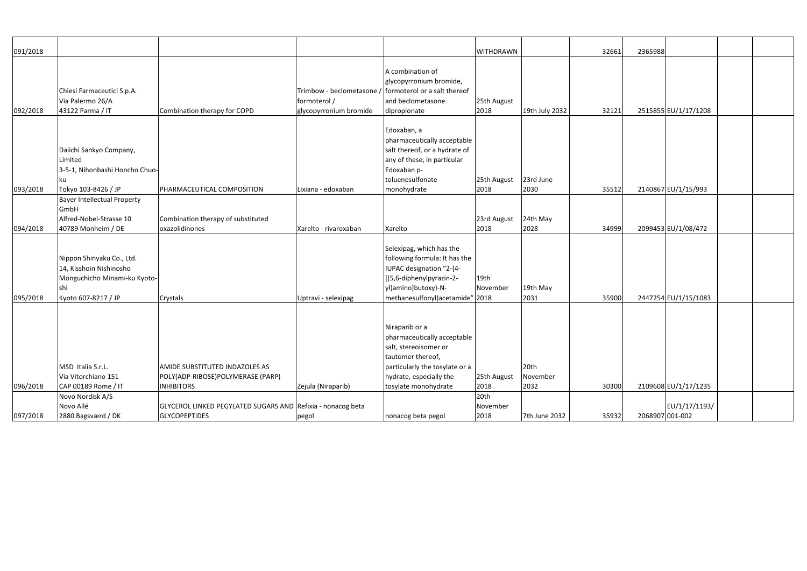|          |                                    |                                                             |                           |                                  | <b>WITHDRAWN</b> |                |       | 2365988         |                      |  |
|----------|------------------------------------|-------------------------------------------------------------|---------------------------|----------------------------------|------------------|----------------|-------|-----------------|----------------------|--|
| 091/2018 |                                    |                                                             |                           |                                  |                  |                | 32661 |                 |                      |  |
|          |                                    |                                                             |                           | A combination of                 |                  |                |       |                 |                      |  |
|          |                                    |                                                             |                           | glycopyrronium bromide,          |                  |                |       |                 |                      |  |
|          |                                    |                                                             | Trimbow - beclometasone / | formoterol or a salt thereof     |                  |                |       |                 |                      |  |
|          | Chiesi Farmaceutici S.p.A.         |                                                             |                           |                                  |                  |                |       |                 |                      |  |
|          | Via Palermo 26/A                   |                                                             | formoterol /              | and beclometasone                | 25th August      |                |       |                 |                      |  |
| 092/2018 | 43122 Parma / IT                   | Combination therapy for COPD                                | glycopyrronium bromide    | dipropionate                     | 2018             | 19th July 2032 | 32121 |                 | 2515855 EU/1/17/1208 |  |
|          |                                    |                                                             |                           |                                  |                  |                |       |                 |                      |  |
|          |                                    |                                                             |                           | Edoxaban, a                      |                  |                |       |                 |                      |  |
|          |                                    |                                                             |                           | pharmaceutically acceptable      |                  |                |       |                 |                      |  |
|          | Daiichi Sankyo Company,            |                                                             |                           | salt thereof, or a hydrate of    |                  |                |       |                 |                      |  |
|          | Limited                            |                                                             |                           | any of these, in particular      |                  |                |       |                 |                      |  |
|          | 3-5-1, Nihonbashi Honcho Chuo-     |                                                             |                           | Edoxaban p-                      |                  |                |       |                 |                      |  |
|          | Iku                                |                                                             |                           | toluenesulfonate                 | 25th August      | 23rd June      |       |                 |                      |  |
| 093/2018 | Tokyo 103-8426 / JP                | PHARMACEUTICAL COMPOSITION                                  | Lixiana - edoxaban        | monohydrate                      | 2018             | 2030           | 35512 |                 | 2140867 EU/1/15/993  |  |
|          | <b>Bayer Intellectual Property</b> |                                                             |                           |                                  |                  |                |       |                 |                      |  |
|          | GmbH                               |                                                             |                           |                                  |                  |                |       |                 |                      |  |
|          | Alfred-Nobel-Strasse 10            | Combination therapy of substituted                          |                           |                                  | 23rd August      | 24th May       |       |                 |                      |  |
| 094/2018 | 40789 Monheim / DE                 | oxazolidinones                                              | Xarelto - rivaroxaban     | Xarelto                          | 2018             | 2028           | 34999 |                 | 2099453 EU/1/08/472  |  |
|          |                                    |                                                             |                           |                                  |                  |                |       |                 |                      |  |
|          |                                    |                                                             |                           | Selexipag, which has the         |                  |                |       |                 |                      |  |
|          | Nippon Shinyaku Co., Ltd.          |                                                             |                           | following formula: It has the    |                  |                |       |                 |                      |  |
|          | 14, Kisshoin Nishinosho            |                                                             |                           | IUPAC designation "2-{4-         |                  |                |       |                 |                      |  |
|          | Monguchicho Minami-ku Kyoto-       |                                                             |                           | [(5,6-diphenylpyrazin-2-         | 19th             |                |       |                 |                      |  |
|          | shi                                |                                                             |                           | yl)amino]butoxy}-N-              | November         | 19th May       |       |                 |                      |  |
| 095/2018 | Kyoto 607-8217 / JP                | Crystals                                                    | Uptravi - selexipag       | methanesulfonyl) acetamide" 2018 |                  | 2031           | 35900 |                 | 2447254 EU/1/15/1083 |  |
|          |                                    |                                                             |                           |                                  |                  |                |       |                 |                      |  |
|          |                                    |                                                             |                           |                                  |                  |                |       |                 |                      |  |
|          |                                    |                                                             |                           | Niraparib or a                   |                  |                |       |                 |                      |  |
|          |                                    |                                                             |                           | pharmaceutically acceptable      |                  |                |       |                 |                      |  |
|          |                                    |                                                             |                           | salt, stereoisomer or            |                  |                |       |                 |                      |  |
|          |                                    |                                                             |                           | tautomer thereof,                |                  |                |       |                 |                      |  |
|          | MSD Italia S.r.L.                  | <b>AMIDE SUBSTITUTED INDAZOLES AS</b>                       |                           | particularly the tosylate or a   |                  | 20th           |       |                 |                      |  |
|          | Via Vitorchiano 151                | POLY(ADP-RIBOSE)POLYMERASE (PARP)                           |                           | hydrate, especially the          | 25th August      | November       |       |                 |                      |  |
| 096/2018 | CAP 00189 Rome / IT                | <b>INHIBITORS</b>                                           | Zejula (Niraparib)        | tosylate monohydrate             | 2018             | 2032           | 30300 |                 | 2109608 EU/1/17/1235 |  |
|          | Novo Nordisk A/S                   |                                                             |                           |                                  | 20th             |                |       |                 |                      |  |
|          | Novo Allé                          | GLYCEROL LINKED PEGYLATED SUGARS AND Refixia - nonacog beta |                           |                                  | November         |                |       |                 | EU/1/17/1193/        |  |
| 097/2018 | 2880 Bagsværd / DK                 | <b>GLYCOPEPTIDES</b>                                        | pegol                     | nonacog beta pegol               | 2018             | 7th June 2032  | 35932 | 2068907 001-002 |                      |  |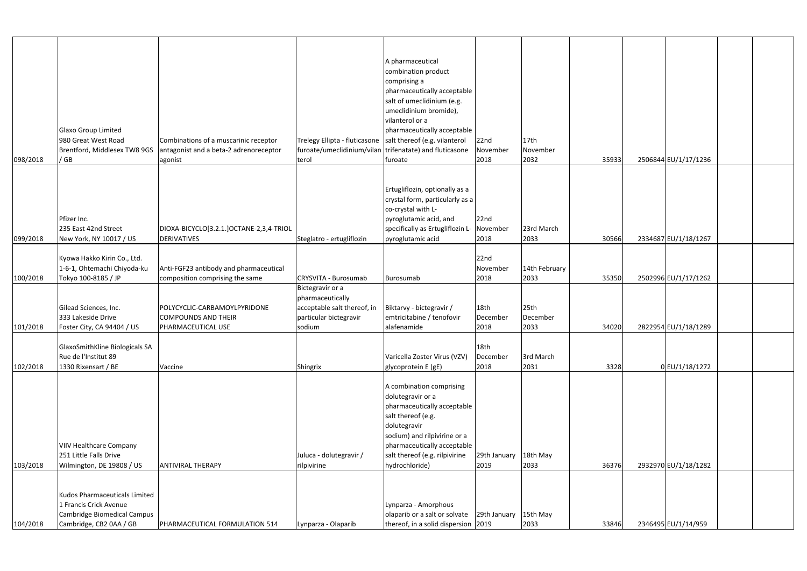| 098/2018 | Glaxo Group Limited<br>980 Great West Road<br>/GB                                                                 | Combinations of a muscarinic receptor<br>Brentford, Middlesex TW8 9GS antagonist and a beta-2 adrenoreceptor<br>agonist | terol                                                                                                   | A pharmaceutical<br>combination product<br>comprising a<br>pharmaceutically acceptable<br>salt of umeclidinium (e.g.<br>umeclidinium bromide),<br>vilanterol or a<br>pharmaceutically acceptable<br>Trelegy Ellipta - fluticasone salt thereof (e.g. vilanterol<br>furoate/umeclidinium/vilan trifenatate) and fluticasone<br>furoate | 22nd<br>November<br>2018             | 17th<br>November<br>2032 | 35933 | 2506844 EU/1/17/1236 |  |
|----------|-------------------------------------------------------------------------------------------------------------------|-------------------------------------------------------------------------------------------------------------------------|---------------------------------------------------------------------------------------------------------|---------------------------------------------------------------------------------------------------------------------------------------------------------------------------------------------------------------------------------------------------------------------------------------------------------------------------------------|--------------------------------------|--------------------------|-------|----------------------|--|
| 099/2018 | Pfizer Inc.<br>235 East 42nd Street<br>New York, NY 10017 / US                                                    | DIOXA-BICYCLO[3.2.1.]OCTANE-2,3,4-TRIOL<br><b>DERIVATIVES</b>                                                           | Steglatro - ertugliflozin                                                                               | Ertugliflozin, optionally as a<br>crystal form, particularly as a<br>co-crystal with L-<br>pyroglutamic acid, and<br>specifically as Ertugliflozin L-<br>pyroglutamic acid                                                                                                                                                            | 22nd<br>November<br>2018             | 23rd March<br>2033       | 30566 | 2334687 EU/1/18/1267 |  |
| 100/2018 | Kyowa Hakko Kirin Co., Ltd.<br>1-6-1, Ohtemachi Chiyoda-ku<br>Tokyo 100-8185 / JP                                 | Anti-FGF23 antibody and pharmaceutical<br>composition comprising the same                                               | <b>CRYSVITA - Burosumab</b>                                                                             | Burosumab                                                                                                                                                                                                                                                                                                                             | 22 <sub>nd</sub><br>November<br>2018 | 14th February<br>2033    | 35350 | 2502996 EU/1/17/1262 |  |
| 101/2018 | Gilead Sciences, Inc.<br>333 Lakeside Drive<br>Foster City, CA 94404 / US                                         | POLYCYCLIC-CARBAMOYLPYRIDONE<br><b>COMPOUNDS AND THEIR</b><br>PHARMACEUTICAL USE                                        | Bictegravir or a<br>pharmaceutically<br>acceptable salt thereof, in<br>particular bictegravir<br>sodium | Biktarvy - bictegravir /<br>emtricitabine / tenofovir<br>alafenamide                                                                                                                                                                                                                                                                  | 18 <sub>th</sub><br>December<br>2018 | 25th<br>December<br>2033 | 34020 | 2822954 EU/1/18/1289 |  |
| 102/2018 | GlaxoSmithKline Biologicals SA<br>Rue de l'Institut 89<br>1330 Rixensart / BE                                     | Vaccine                                                                                                                 | Shingrix                                                                                                | Varicella Zoster Virus (VZV)<br>glycoprotein E (gE)                                                                                                                                                                                                                                                                                   | 18 <sub>th</sub><br>December<br>2018 | 3rd March<br>2031        | 3328  | 0 EU/1/18/1272       |  |
| 103/2018 | <b>VIIV Healthcare Company</b><br>251 Little Falls Drive<br>Wilmington, DE 19808 / US                             | <b>ANTIVIRAL THERAPY</b>                                                                                                | Juluca - dolutegravir /<br>rilpivirine                                                                  | A combination comprising<br>dolutegravir or a<br>pharmaceutically acceptable<br>salt thereof (e.g.<br>dolutegravir<br>sodium) and rilpivirine or a<br>pharmaceutically acceptable<br>salt thereof (e.g. rilpivirine<br>hydrochloride)                                                                                                 | 29th January<br>2019                 | 18th May<br>2033         | 36376 | 2932970 EU/1/18/1282 |  |
| 104/2018 | Kudos Pharmaceuticals Limited<br>1 Francis Crick Avenue<br>Cambridge Biomedical Campus<br>Cambridge, CB2 0AA / GB | PHARMACEUTICAL FORMULATION 514                                                                                          | Lynparza - Olaparib                                                                                     | Lynparza - Amorphous<br>olaparib or a salt or solvate<br>thereof, in a solid dispersion 2019                                                                                                                                                                                                                                          | 29th January                         | 15th May<br>2033         | 33846 | 2346495 EU/1/14/959  |  |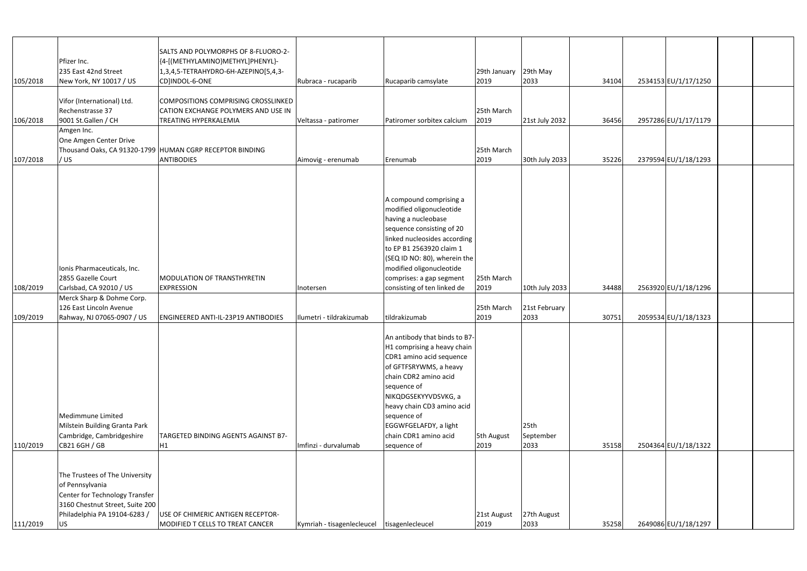|          |                                 | SALTS AND POLYMORPHS OF 8-FLUORO-2-                      |                                               |                                                           |              |                  |       |                      |  |
|----------|---------------------------------|----------------------------------------------------------|-----------------------------------------------|-----------------------------------------------------------|--------------|------------------|-------|----------------------|--|
|          | Pfizer Inc.                     | {4-[(METHYLAMINO}METHYL]PHENYL}-                         |                                               |                                                           |              |                  |       |                      |  |
|          | 235 East 42nd Street            | 1,3,4,5-TETRAHYDRO-6H-AZEPINO[5,4,3-                     |                                               |                                                           | 29th January | 29th May         |       |                      |  |
| 105/2018 | New York, NY 10017 / US         | CD]INDOL-6-ONE                                           | Rubraca - rucaparib                           | Rucaparib camsylate                                       | 2019         | 2033             | 34104 | 2534153 EU/1/17/1250 |  |
|          |                                 |                                                          |                                               |                                                           |              |                  |       |                      |  |
|          | Vifor (International) Ltd.      | COMPOSITIONS COMPRISING CROSSLINKED                      |                                               |                                                           |              |                  |       |                      |  |
|          | Rechenstrasse 37                | CATION EXCHANGE POLYMERS AND USE IN                      |                                               |                                                           | 25th March   |                  |       |                      |  |
| 106/2018 | 9001 St.Gallen / CH             | TREATING HYPERKALEMIA                                    | Veltassa - patiromer                          | Patiromer sorbitex calcium                                | 2019         | 21st July 2032   | 36456 | 2957286 EU/1/17/1179 |  |
|          | Amgen Inc.                      |                                                          |                                               |                                                           |              |                  |       |                      |  |
|          | One Amgen Center Drive          |                                                          |                                               |                                                           |              |                  |       |                      |  |
|          |                                 | Thousand Oaks, CA 91320-1799 HUMAN CGRP RECEPTOR BINDING |                                               |                                                           | 25th March   |                  |       |                      |  |
| 107/2018 | / US                            | <b>ANTIBODIES</b>                                        | Aimovig - erenumab                            | Erenumab                                                  | 2019         | 30th July 2033   | 35226 | 2379594 EU/1/18/1293 |  |
|          |                                 |                                                          |                                               |                                                           |              |                  |       |                      |  |
|          |                                 |                                                          |                                               |                                                           |              |                  |       |                      |  |
|          |                                 |                                                          |                                               |                                                           |              |                  |       |                      |  |
|          |                                 |                                                          |                                               | A compound comprising a                                   |              |                  |       |                      |  |
|          |                                 |                                                          |                                               | modified oligonucleotide<br>having a nucleobase           |              |                  |       |                      |  |
|          |                                 |                                                          |                                               |                                                           |              |                  |       |                      |  |
|          |                                 |                                                          |                                               | sequence consisting of 20<br>linked nucleosides according |              |                  |       |                      |  |
|          |                                 |                                                          |                                               | to EP B1 2563920 claim 1                                  |              |                  |       |                      |  |
|          |                                 |                                                          |                                               | (SEQ ID NO: 80), wherein the                              |              |                  |       |                      |  |
|          | Ionis Pharmaceuticals, Inc.     |                                                          |                                               | modified oligonucleotide                                  |              |                  |       |                      |  |
|          | 2855 Gazelle Court              | <b>MODULATION OF TRANSTHYRETIN</b>                       |                                               | comprises: a gap segment                                  | 25th March   |                  |       |                      |  |
| 108/2019 | Carlsbad, CA 92010 / US         | <b>EXPRESSION</b>                                        | Inotersen                                     | consisting of ten linked de                               | 2019         | 10th July 2033   | 34488 | 2563920 EU/1/18/1296 |  |
|          | Merck Sharp & Dohme Corp.       |                                                          |                                               |                                                           |              |                  |       |                      |  |
|          | 126 East Lincoln Avenue         |                                                          |                                               |                                                           | 25th March   | 21st February    |       |                      |  |
| 109/2019 | Rahway, NJ 07065-0907 / US      | ENGINEERED ANTI-IL-23P19 ANTIBODIES                      | Ilumetri - tildrakizumab                      | tildrakizumab                                             | 2019         | 2033             | 30751 | 2059534 EU/1/18/1323 |  |
|          |                                 |                                                          |                                               |                                                           |              |                  |       |                      |  |
|          |                                 |                                                          |                                               | An antibody that binds to B7-                             |              |                  |       |                      |  |
|          |                                 |                                                          |                                               | H1 comprising a heavy chain                               |              |                  |       |                      |  |
|          |                                 |                                                          |                                               | CDR1 amino acid sequence                                  |              |                  |       |                      |  |
|          |                                 |                                                          |                                               | of GFTFSRYWMS, a heavy                                    |              |                  |       |                      |  |
|          |                                 |                                                          |                                               | chain CDR2 amino acid                                     |              |                  |       |                      |  |
|          |                                 |                                                          |                                               | sequence of                                               |              |                  |       |                      |  |
|          |                                 |                                                          |                                               | NIKQDGSEKYYVDSVKG, a                                      |              |                  |       |                      |  |
|          |                                 |                                                          |                                               | heavy chain CD3 amino acid                                |              |                  |       |                      |  |
|          | Medimmune Limited               |                                                          |                                               | sequence of                                               |              |                  |       |                      |  |
|          | Milstein Building Granta Park   |                                                          |                                               | EGGWFGELAFDY, a light                                     |              | 25 <sub>th</sub> |       |                      |  |
|          | Cambridge, Cambridgeshire       | TARGETED BINDING AGENTS AGAINST B7-                      |                                               | chain CDR1 amino acid                                     | 5th August   | September        |       |                      |  |
| 110/2019 | CB21 6GH / GB                   | H1                                                       | Imfinzi - durvalumab                          | sequence of                                               | 2019         | 2033             | 35158 | 2504364 EU/1/18/1322 |  |
|          |                                 |                                                          |                                               |                                                           |              |                  |       |                      |  |
|          |                                 |                                                          |                                               |                                                           |              |                  |       |                      |  |
|          | The Trustees of The University  |                                                          |                                               |                                                           |              |                  |       |                      |  |
|          | of Pennsylvania                 |                                                          |                                               |                                                           |              |                  |       |                      |  |
|          | Center for Technology Transfer  |                                                          |                                               |                                                           |              |                  |       |                      |  |
|          | 3160 Chestnut Street, Suite 200 |                                                          |                                               |                                                           |              |                  |       |                      |  |
|          | Philadelphia PA 19104-6283 /    | USE OF CHIMERIC ANTIGEN RECEPTOR-                        |                                               |                                                           | 21st August  | 27th August      |       |                      |  |
| 111/2019 | US                              | MODIFIED T CELLS TO TREAT CANCER                         | Kymriah - tisagenlecleucel   tisagenlecleucel |                                                           | 2019         | 2033             | 35258 | 2649086 EU/1/18/1297 |  |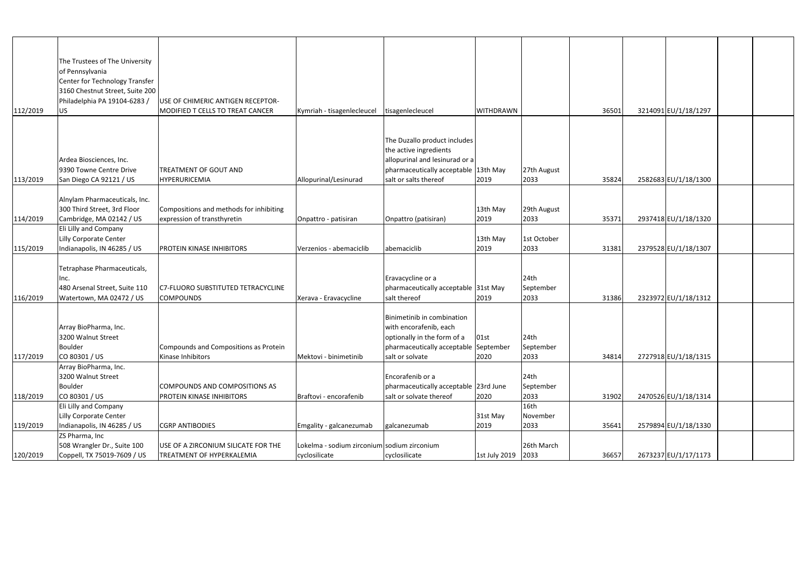|          | The Trustees of The University  |                                           |                                             |                                                                        |                  |             |       |                      |  |
|----------|---------------------------------|-------------------------------------------|---------------------------------------------|------------------------------------------------------------------------|------------------|-------------|-------|----------------------|--|
|          | of Pennsylvania                 |                                           |                                             |                                                                        |                  |             |       |                      |  |
|          | Center for Technology Transfer  |                                           |                                             |                                                                        |                  |             |       |                      |  |
|          | 3160 Chestnut Street, Suite 200 |                                           |                                             |                                                                        |                  |             |       |                      |  |
|          | Philadelphia PA 19104-6283 /    | USE OF CHIMERIC ANTIGEN RECEPTOR-         |                                             |                                                                        |                  |             |       |                      |  |
| 112/2019 | US <sub>1</sub>                 | MODIFIED T CELLS TO TREAT CANCER          | Kymriah - tisagenlecleucel                  | tisagenlecleucel                                                       | <b>WITHDRAWN</b> |             | 36501 | 3214091 EU/1/18/1297 |  |
|          |                                 |                                           |                                             |                                                                        |                  |             |       |                      |  |
|          |                                 |                                           |                                             |                                                                        |                  |             |       |                      |  |
|          |                                 |                                           |                                             | The Duzallo product includes                                           |                  |             |       |                      |  |
|          | Ardea Biosciences, Inc.         |                                           |                                             | the active ingredients                                                 |                  |             |       |                      |  |
|          | 9390 Towne Centre Drive         | <b>TREATMENT OF GOUT AND</b>              |                                             | allopurinal and lesinurad or a<br>pharmaceutically acceptable 13th May |                  | 27th August |       |                      |  |
| 113/2019 | San Diego CA 92121 / US         | <b>HYPERURICEMIA</b>                      | Allopurinal/Lesinurad                       | salt or salts thereof                                                  | 2019             | 2033        | 35824 | 2582683 EU/1/18/1300 |  |
|          |                                 |                                           |                                             |                                                                        |                  |             |       |                      |  |
|          | Alnylam Pharmaceuticals, Inc.   |                                           |                                             |                                                                        |                  |             |       |                      |  |
|          | 300 Third Street, 3rd Floor     | Compositions and methods for inhibiting   |                                             |                                                                        | 13th May         | 29th August |       |                      |  |
| 114/2019 | Cambridge, MA 02142 / US        | expression of transthyretin               | Onpattro - patisiran                        | Onpattro (patisiran)                                                   | 2019             | 2033        | 35371 | 2937418 EU/1/18/1320 |  |
|          | Eli Lilly and Company           |                                           |                                             |                                                                        |                  |             |       |                      |  |
|          | <b>Lilly Corporate Center</b>   |                                           |                                             |                                                                        | 13th May         | 1st October |       |                      |  |
| 115/2019 | Indianapolis, IN 46285 / US     | PROTEIN KINASE INHIBITORS                 | Verzenios - abemaciclib                     | abemaciclib                                                            | 2019             | 2033        | 31381 | 2379528 EU/1/18/1307 |  |
|          |                                 |                                           |                                             |                                                                        |                  |             |       |                      |  |
|          | Tetraphase Pharmaceuticals,     |                                           |                                             |                                                                        |                  |             |       |                      |  |
|          | Inc.                            |                                           |                                             | Eravacycline or a                                                      |                  | 24th        |       |                      |  |
|          | 480 Arsenal Street, Suite 110   | <b>C7-FLUORO SUBSTITUTED TETRACYCLINE</b> |                                             | pharmaceutically acceptable 31st May                                   |                  | September   |       |                      |  |
| 116/2019 | Watertown, MA 02472 / US        | <b>COMPOUNDS</b>                          | Xerava - Eravacycline                       | salt thereof                                                           | 2019             | 2033        | 31386 | 2323972 EU/1/18/1312 |  |
|          |                                 |                                           |                                             |                                                                        |                  |             |       |                      |  |
|          |                                 |                                           |                                             | Binimetinib in combination                                             |                  |             |       |                      |  |
|          | Array BioPharma, Inc.           |                                           |                                             | with encorafenib, each                                                 |                  |             |       |                      |  |
|          | 3200 Walnut Street              |                                           |                                             | optionally in the form of a   01st                                     |                  | 24th        |       |                      |  |
|          | <b>Boulder</b>                  | Compounds and Compositions as Protein     |                                             | pharmaceutically acceptable September                                  |                  | September   |       |                      |  |
| 117/2019 | CO 80301 / US                   | Kinase Inhibitors                         | Mektovi - binimetinib                       | salt or solvate                                                        | 2020             | 2033        | 34814 | 2727918 EU/1/18/1315 |  |
|          | Array BioPharma, Inc.           |                                           |                                             |                                                                        |                  |             |       |                      |  |
|          | 3200 Walnut Street              |                                           |                                             | Encorafenib or a                                                       |                  | 24th        |       |                      |  |
|          | <b>Boulder</b>                  | COMPOUNDS AND COMPOSITIONS AS             |                                             | pharmaceutically acceptable 23rd June                                  |                  | September   |       |                      |  |
| 118/2019 | CO 80301 / US                   | PROTEIN KINASE INHIBITORS                 | Braftovi - encorafenib                      | salt or solvate thereof                                                | 2020             | 2033        | 31902 | 2470526 EU/1/18/1314 |  |
|          | Eli Lilly and Company           |                                           |                                             |                                                                        |                  | 16th        |       |                      |  |
|          | Lilly Corporate Center          |                                           |                                             |                                                                        | 31st May         | November    |       |                      |  |
| 119/2019 | Indianapolis, IN 46285 / US     | <b>CGRP ANTIBODIES</b>                    | Emgality - galcanezumab                     | galcanezumab                                                           | 2019             | 2033        | 35641 | 2579894 EU/1/18/1330 |  |
|          | ZS Pharma, Inc                  |                                           |                                             |                                                                        |                  |             |       |                      |  |
|          | 508 Wrangler Dr., Suite 100     | USE OF A ZIRCONIUM SILICATE FOR THE       | Lokelma - sodium zirconium sodium zirconium |                                                                        |                  | 26th March  |       |                      |  |
| 120/2019 | Coppell, TX 75019-7609 / US     | TREATMENT OF HYPERKALEMIA                 | cyclosilicate                               | cyclosilicate                                                          | 1st July 2019    | 2033        | 36657 | 2673237 EU/1/17/1173 |  |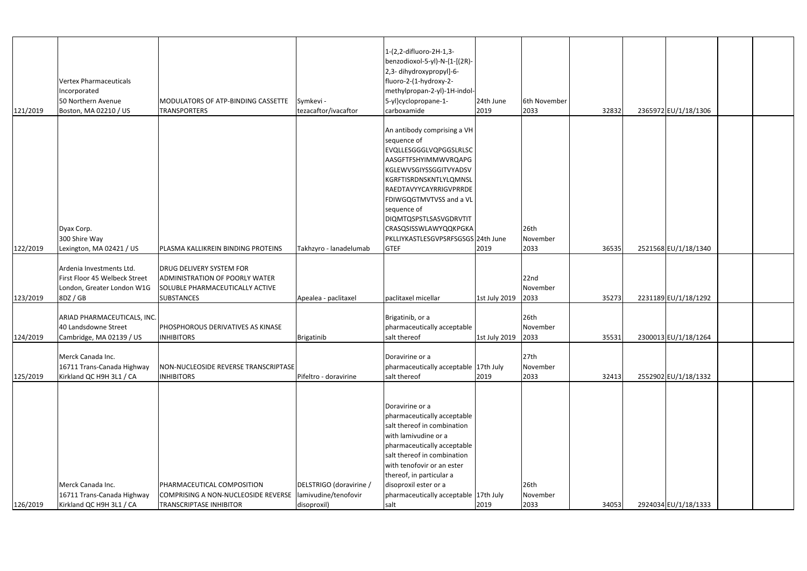| 121/2019 | <b>Vertex Pharmaceuticals</b><br>Incorporated<br>50 Northern Avenue<br>Boston, MA 02210 / US        | MODULATORS OF ATP-BINDING CASSETTE<br><b>TRANSPORTERS</b>                                                                        | Symkevi -<br>tezacaftor/ivacaftor                              | 1-(2,2-difluoro-2H-1,3-<br>benzodioxol-5-yl)-N-{1-[(2R)-<br>2,3-dihydroxypropyl]-6-<br>fluoro-2-(1-hydroxy-2-<br>methylpropan-2-yl)-1H-indol-<br>5-yl}cyclopropane-1-<br>carboxamide                                                                                                                                                       | 24th June<br>2019  | 6th November<br>2033     | 32832 | 2365972 EU/1/18/1306 |  |
|----------|-----------------------------------------------------------------------------------------------------|----------------------------------------------------------------------------------------------------------------------------------|----------------------------------------------------------------|--------------------------------------------------------------------------------------------------------------------------------------------------------------------------------------------------------------------------------------------------------------------------------------------------------------------------------------------|--------------------|--------------------------|-------|----------------------|--|
| 122/2019 | Dyax Corp.<br>300 Shire Way<br>Lexington, MA 02421 / US                                             | PLASMA KALLIKREIN BINDING PROTEINS                                                                                               | Takhzyro - lanadelumab                                         | An antibody comprising a VH<br>sequence of<br><b>EVQLLESGGGLVQPGGSLRLSC</b><br>AASGFTFSHYIMMWVRQAPG<br>KGLEWVSGIYSSGGITVYADSV<br>KGRFTISRDNSKNTLYLQMNSL<br>RAEDTAVYYCAYRRIGVPRRDE<br>FDIWGQGTMVTVSS and a VL<br>sequence of<br>DIQMTQSPSTLSASVGDRVTIT<br><b>CRASQSISSWLAWYQQKPGKA</b><br>PKLLIYKASTLESGVPSRFSGSGS 24th June<br><b>GTEF</b> | 2019               | 26th<br>November<br>2033 | 36535 | 2521568 EU/1/18/1340 |  |
| 123/2019 | Ardenia Investments Ltd.<br>First Floor 45 Welbeck Street<br>London, Greater London W1G<br>8DZ / GB | <b>DRUG DELIVERY SYSTEM FOR</b><br><b>ADMINISTRATION OF POORLY WATER</b><br>SOLUBLE PHARMACEUTICALLY ACTIVE<br><b>SUBSTANCES</b> | Apealea - paclitaxel                                           | paclitaxel micellar                                                                                                                                                                                                                                                                                                                        | 1st July 2019      | 22nd<br>November<br>2033 | 35273 | 2231189 EU/1/18/1292 |  |
| 124/2019 | ARIAD PHARMACEUTICALS, INC.<br>40 Landsdowne Street<br>Cambridge, MA 02139 / US                     | <b>PHOSPHOROUS DERIVATIVES AS KINASE</b><br><b>INHIBITORS</b>                                                                    | Brigatinib                                                     | Brigatinib, or a<br>pharmaceutically acceptable<br>salt thereof                                                                                                                                                                                                                                                                            | 1st July 2019 2033 | 26th<br>November         | 35531 | 2300013 EU/1/18/1264 |  |
| 125/2019 | Merck Canada Inc.<br>16711 Trans-Canada Highway<br>Kirkland QC H9H 3L1 / CA                         | NON-NUCLEOSIDE REVERSE TRANSCRIPTASE<br><b>INHIBITORS</b>                                                                        | Pifeltro - doravirine                                          | Doravirine or a<br>pharmaceutically acceptable 17th July<br>salt thereof                                                                                                                                                                                                                                                                   | 2019               | 27th<br>November<br>2033 | 32413 | 2552902 EU/1/18/1332 |  |
| 126/2019 | Merck Canada Inc.<br>16711 Trans-Canada Highway<br>Kirkland QC H9H 3L1 / CA                         | PHARMACEUTICAL COMPOSITION<br>COMPRISING A NON-NUCLEOSIDE REVERSE<br><b>TRANSCRIPTASE INHIBITOR</b>                              | DELSTRIGO (doravirine /<br>lamivudine/tenofovir<br>disoproxil) | Doravirine or a<br>pharmaceutically acceptable<br>salt thereof in combination<br>with lamivudine or a<br>pharmaceutically acceptable<br>salt thereof in combination<br>with tenofovir or an ester<br>thereof, in particular a<br>disoproxil ester or a<br>pharmaceutically acceptable 17th July<br>salt                                    | 2019               | 26th<br>November<br>2033 | 34053 | 2924034 EU/1/18/1333 |  |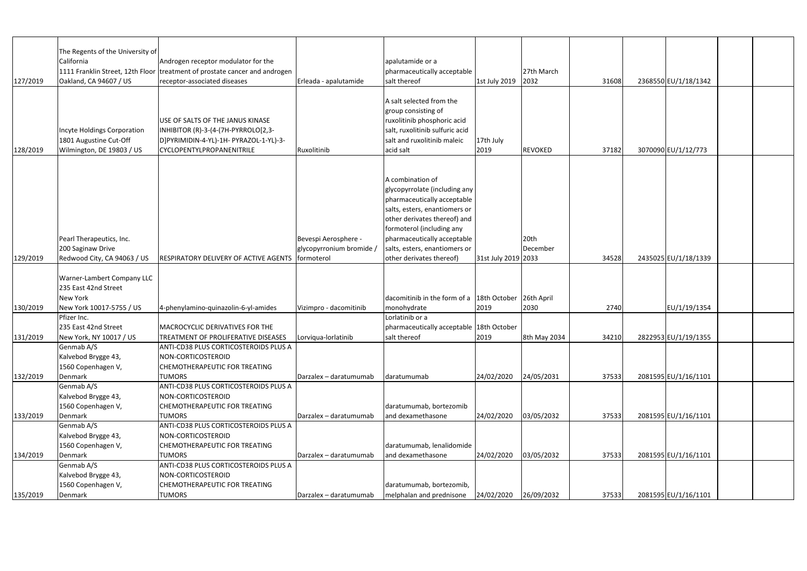| 127/2019 | The Regents of the University of<br>California<br>Oakland, CA 94607 / US                          | Androgen receptor modulator for the<br>1111 Franklin Street, 12th Floor treatment of prostate cancer and androgen<br>receptor-associated diseases | Erleada - apalutamide                                          | apalutamide or a<br>pharmaceutically acceptable<br>salt thereof                                                                                                                                                                                                            | 1st July 2019       | 27th March<br>2032           | 31608 | 2368550 EU/1/18/1342 |  |
|----------|---------------------------------------------------------------------------------------------------|---------------------------------------------------------------------------------------------------------------------------------------------------|----------------------------------------------------------------|----------------------------------------------------------------------------------------------------------------------------------------------------------------------------------------------------------------------------------------------------------------------------|---------------------|------------------------------|-------|----------------------|--|
| 128/2019 | Incyte Holdings Corporation<br>1801 Augustine Cut-Off<br>Wilmington, DE 19803 / US                | USE OF SALTS OF THE JANUS KINASE<br>INHIBITOR (R)-3-(4-(7H-PYRROLO[2,3-<br>D]PYRIMIDIN-4-YL)-1H- PYRAZOL-1-YL)-3-<br>CYCLOPENTYLPROPANENITRILE    | Ruxolitinib                                                    | A salt selected from the<br>group consisting of<br>ruxolitinib phosphoric acid<br>salt, ruxolitinib sulfuric acid<br>salt and ruxolitinib maleic<br>acid salt                                                                                                              | 17th July<br>2019   | REVOKED                      | 37182 | 3070090 EU/1/12/773  |  |
| 129/2019 | Pearl Therapeutics, Inc.<br>200 Saginaw Drive<br>Redwood City, CA 94063 / US                      | RESPIRATORY DELIVERY OF ACTIVE AGENTS                                                                                                             | Bevespi Aerosphere -<br>glycopyrronium bromide /<br>formoterol | A combination of<br>glycopyrrolate (including any<br>pharmaceutically acceptable<br>salts, esters, enantiomers or<br>other derivates thereof) and<br>formoterol (including any<br>pharmaceutically acceptable<br>salts, esters, enantiomers or<br>other derivates thereof) | 31st July 2019 2033 | 20 <sub>th</sub><br>December | 34528 | 2435025 EU/1/18/1339 |  |
| 130/2019 | <b>Warner-Lambert Company LLC</b><br>235 East 42nd Street<br>New York<br>New York 10017-5755 / US | 4-phenylamino-quinazolin-6-yl-amides                                                                                                              | Vizimpro - dacomitinib                                         | dacomitinib in the form of a 18th October 26th April<br>monohydrate                                                                                                                                                                                                        | 2019                | 2030                         | 2740  | EU/1/19/1354         |  |
| 131/2019 | Pfizer Inc.<br>235 East 42nd Street<br>New York, NY 10017 / US                                    | MACROCYCLIC DERIVATIVES FOR THE<br>TREATMENT OF PROLIFERATIVE DISEASES                                                                            | Lorviqua-lorlatinib                                            | Lorlatinib or a<br>pharmaceutically acceptable 18th October<br>salt thereof                                                                                                                                                                                                | 2019                | 8th May 2034                 | 34210 | 2822953 EU/1/19/1355 |  |
| 132/2019 | Genmab A/S<br>Kalvebod Brygge 43,<br>1560 Copenhagen V,<br>Denmark                                | ANTI-CD38 PLUS CORTICOSTEROIDS PLUS A<br>NON-CORTICOSTEROID<br>CHEMOTHERAPEUTIC FOR TREATING<br><b>TUMORS</b>                                     | Darzalex - daratumumab                                         | daratumumab                                                                                                                                                                                                                                                                | 24/02/2020          | 24/05/2031                   | 37533 | 2081595 EU/1/16/1101 |  |
| 133/2019 | Genmab A/S<br>Kalvebod Brygge 43,<br>1560 Copenhagen V,<br>Denmark                                | ANTI-CD38 PLUS CORTICOSTEROIDS PLUS A<br>NON-CORTICOSTEROID<br>CHEMOTHERAPEUTIC FOR TREATING<br><b>TUMORS</b>                                     | Darzalex - daratumumab                                         | daratumumab, bortezomib<br>and dexamethasone                                                                                                                                                                                                                               | 24/02/2020          | 03/05/2032                   | 37533 | 2081595 EU/1/16/1101 |  |
| 134/2019 | Genmab A/S<br>Kalvebod Brygge 43,<br>1560 Copenhagen V,<br>Denmark                                | ANTI-CD38 PLUS CORTICOSTEROIDS PLUS A<br>NON-CORTICOSTEROID<br>CHEMOTHERAPEUTIC FOR TREATING<br><b>TUMORS</b>                                     | Darzalex - daratumumab                                         | daratumumab, lenalidomide<br>and dexamethasone                                                                                                                                                                                                                             | 24/02/2020          | 03/05/2032                   | 37533 | 2081595 EU/1/16/1101 |  |
| 135/2019 | Genmab A/S<br>Kalvebod Brygge 43,<br>1560 Copenhagen V,<br>Denmark                                | ANTI-CD38 PLUS CORTICOSTEROIDS PLUS A<br>NON-CORTICOSTEROID<br>CHEMOTHERAPEUTIC FOR TREATING<br><b>TUMORS</b>                                     | Darzalex - daratumumab                                         | daratumumab, bortezomib,<br>melphalan and prednisone                                                                                                                                                                                                                       | 24/02/2020          | 26/09/2032                   | 37533 | 2081595 EU/1/16/1101 |  |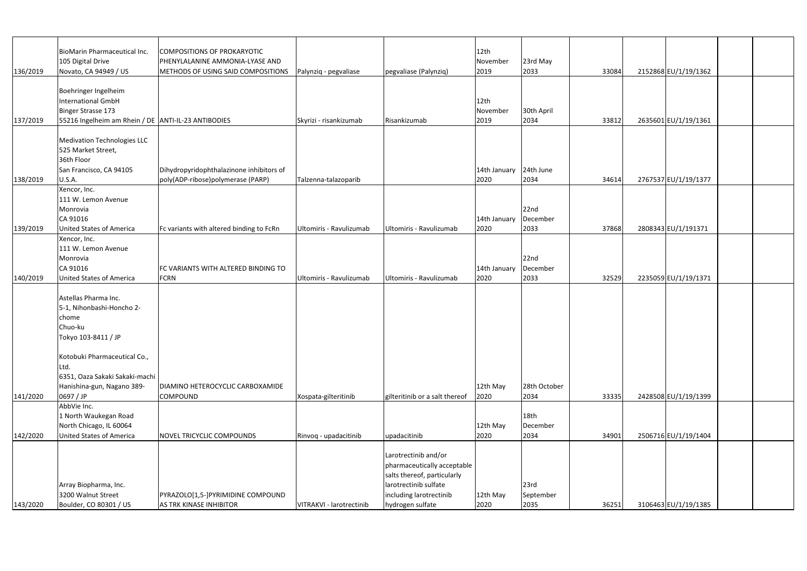|          | <b>BioMarin Pharmaceutical Inc.</b>                      | COMPOSITIONS OF PROKARYOTIC                                           |                          |                                                  | 12th                 |                              |       |                      |  |
|----------|----------------------------------------------------------|-----------------------------------------------------------------------|--------------------------|--------------------------------------------------|----------------------|------------------------------|-------|----------------------|--|
| 136/2019 | 105 Digital Drive<br>Novato, CA 94949 / US               | PHENYLALANINE AMMONIA-LYASE AND<br>METHODS OF USING SAID COMPOSITIONS | Palynziq - pegvaliase    | pegvaliase (Palynziq)                            | November<br>2019     | 23rd May<br>2033             | 33084 | 2152868 EU/1/19/1362 |  |
|          | Boehringer Ingelheim                                     |                                                                       |                          |                                                  |                      |                              |       |                      |  |
|          | <b>International GmbH</b><br><b>Binger Strasse 173</b>   |                                                                       |                          |                                                  | 12th<br>November     | 30th April                   |       |                      |  |
| 137/2019 | 55216 Ingelheim am Rhein / DE   ANTI-IL-23 ANTIBODIES    |                                                                       | Skyrizi - risankizumab   | Risankizumab                                     | 2019                 | 2034                         | 33812 | 2635601 EU/1/19/1361 |  |
|          |                                                          |                                                                       |                          |                                                  |                      |                              |       |                      |  |
|          | <b>Medivation Technologies LLC</b><br>525 Market Street, |                                                                       |                          |                                                  |                      |                              |       |                      |  |
|          | 36th Floor                                               |                                                                       |                          |                                                  |                      |                              |       |                      |  |
|          | San Francisco, CA 94105                                  | Dihydropyridophthalazinone inhibitors of                              |                          |                                                  | 14th January         | 24th June                    |       |                      |  |
| 138/2019 | U.S.A.                                                   | poly(ADP-ribose)polymerase (PARP)                                     | Talzenna-talazoparib     |                                                  | 2020                 | 2034                         | 34614 | 2767537 EU/1/19/1377 |  |
|          | Xencor, Inc.                                             |                                                                       |                          |                                                  |                      |                              |       |                      |  |
|          | 111 W. Lemon Avenue<br>Monrovia                          |                                                                       |                          |                                                  |                      | 22nd                         |       |                      |  |
|          | CA 91016                                                 |                                                                       |                          |                                                  | 14th January         | December                     |       |                      |  |
| 139/2019 | United States of America                                 | Fc variants with altered binding to FcRn                              | Ultomiris - Ravulizumab  | Ultomiris - Ravulizumab                          | 2020                 | 2033                         | 37868 | 2808343 EU/1/191371  |  |
|          | Xencor, Inc.                                             |                                                                       |                          |                                                  |                      |                              |       |                      |  |
|          | 111 W. Lemon Avenue                                      |                                                                       |                          |                                                  |                      |                              |       |                      |  |
|          | Monrovia                                                 |                                                                       |                          |                                                  |                      | 22nd                         |       |                      |  |
| 140/2019 | CA 91016<br><b>United States of America</b>              | FC VARIANTS WITH ALTERED BINDING TO<br><b>FCRN</b>                    | Ultomiris - Ravulizumab  | Ultomiris - Ravulizumab                          | 14th January<br>2020 | December<br>2033             | 32529 | 2235059 EU/1/19/1371 |  |
|          |                                                          |                                                                       |                          |                                                  |                      |                              |       |                      |  |
|          | Astellas Pharma Inc.                                     |                                                                       |                          |                                                  |                      |                              |       |                      |  |
|          | 5-1, Nihonbashi-Honcho 2-                                |                                                                       |                          |                                                  |                      |                              |       |                      |  |
|          | chome                                                    |                                                                       |                          |                                                  |                      |                              |       |                      |  |
|          | Chuo-ku                                                  |                                                                       |                          |                                                  |                      |                              |       |                      |  |
|          | Tokyo 103-8411 / JP                                      |                                                                       |                          |                                                  |                      |                              |       |                      |  |
|          | Kotobuki Pharmaceutical Co.,                             |                                                                       |                          |                                                  |                      |                              |       |                      |  |
|          | Ltd.                                                     |                                                                       |                          |                                                  |                      |                              |       |                      |  |
|          | 6351, Oaza Sakaki Sakaki-machi                           |                                                                       |                          |                                                  |                      |                              |       |                      |  |
|          | Hanishina-gun, Nagano 389-                               | DIAMINO HETEROCYCLIC CARBOXAMIDE                                      |                          |                                                  | 12th May             | 28th October                 |       |                      |  |
| 141/2020 | 0697 / JP                                                | <b>COMPOUND</b>                                                       | Xospata-gilteritinib     | gilteritinib or a salt thereof                   | 2020                 | 2034                         | 33335 | 2428508 EU/1/19/1399 |  |
|          | AbbVie Inc.                                              |                                                                       |                          |                                                  |                      |                              |       |                      |  |
|          | 1 North Waukegan Road<br>North Chicago, IL 60064         |                                                                       |                          |                                                  | 12th May             | 18 <sub>th</sub><br>December |       |                      |  |
| 142/2020 | <b>United States of America</b>                          | NOVEL TRICYCLIC COMPOUNDS                                             | Rinvoq - upadacitinib    | upadacitinib                                     | 2020                 | 2034                         | 34901 | 2506716 EU/1/19/1404 |  |
|          |                                                          |                                                                       |                          |                                                  |                      |                              |       |                      |  |
|          |                                                          |                                                                       |                          | Larotrectinib and/or                             |                      |                              |       |                      |  |
|          |                                                          |                                                                       |                          | pharmaceutically acceptable                      |                      |                              |       |                      |  |
|          |                                                          |                                                                       |                          | salts thereof, particularly                      |                      |                              |       |                      |  |
|          | Array Biopharma, Inc.<br>3200 Walnut Street              | PYRAZOLO[1,5-]PYRIMIDINE COMPOUND                                     |                          | larotrectinib sulfate<br>including larotrectinib | 12th May             | 23rd<br>September            |       |                      |  |
| 143/2020 | Boulder, CO 80301 / US                                   | <b>AS TRK KINASE INHIBITOR</b>                                        | VITRAKVI - larotrectinib | hydrogen sulfate                                 | 2020                 | 2035                         | 36251 | 3106463 EU/1/19/1385 |  |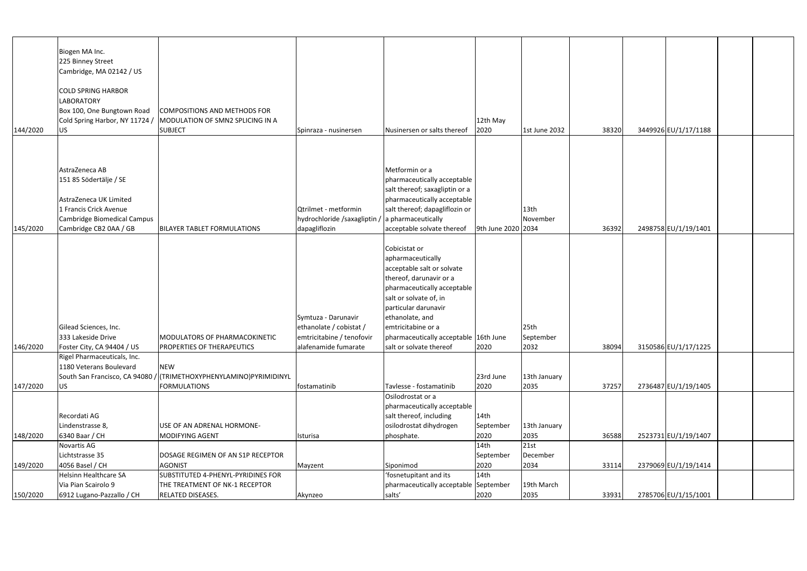|          | Biogen MA Inc.                                |                                    |                              |                                       |                    |                  |       |                      |  |
|----------|-----------------------------------------------|------------------------------------|------------------------------|---------------------------------------|--------------------|------------------|-------|----------------------|--|
|          |                                               |                                    |                              |                                       |                    |                  |       |                      |  |
|          | 225 Binney Street<br>Cambridge, MA 02142 / US |                                    |                              |                                       |                    |                  |       |                      |  |
|          |                                               |                                    |                              |                                       |                    |                  |       |                      |  |
|          |                                               |                                    |                              |                                       |                    |                  |       |                      |  |
|          | <b>COLD SPRING HARBOR</b>                     |                                    |                              |                                       |                    |                  |       |                      |  |
|          | <b>LABORATORY</b>                             |                                    |                              |                                       |                    |                  |       |                      |  |
|          | Box 100, One Bungtown Road                    | COMPOSITIONS AND METHODS FOR       |                              |                                       |                    |                  |       |                      |  |
|          | Cold Spring Harbor, NY 11724 /                | MODULATION OF SMN2 SPLICING IN A   |                              |                                       | 12th May           |                  |       |                      |  |
| 144/2020 | <b>US</b>                                     | <b>SUBJECT</b>                     | Spinraza - nusinersen        | Nusinersen or salts thereof           | 2020               | 1st June 2032    | 38320 | 3449926 EU/1/17/1188 |  |
|          |                                               |                                    |                              |                                       |                    |                  |       |                      |  |
|          |                                               |                                    |                              |                                       |                    |                  |       |                      |  |
|          |                                               |                                    |                              |                                       |                    |                  |       |                      |  |
|          | AstraZeneca AB                                |                                    |                              | Metformin or a                        |                    |                  |       |                      |  |
|          | 151 85 Södertälje / SE                        |                                    |                              | pharmaceutically acceptable           |                    |                  |       |                      |  |
|          |                                               |                                    |                              | salt thereof; saxagliptin or a        |                    |                  |       |                      |  |
|          | AstraZeneca UK Limited                        |                                    |                              | pharmaceutically acceptable           |                    |                  |       |                      |  |
|          | 1 Francis Crick Avenue                        |                                    | Qtrilmet - metformin         | salt thereof; dapagliflozin or        |                    | 13th             |       |                      |  |
|          | Cambridge Biomedical Campus                   |                                    | hydrochloride /saxagliptin / | a pharmaceutically                    |                    | November         |       |                      |  |
| 145/2020 | Cambridge CB2 0AA / GB                        | <b>BILAYER TABLET FORMULATIONS</b> | dapagliflozin                | acceptable solvate thereof            | 9th June 2020 2034 |                  | 36392 | 2498758 EU/1/19/1401 |  |
|          |                                               |                                    |                              |                                       |                    |                  |       |                      |  |
|          |                                               |                                    |                              | Cobicistat or                         |                    |                  |       |                      |  |
|          |                                               |                                    |                              | apharmaceutically                     |                    |                  |       |                      |  |
|          |                                               |                                    |                              | acceptable salt or solvate            |                    |                  |       |                      |  |
|          |                                               |                                    |                              | thereof, darunavir or a               |                    |                  |       |                      |  |
|          |                                               |                                    |                              | pharmaceutically acceptable           |                    |                  |       |                      |  |
|          |                                               |                                    |                              | salt or solvate of, in                |                    |                  |       |                      |  |
|          |                                               |                                    |                              | particular darunavir                  |                    |                  |       |                      |  |
|          |                                               |                                    | Symtuza - Darunavir          | ethanolate, and                       |                    |                  |       |                      |  |
|          | Gilead Sciences, Inc.                         |                                    | ethanolate / cobistat /      | emtricitabine or a                    |                    | 25 <sub>th</sub> |       |                      |  |
|          | 333 Lakeside Drive                            | MODULATORS OF PHARMACOKINETIC      | emtricitabine / tenofovir    | pharmaceutically acceptable 16th June |                    | September        |       |                      |  |
| 146/2020 | Foster City, CA 94404 / US                    | PROPERTIES OF THERAPEUTICS         | alafenamide fumarate         | salt or solvate thereof               | 2020               | 2032             | 38094 | 3150586 EU/1/17/1225 |  |
|          | Rigel Pharmaceuticals, Inc.                   |                                    |                              |                                       |                    |                  |       |                      |  |
|          | 1180 Veterans Boulevard                       | <b>NEW</b>                         |                              |                                       |                    |                  |       |                      |  |
|          | South San Francisco, CA 94080 /               | (TRIMETHOXYPHENYLAMINO)PYRIMIDINYL |                              |                                       | 23rd June          | 13th January     |       |                      |  |
| 147/2020 | <b>US</b>                                     | <b>FORMULATIONS</b>                | fostamatinib                 | Tavlesse - fostamatinib               | 2020               | 2035             | 37257 | 2736487 EU/1/19/1405 |  |
|          |                                               |                                    |                              | Osilodrostat or a                     |                    |                  |       |                      |  |
|          |                                               |                                    |                              | pharmaceutically acceptable           |                    |                  |       |                      |  |
|          | Recordati AG                                  |                                    |                              | salt thereof, including               | 14th               |                  |       |                      |  |
|          | Lindenstrasse 8,                              | USE OF AN ADRENAL HORMONE-         |                              | osilodrostat dihydrogen               | September          | 13th January     |       |                      |  |
| 148/2020 | 6340 Baar / CH                                | MODIFYING AGENT                    | Isturisa                     | phosphate.                            | 2020               | 2035             | 36588 | 2523731 EU/1/19/1407 |  |
|          | Novartis AG                                   |                                    |                              |                                       | 14th               | 21st             |       |                      |  |
|          | Lichtstrasse 35                               | DOSAGE REGIMEN OF AN S1P RECEPTOR  |                              |                                       | September          | December         |       |                      |  |
| 149/2020 | 4056 Basel / CH                               | <b>AGONIST</b>                     | Mayzent                      | Siponimod                             | 2020               | 2034             | 33114 | 2379069 EU/1/19/1414 |  |
|          | <b>Helsinn Healthcare SA</b>                  | SUBSTITUTED 4-PHENYL-PYRIDINES FOR |                              | 'fosnetupitant and its                | 14th               |                  |       |                      |  |
|          | Via Pian Scairolo 9                           | THE TREATMENT OF NK-1 RECEPTOR     |                              | pharmaceutically acceptable September |                    | 19th March       |       |                      |  |
| 150/2020 | 6912 Lugano-Pazzallo / CH                     | <b>RELATED DISEASES.</b>           | Akynzeo                      | salts'                                | 2020               | 2035             | 33931 | 2785706 EU/1/15/1001 |  |
|          |                                               |                                    |                              |                                       |                    |                  |       |                      |  |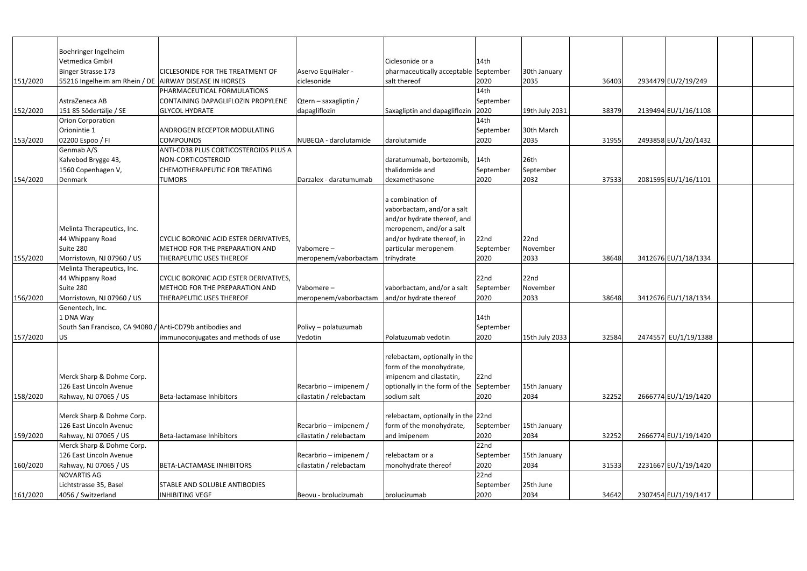| Boehringer Ingelheim<br>Vetmedica GmbH<br>Ciclesonide or a<br>14th<br>Binger Strasse 173<br>Aservo EquiHaler -<br><b>CICLESONIDE FOR THE TREATMENT OF</b><br>pharmaceutically acceptable September<br>30th January<br>151/2020<br>55216 Ingelheim am Rhein / DE   AIRWAY DISEASE IN HORSES<br>ciclesonide<br>salt thereof<br>2934479 EU/2/19/249<br>2020<br>2035<br>36403<br>14th<br>PHARMACEUTICAL FORMULATIONS<br>AstraZeneca AB<br>Qtern - saxagliptin /<br>CONTAINING DAPAGLIFLOZIN PROPYLENE<br>September<br>2139494 EU/1/16/1108<br>152/2020<br>151 85 Södertälje / SE<br>dapagliflozin<br>Saxagliptin and dapagliflozin<br>2020<br>19th July 2031<br>38379<br><b>GLYCOL HYDRATE</b><br>14th<br><b>Orion Corporation</b><br>Orionintie 1<br>30th March<br>ANDROGEN RECEPTOR MODULATING<br>September<br>2035<br>2493858 EU/1/20/1432<br>153/2020<br>02200 Espoo / FI<br>2020<br><b>COMPOUNDS</b><br>NUBEQA - darolutamide<br>darolutamide<br>31955<br>Genmab A/S<br>ANTI-CD38 PLUS CORTICOSTEROIDS PLUS A<br>26th<br>Kalvebod Brygge 43,<br>daratumumab, bortezomib,<br>14th<br>NON-CORTICOSTEROID<br>1560 Copenhagen V,<br>thalidomide and<br>CHEMOTHERAPEUTIC FOR TREATING<br>September<br>September<br>Denmark<br><b>TUMORS</b><br>dexamethasone<br>2020<br>2032<br>37533<br>2081595 EU/1/16/1101<br>154/2020<br>Darzalex - daratumumab<br>a combination of<br>vaborbactam, and/or a salt<br>and/or hydrate thereof, and<br>Melinta Therapeutics, Inc.<br>meropenem, and/or a salt<br>22nd<br>and/or hydrate thereof, in<br>44 Whippany Road<br><b>CYCLIC BORONIC ACID ESTER DERIVATIVES,</b><br>22 <sub>nd</sub><br>Suite 280<br>particular meropenem<br><b>METHOD FOR THE PREPARATION AND</b><br>Vabomere-<br>November<br>September<br>3412676 EU/1/18/1334<br>155/2020<br>Morristown, NJ 07960 / US<br>2020<br>2033<br>THERAPEUTIC USES THEREOF<br>trihydrate<br>38648<br>meropenem/vaborbactam<br>Melinta Therapeutics, Inc.<br>22nd<br>44 Whippany Road<br>CYCLIC BORONIC ACID ESTER DERIVATIVES,<br>22 <sub>nd</sub><br>Suite 280<br>vaborbactam, and/or a salt<br><b>METHOD FOR THE PREPARATION AND</b><br>Vabomere-<br>November<br>September<br>3412676 EU/1/18/1334<br>156/2020<br>Morristown, NJ 07960 / US<br>and/or hydrate thereof<br>2020<br>2033<br>38648<br><b>THERAPEUTIC USES THEREOF</b><br>meropenem/vaborbactam<br>Genentech, Inc.<br>1 DNA Way<br>14th<br>South San Francisco, CA 94080 / Anti-CD79b antibodies and<br>Polivy - polatuzumab<br>September<br>2020<br>2474557 EU/1/19/1388<br>157/2020<br><b>US</b><br>15th July 2033<br>32584<br>Vedotin<br>Polatuzumab vedotin<br>Immunoconjugates and methods of use<br>relebactam, optionally in the<br>form of the monohydrate,<br>Merck Sharp & Dohme Corp.<br>imipenem and cilastatin,<br>22nd<br>126 East Lincoln Avenue<br>Recarbrio – imipenem /<br>optionally in the form of the September<br>15th January<br>Rahway, NJ 07065 / US<br>Beta-lactamase Inhibitors<br>cilastatin / relebactam<br>2020<br>2666774 EU/1/19/1420<br>158/2020<br>sodium salt<br>2034<br>32252<br>Merck Sharp & Dohme Corp.<br>relebactam, optionally in the 22nd<br>126 East Lincoln Avenue<br>Recarbrio - imipenem /<br>form of the monohydrate,<br>15th January<br>September<br>2020<br>159/2020<br>Rahway, NJ 07065 / US<br>Beta-lactamase Inhibitors<br>cilastatin / relebactam<br>32252<br>2666774 EU/1/19/1420<br>and imipenem<br>2034 |                           |  |      |  |  |  |
|---------------------------------------------------------------------------------------------------------------------------------------------------------------------------------------------------------------------------------------------------------------------------------------------------------------------------------------------------------------------------------------------------------------------------------------------------------------------------------------------------------------------------------------------------------------------------------------------------------------------------------------------------------------------------------------------------------------------------------------------------------------------------------------------------------------------------------------------------------------------------------------------------------------------------------------------------------------------------------------------------------------------------------------------------------------------------------------------------------------------------------------------------------------------------------------------------------------------------------------------------------------------------------------------------------------------------------------------------------------------------------------------------------------------------------------------------------------------------------------------------------------------------------------------------------------------------------------------------------------------------------------------------------------------------------------------------------------------------------------------------------------------------------------------------------------------------------------------------------------------------------------------------------------------------------------------------------------------------------------------------------------------------------------------------------------------------------------------------------------------------------------------------------------------------------------------------------------------------------------------------------------------------------------------------------------------------------------------------------------------------------------------------------------------------------------------------------------------------------------------------------------------------------------------------------------------------------------------------------------------------------------------------------------------------------------------------------------------------------------------------------------------------------------------------------------------------------------------------------------------------------------------------------------------------------------------------------------------------------------------------------------------------------------------------------------------------------------------------------------------------------------------------------------------------------------------------------------------------------------------------------------------------------------------------------------------------------------------------------------------------------------------------------------|---------------------------|--|------|--|--|--|
|                                                                                                                                                                                                                                                                                                                                                                                                                                                                                                                                                                                                                                                                                                                                                                                                                                                                                                                                                                                                                                                                                                                                                                                                                                                                                                                                                                                                                                                                                                                                                                                                                                                                                                                                                                                                                                                                                                                                                                                                                                                                                                                                                                                                                                                                                                                                                                                                                                                                                                                                                                                                                                                                                                                                                                                                                                                                                                                                                                                                                                                                                                                                                                                                                                                                                                                                                                                                               |                           |  |      |  |  |  |
|                                                                                                                                                                                                                                                                                                                                                                                                                                                                                                                                                                                                                                                                                                                                                                                                                                                                                                                                                                                                                                                                                                                                                                                                                                                                                                                                                                                                                                                                                                                                                                                                                                                                                                                                                                                                                                                                                                                                                                                                                                                                                                                                                                                                                                                                                                                                                                                                                                                                                                                                                                                                                                                                                                                                                                                                                                                                                                                                                                                                                                                                                                                                                                                                                                                                                                                                                                                                               |                           |  |      |  |  |  |
|                                                                                                                                                                                                                                                                                                                                                                                                                                                                                                                                                                                                                                                                                                                                                                                                                                                                                                                                                                                                                                                                                                                                                                                                                                                                                                                                                                                                                                                                                                                                                                                                                                                                                                                                                                                                                                                                                                                                                                                                                                                                                                                                                                                                                                                                                                                                                                                                                                                                                                                                                                                                                                                                                                                                                                                                                                                                                                                                                                                                                                                                                                                                                                                                                                                                                                                                                                                                               |                           |  |      |  |  |  |
|                                                                                                                                                                                                                                                                                                                                                                                                                                                                                                                                                                                                                                                                                                                                                                                                                                                                                                                                                                                                                                                                                                                                                                                                                                                                                                                                                                                                                                                                                                                                                                                                                                                                                                                                                                                                                                                                                                                                                                                                                                                                                                                                                                                                                                                                                                                                                                                                                                                                                                                                                                                                                                                                                                                                                                                                                                                                                                                                                                                                                                                                                                                                                                                                                                                                                                                                                                                                               |                           |  |      |  |  |  |
|                                                                                                                                                                                                                                                                                                                                                                                                                                                                                                                                                                                                                                                                                                                                                                                                                                                                                                                                                                                                                                                                                                                                                                                                                                                                                                                                                                                                                                                                                                                                                                                                                                                                                                                                                                                                                                                                                                                                                                                                                                                                                                                                                                                                                                                                                                                                                                                                                                                                                                                                                                                                                                                                                                                                                                                                                                                                                                                                                                                                                                                                                                                                                                                                                                                                                                                                                                                                               |                           |  |      |  |  |  |
|                                                                                                                                                                                                                                                                                                                                                                                                                                                                                                                                                                                                                                                                                                                                                                                                                                                                                                                                                                                                                                                                                                                                                                                                                                                                                                                                                                                                                                                                                                                                                                                                                                                                                                                                                                                                                                                                                                                                                                                                                                                                                                                                                                                                                                                                                                                                                                                                                                                                                                                                                                                                                                                                                                                                                                                                                                                                                                                                                                                                                                                                                                                                                                                                                                                                                                                                                                                                               |                           |  |      |  |  |  |
|                                                                                                                                                                                                                                                                                                                                                                                                                                                                                                                                                                                                                                                                                                                                                                                                                                                                                                                                                                                                                                                                                                                                                                                                                                                                                                                                                                                                                                                                                                                                                                                                                                                                                                                                                                                                                                                                                                                                                                                                                                                                                                                                                                                                                                                                                                                                                                                                                                                                                                                                                                                                                                                                                                                                                                                                                                                                                                                                                                                                                                                                                                                                                                                                                                                                                                                                                                                                               |                           |  |      |  |  |  |
|                                                                                                                                                                                                                                                                                                                                                                                                                                                                                                                                                                                                                                                                                                                                                                                                                                                                                                                                                                                                                                                                                                                                                                                                                                                                                                                                                                                                                                                                                                                                                                                                                                                                                                                                                                                                                                                                                                                                                                                                                                                                                                                                                                                                                                                                                                                                                                                                                                                                                                                                                                                                                                                                                                                                                                                                                                                                                                                                                                                                                                                                                                                                                                                                                                                                                                                                                                                                               |                           |  |      |  |  |  |
|                                                                                                                                                                                                                                                                                                                                                                                                                                                                                                                                                                                                                                                                                                                                                                                                                                                                                                                                                                                                                                                                                                                                                                                                                                                                                                                                                                                                                                                                                                                                                                                                                                                                                                                                                                                                                                                                                                                                                                                                                                                                                                                                                                                                                                                                                                                                                                                                                                                                                                                                                                                                                                                                                                                                                                                                                                                                                                                                                                                                                                                                                                                                                                                                                                                                                                                                                                                                               |                           |  |      |  |  |  |
|                                                                                                                                                                                                                                                                                                                                                                                                                                                                                                                                                                                                                                                                                                                                                                                                                                                                                                                                                                                                                                                                                                                                                                                                                                                                                                                                                                                                                                                                                                                                                                                                                                                                                                                                                                                                                                                                                                                                                                                                                                                                                                                                                                                                                                                                                                                                                                                                                                                                                                                                                                                                                                                                                                                                                                                                                                                                                                                                                                                                                                                                                                                                                                                                                                                                                                                                                                                                               |                           |  |      |  |  |  |
|                                                                                                                                                                                                                                                                                                                                                                                                                                                                                                                                                                                                                                                                                                                                                                                                                                                                                                                                                                                                                                                                                                                                                                                                                                                                                                                                                                                                                                                                                                                                                                                                                                                                                                                                                                                                                                                                                                                                                                                                                                                                                                                                                                                                                                                                                                                                                                                                                                                                                                                                                                                                                                                                                                                                                                                                                                                                                                                                                                                                                                                                                                                                                                                                                                                                                                                                                                                                               |                           |  |      |  |  |  |
|                                                                                                                                                                                                                                                                                                                                                                                                                                                                                                                                                                                                                                                                                                                                                                                                                                                                                                                                                                                                                                                                                                                                                                                                                                                                                                                                                                                                                                                                                                                                                                                                                                                                                                                                                                                                                                                                                                                                                                                                                                                                                                                                                                                                                                                                                                                                                                                                                                                                                                                                                                                                                                                                                                                                                                                                                                                                                                                                                                                                                                                                                                                                                                                                                                                                                                                                                                                                               |                           |  |      |  |  |  |
|                                                                                                                                                                                                                                                                                                                                                                                                                                                                                                                                                                                                                                                                                                                                                                                                                                                                                                                                                                                                                                                                                                                                                                                                                                                                                                                                                                                                                                                                                                                                                                                                                                                                                                                                                                                                                                                                                                                                                                                                                                                                                                                                                                                                                                                                                                                                                                                                                                                                                                                                                                                                                                                                                                                                                                                                                                                                                                                                                                                                                                                                                                                                                                                                                                                                                                                                                                                                               |                           |  |      |  |  |  |
|                                                                                                                                                                                                                                                                                                                                                                                                                                                                                                                                                                                                                                                                                                                                                                                                                                                                                                                                                                                                                                                                                                                                                                                                                                                                                                                                                                                                                                                                                                                                                                                                                                                                                                                                                                                                                                                                                                                                                                                                                                                                                                                                                                                                                                                                                                                                                                                                                                                                                                                                                                                                                                                                                                                                                                                                                                                                                                                                                                                                                                                                                                                                                                                                                                                                                                                                                                                                               |                           |  |      |  |  |  |
|                                                                                                                                                                                                                                                                                                                                                                                                                                                                                                                                                                                                                                                                                                                                                                                                                                                                                                                                                                                                                                                                                                                                                                                                                                                                                                                                                                                                                                                                                                                                                                                                                                                                                                                                                                                                                                                                                                                                                                                                                                                                                                                                                                                                                                                                                                                                                                                                                                                                                                                                                                                                                                                                                                                                                                                                                                                                                                                                                                                                                                                                                                                                                                                                                                                                                                                                                                                                               |                           |  |      |  |  |  |
|                                                                                                                                                                                                                                                                                                                                                                                                                                                                                                                                                                                                                                                                                                                                                                                                                                                                                                                                                                                                                                                                                                                                                                                                                                                                                                                                                                                                                                                                                                                                                                                                                                                                                                                                                                                                                                                                                                                                                                                                                                                                                                                                                                                                                                                                                                                                                                                                                                                                                                                                                                                                                                                                                                                                                                                                                                                                                                                                                                                                                                                                                                                                                                                                                                                                                                                                                                                                               |                           |  |      |  |  |  |
|                                                                                                                                                                                                                                                                                                                                                                                                                                                                                                                                                                                                                                                                                                                                                                                                                                                                                                                                                                                                                                                                                                                                                                                                                                                                                                                                                                                                                                                                                                                                                                                                                                                                                                                                                                                                                                                                                                                                                                                                                                                                                                                                                                                                                                                                                                                                                                                                                                                                                                                                                                                                                                                                                                                                                                                                                                                                                                                                                                                                                                                                                                                                                                                                                                                                                                                                                                                                               |                           |  |      |  |  |  |
|                                                                                                                                                                                                                                                                                                                                                                                                                                                                                                                                                                                                                                                                                                                                                                                                                                                                                                                                                                                                                                                                                                                                                                                                                                                                                                                                                                                                                                                                                                                                                                                                                                                                                                                                                                                                                                                                                                                                                                                                                                                                                                                                                                                                                                                                                                                                                                                                                                                                                                                                                                                                                                                                                                                                                                                                                                                                                                                                                                                                                                                                                                                                                                                                                                                                                                                                                                                                               |                           |  |      |  |  |  |
|                                                                                                                                                                                                                                                                                                                                                                                                                                                                                                                                                                                                                                                                                                                                                                                                                                                                                                                                                                                                                                                                                                                                                                                                                                                                                                                                                                                                                                                                                                                                                                                                                                                                                                                                                                                                                                                                                                                                                                                                                                                                                                                                                                                                                                                                                                                                                                                                                                                                                                                                                                                                                                                                                                                                                                                                                                                                                                                                                                                                                                                                                                                                                                                                                                                                                                                                                                                                               |                           |  |      |  |  |  |
|                                                                                                                                                                                                                                                                                                                                                                                                                                                                                                                                                                                                                                                                                                                                                                                                                                                                                                                                                                                                                                                                                                                                                                                                                                                                                                                                                                                                                                                                                                                                                                                                                                                                                                                                                                                                                                                                                                                                                                                                                                                                                                                                                                                                                                                                                                                                                                                                                                                                                                                                                                                                                                                                                                                                                                                                                                                                                                                                                                                                                                                                                                                                                                                                                                                                                                                                                                                                               |                           |  |      |  |  |  |
|                                                                                                                                                                                                                                                                                                                                                                                                                                                                                                                                                                                                                                                                                                                                                                                                                                                                                                                                                                                                                                                                                                                                                                                                                                                                                                                                                                                                                                                                                                                                                                                                                                                                                                                                                                                                                                                                                                                                                                                                                                                                                                                                                                                                                                                                                                                                                                                                                                                                                                                                                                                                                                                                                                                                                                                                                                                                                                                                                                                                                                                                                                                                                                                                                                                                                                                                                                                                               |                           |  |      |  |  |  |
|                                                                                                                                                                                                                                                                                                                                                                                                                                                                                                                                                                                                                                                                                                                                                                                                                                                                                                                                                                                                                                                                                                                                                                                                                                                                                                                                                                                                                                                                                                                                                                                                                                                                                                                                                                                                                                                                                                                                                                                                                                                                                                                                                                                                                                                                                                                                                                                                                                                                                                                                                                                                                                                                                                                                                                                                                                                                                                                                                                                                                                                                                                                                                                                                                                                                                                                                                                                                               |                           |  |      |  |  |  |
|                                                                                                                                                                                                                                                                                                                                                                                                                                                                                                                                                                                                                                                                                                                                                                                                                                                                                                                                                                                                                                                                                                                                                                                                                                                                                                                                                                                                                                                                                                                                                                                                                                                                                                                                                                                                                                                                                                                                                                                                                                                                                                                                                                                                                                                                                                                                                                                                                                                                                                                                                                                                                                                                                                                                                                                                                                                                                                                                                                                                                                                                                                                                                                                                                                                                                                                                                                                                               |                           |  |      |  |  |  |
|                                                                                                                                                                                                                                                                                                                                                                                                                                                                                                                                                                                                                                                                                                                                                                                                                                                                                                                                                                                                                                                                                                                                                                                                                                                                                                                                                                                                                                                                                                                                                                                                                                                                                                                                                                                                                                                                                                                                                                                                                                                                                                                                                                                                                                                                                                                                                                                                                                                                                                                                                                                                                                                                                                                                                                                                                                                                                                                                                                                                                                                                                                                                                                                                                                                                                                                                                                                                               |                           |  |      |  |  |  |
|                                                                                                                                                                                                                                                                                                                                                                                                                                                                                                                                                                                                                                                                                                                                                                                                                                                                                                                                                                                                                                                                                                                                                                                                                                                                                                                                                                                                                                                                                                                                                                                                                                                                                                                                                                                                                                                                                                                                                                                                                                                                                                                                                                                                                                                                                                                                                                                                                                                                                                                                                                                                                                                                                                                                                                                                                                                                                                                                                                                                                                                                                                                                                                                                                                                                                                                                                                                                               |                           |  |      |  |  |  |
|                                                                                                                                                                                                                                                                                                                                                                                                                                                                                                                                                                                                                                                                                                                                                                                                                                                                                                                                                                                                                                                                                                                                                                                                                                                                                                                                                                                                                                                                                                                                                                                                                                                                                                                                                                                                                                                                                                                                                                                                                                                                                                                                                                                                                                                                                                                                                                                                                                                                                                                                                                                                                                                                                                                                                                                                                                                                                                                                                                                                                                                                                                                                                                                                                                                                                                                                                                                                               |                           |  |      |  |  |  |
|                                                                                                                                                                                                                                                                                                                                                                                                                                                                                                                                                                                                                                                                                                                                                                                                                                                                                                                                                                                                                                                                                                                                                                                                                                                                                                                                                                                                                                                                                                                                                                                                                                                                                                                                                                                                                                                                                                                                                                                                                                                                                                                                                                                                                                                                                                                                                                                                                                                                                                                                                                                                                                                                                                                                                                                                                                                                                                                                                                                                                                                                                                                                                                                                                                                                                                                                                                                                               |                           |  |      |  |  |  |
|                                                                                                                                                                                                                                                                                                                                                                                                                                                                                                                                                                                                                                                                                                                                                                                                                                                                                                                                                                                                                                                                                                                                                                                                                                                                                                                                                                                                                                                                                                                                                                                                                                                                                                                                                                                                                                                                                                                                                                                                                                                                                                                                                                                                                                                                                                                                                                                                                                                                                                                                                                                                                                                                                                                                                                                                                                                                                                                                                                                                                                                                                                                                                                                                                                                                                                                                                                                                               |                           |  |      |  |  |  |
|                                                                                                                                                                                                                                                                                                                                                                                                                                                                                                                                                                                                                                                                                                                                                                                                                                                                                                                                                                                                                                                                                                                                                                                                                                                                                                                                                                                                                                                                                                                                                                                                                                                                                                                                                                                                                                                                                                                                                                                                                                                                                                                                                                                                                                                                                                                                                                                                                                                                                                                                                                                                                                                                                                                                                                                                                                                                                                                                                                                                                                                                                                                                                                                                                                                                                                                                                                                                               |                           |  |      |  |  |  |
|                                                                                                                                                                                                                                                                                                                                                                                                                                                                                                                                                                                                                                                                                                                                                                                                                                                                                                                                                                                                                                                                                                                                                                                                                                                                                                                                                                                                                                                                                                                                                                                                                                                                                                                                                                                                                                                                                                                                                                                                                                                                                                                                                                                                                                                                                                                                                                                                                                                                                                                                                                                                                                                                                                                                                                                                                                                                                                                                                                                                                                                                                                                                                                                                                                                                                                                                                                                                               |                           |  |      |  |  |  |
|                                                                                                                                                                                                                                                                                                                                                                                                                                                                                                                                                                                                                                                                                                                                                                                                                                                                                                                                                                                                                                                                                                                                                                                                                                                                                                                                                                                                                                                                                                                                                                                                                                                                                                                                                                                                                                                                                                                                                                                                                                                                                                                                                                                                                                                                                                                                                                                                                                                                                                                                                                                                                                                                                                                                                                                                                                                                                                                                                                                                                                                                                                                                                                                                                                                                                                                                                                                                               |                           |  |      |  |  |  |
|                                                                                                                                                                                                                                                                                                                                                                                                                                                                                                                                                                                                                                                                                                                                                                                                                                                                                                                                                                                                                                                                                                                                                                                                                                                                                                                                                                                                                                                                                                                                                                                                                                                                                                                                                                                                                                                                                                                                                                                                                                                                                                                                                                                                                                                                                                                                                                                                                                                                                                                                                                                                                                                                                                                                                                                                                                                                                                                                                                                                                                                                                                                                                                                                                                                                                                                                                                                                               |                           |  |      |  |  |  |
|                                                                                                                                                                                                                                                                                                                                                                                                                                                                                                                                                                                                                                                                                                                                                                                                                                                                                                                                                                                                                                                                                                                                                                                                                                                                                                                                                                                                                                                                                                                                                                                                                                                                                                                                                                                                                                                                                                                                                                                                                                                                                                                                                                                                                                                                                                                                                                                                                                                                                                                                                                                                                                                                                                                                                                                                                                                                                                                                                                                                                                                                                                                                                                                                                                                                                                                                                                                                               |                           |  |      |  |  |  |
|                                                                                                                                                                                                                                                                                                                                                                                                                                                                                                                                                                                                                                                                                                                                                                                                                                                                                                                                                                                                                                                                                                                                                                                                                                                                                                                                                                                                                                                                                                                                                                                                                                                                                                                                                                                                                                                                                                                                                                                                                                                                                                                                                                                                                                                                                                                                                                                                                                                                                                                                                                                                                                                                                                                                                                                                                                                                                                                                                                                                                                                                                                                                                                                                                                                                                                                                                                                                               |                           |  |      |  |  |  |
|                                                                                                                                                                                                                                                                                                                                                                                                                                                                                                                                                                                                                                                                                                                                                                                                                                                                                                                                                                                                                                                                                                                                                                                                                                                                                                                                                                                                                                                                                                                                                                                                                                                                                                                                                                                                                                                                                                                                                                                                                                                                                                                                                                                                                                                                                                                                                                                                                                                                                                                                                                                                                                                                                                                                                                                                                                                                                                                                                                                                                                                                                                                                                                                                                                                                                                                                                                                                               |                           |  |      |  |  |  |
|                                                                                                                                                                                                                                                                                                                                                                                                                                                                                                                                                                                                                                                                                                                                                                                                                                                                                                                                                                                                                                                                                                                                                                                                                                                                                                                                                                                                                                                                                                                                                                                                                                                                                                                                                                                                                                                                                                                                                                                                                                                                                                                                                                                                                                                                                                                                                                                                                                                                                                                                                                                                                                                                                                                                                                                                                                                                                                                                                                                                                                                                                                                                                                                                                                                                                                                                                                                                               |                           |  |      |  |  |  |
|                                                                                                                                                                                                                                                                                                                                                                                                                                                                                                                                                                                                                                                                                                                                                                                                                                                                                                                                                                                                                                                                                                                                                                                                                                                                                                                                                                                                                                                                                                                                                                                                                                                                                                                                                                                                                                                                                                                                                                                                                                                                                                                                                                                                                                                                                                                                                                                                                                                                                                                                                                                                                                                                                                                                                                                                                                                                                                                                                                                                                                                                                                                                                                                                                                                                                                                                                                                                               |                           |  |      |  |  |  |
|                                                                                                                                                                                                                                                                                                                                                                                                                                                                                                                                                                                                                                                                                                                                                                                                                                                                                                                                                                                                                                                                                                                                                                                                                                                                                                                                                                                                                                                                                                                                                                                                                                                                                                                                                                                                                                                                                                                                                                                                                                                                                                                                                                                                                                                                                                                                                                                                                                                                                                                                                                                                                                                                                                                                                                                                                                                                                                                                                                                                                                                                                                                                                                                                                                                                                                                                                                                                               |                           |  |      |  |  |  |
|                                                                                                                                                                                                                                                                                                                                                                                                                                                                                                                                                                                                                                                                                                                                                                                                                                                                                                                                                                                                                                                                                                                                                                                                                                                                                                                                                                                                                                                                                                                                                                                                                                                                                                                                                                                                                                                                                                                                                                                                                                                                                                                                                                                                                                                                                                                                                                                                                                                                                                                                                                                                                                                                                                                                                                                                                                                                                                                                                                                                                                                                                                                                                                                                                                                                                                                                                                                                               |                           |  |      |  |  |  |
|                                                                                                                                                                                                                                                                                                                                                                                                                                                                                                                                                                                                                                                                                                                                                                                                                                                                                                                                                                                                                                                                                                                                                                                                                                                                                                                                                                                                                                                                                                                                                                                                                                                                                                                                                                                                                                                                                                                                                                                                                                                                                                                                                                                                                                                                                                                                                                                                                                                                                                                                                                                                                                                                                                                                                                                                                                                                                                                                                                                                                                                                                                                                                                                                                                                                                                                                                                                                               |                           |  |      |  |  |  |
|                                                                                                                                                                                                                                                                                                                                                                                                                                                                                                                                                                                                                                                                                                                                                                                                                                                                                                                                                                                                                                                                                                                                                                                                                                                                                                                                                                                                                                                                                                                                                                                                                                                                                                                                                                                                                                                                                                                                                                                                                                                                                                                                                                                                                                                                                                                                                                                                                                                                                                                                                                                                                                                                                                                                                                                                                                                                                                                                                                                                                                                                                                                                                                                                                                                                                                                                                                                                               |                           |  |      |  |  |  |
|                                                                                                                                                                                                                                                                                                                                                                                                                                                                                                                                                                                                                                                                                                                                                                                                                                                                                                                                                                                                                                                                                                                                                                                                                                                                                                                                                                                                                                                                                                                                                                                                                                                                                                                                                                                                                                                                                                                                                                                                                                                                                                                                                                                                                                                                                                                                                                                                                                                                                                                                                                                                                                                                                                                                                                                                                                                                                                                                                                                                                                                                                                                                                                                                                                                                                                                                                                                                               | Merck Sharp & Dohme Corp. |  | 22nd |  |  |  |
| 126 East Lincoln Avenue<br>Recarbrio - imipenem /<br>relebactam or a<br>15th January<br>September                                                                                                                                                                                                                                                                                                                                                                                                                                                                                                                                                                                                                                                                                                                                                                                                                                                                                                                                                                                                                                                                                                                                                                                                                                                                                                                                                                                                                                                                                                                                                                                                                                                                                                                                                                                                                                                                                                                                                                                                                                                                                                                                                                                                                                                                                                                                                                                                                                                                                                                                                                                                                                                                                                                                                                                                                                                                                                                                                                                                                                                                                                                                                                                                                                                                                                             |                           |  |      |  |  |  |
| 2231667 EU/1/19/1420<br>cilastatin / relebactam<br>2020<br>2034<br>160/2020<br>Rahway, NJ 07065 / US<br><b>BETA-LACTAMASE INHIBITORS</b><br>monohydrate thereof<br>31533                                                                                                                                                                                                                                                                                                                                                                                                                                                                                                                                                                                                                                                                                                                                                                                                                                                                                                                                                                                                                                                                                                                                                                                                                                                                                                                                                                                                                                                                                                                                                                                                                                                                                                                                                                                                                                                                                                                                                                                                                                                                                                                                                                                                                                                                                                                                                                                                                                                                                                                                                                                                                                                                                                                                                                                                                                                                                                                                                                                                                                                                                                                                                                                                                                      |                           |  |      |  |  |  |
| NOVARTIS AG<br>22 <sub>nd</sub>                                                                                                                                                                                                                                                                                                                                                                                                                                                                                                                                                                                                                                                                                                                                                                                                                                                                                                                                                                                                                                                                                                                                                                                                                                                                                                                                                                                                                                                                                                                                                                                                                                                                                                                                                                                                                                                                                                                                                                                                                                                                                                                                                                                                                                                                                                                                                                                                                                                                                                                                                                                                                                                                                                                                                                                                                                                                                                                                                                                                                                                                                                                                                                                                                                                                                                                                                                               |                           |  |      |  |  |  |
| Lichtstrasse 35, Basel<br>25th June<br><b>STABLE AND SOLUBLE ANTIBODIES</b><br>September                                                                                                                                                                                                                                                                                                                                                                                                                                                                                                                                                                                                                                                                                                                                                                                                                                                                                                                                                                                                                                                                                                                                                                                                                                                                                                                                                                                                                                                                                                                                                                                                                                                                                                                                                                                                                                                                                                                                                                                                                                                                                                                                                                                                                                                                                                                                                                                                                                                                                                                                                                                                                                                                                                                                                                                                                                                                                                                                                                                                                                                                                                                                                                                                                                                                                                                      |                           |  |      |  |  |  |
| 4056 / Switzerland<br>2034<br>2307454 EU/1/19/1417<br>161/2020<br><b>INHIBITING VEGF</b><br>Beovu - brolucizumab<br>2020<br>34642<br>brolucizumab                                                                                                                                                                                                                                                                                                                                                                                                                                                                                                                                                                                                                                                                                                                                                                                                                                                                                                                                                                                                                                                                                                                                                                                                                                                                                                                                                                                                                                                                                                                                                                                                                                                                                                                                                                                                                                                                                                                                                                                                                                                                                                                                                                                                                                                                                                                                                                                                                                                                                                                                                                                                                                                                                                                                                                                                                                                                                                                                                                                                                                                                                                                                                                                                                                                             |                           |  |      |  |  |  |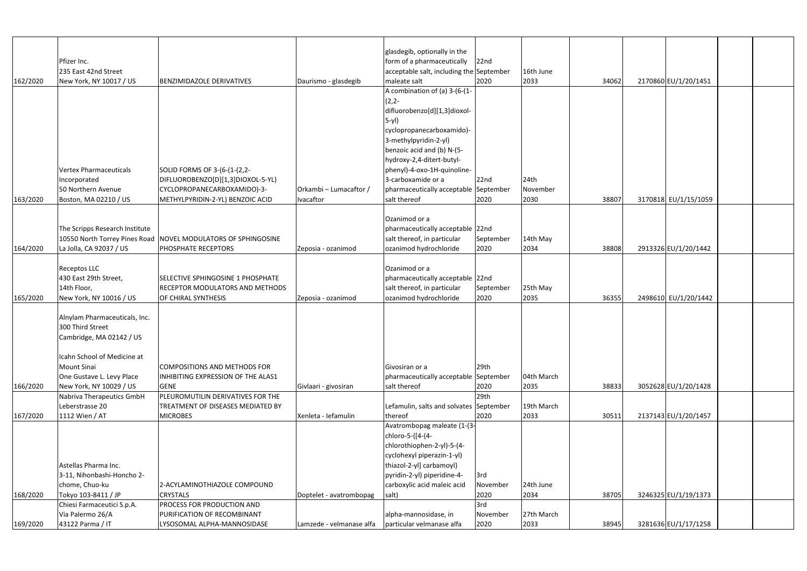|          |                                |                                                               |                          | glasdegib, optionally in the             |           |            |       |                      |  |
|----------|--------------------------------|---------------------------------------------------------------|--------------------------|------------------------------------------|-----------|------------|-------|----------------------|--|
|          | Pfizer Inc.                    |                                                               |                          | form of a pharmaceutically               | 22nd      |            |       |                      |  |
|          | 235 East 42nd Street           |                                                               |                          | acceptable salt, including the September |           | 16th June  |       |                      |  |
| 162/2020 | New York, NY 10017 / US        | <b>BENZIMIDAZOLE DERIVATIVES</b>                              | Daurismo - glasdegib     | maleate salt                             | 2020      | 2033       | 34062 | 2170860 EU/1/20/1451 |  |
|          |                                |                                                               |                          | A combination of (a) 3-(6-(1-            |           |            |       |                      |  |
|          |                                |                                                               |                          | $(2, 2 -$                                |           |            |       |                      |  |
|          |                                |                                                               |                          | difluorobenzo[d][1,3]dioxol-             |           |            |       |                      |  |
|          |                                |                                                               |                          | $5-yl$                                   |           |            |       |                      |  |
|          |                                |                                                               |                          | cyclopropanecarboxamido)-                |           |            |       |                      |  |
|          |                                |                                                               |                          | 3-methylpyridin-2-yl)                    |           |            |       |                      |  |
|          |                                |                                                               |                          | benzoic acid and (b) N-(5-               |           |            |       |                      |  |
|          |                                |                                                               |                          | hydroxy-2,4-ditert-butyl-                |           |            |       |                      |  |
|          | <b>Vertex Pharmaceuticals</b>  | SOLID FORMS OF 3-(6-(1-(2,2-                                  |                          | phenyl)-4-oxo-1H-quinoline-              |           |            |       |                      |  |
|          | ncorporated                    | DIFLUOROBENZO[D][1,3]DIOXOL-5-YL)                             |                          | 3-carboxamide or a                       | 22nd      | 24th       |       |                      |  |
|          | 50 Northern Avenue             | CYCLOPROPANECARBOXAMIDO)-3-                                   | Orkambi - Lumacaftor /   | pharmaceutically acceptable September    |           | November   |       |                      |  |
| 163/2020 | Boston, MA 02210 / US          | METHYLPYRIDIN-2-YL) BENZOIC ACID                              | Ivacaftor                | salt thereof                             | 2020      | 2030       | 38807 | 3170818 EU/1/15/1059 |  |
|          |                                |                                                               |                          |                                          |           |            |       |                      |  |
|          |                                |                                                               |                          | Ozanimod or a                            |           |            |       |                      |  |
|          | The Scripps Research Institute |                                                               |                          | pharmaceutically acceptable 22nd         |           |            |       |                      |  |
|          |                                | 10550 North Torrey Pines Road NOVEL MODULATORS OF SPHINGOSINE |                          | salt thereof, in particular              | September | 14th May   |       |                      |  |
| 164/2020 | La Jolla, CA 92037 / US        | <b>PHOSPHATE RECEPTORS</b>                                    | Zeposia - ozanimod       | ozanimod hydrochloride                   | 2020      | 2034       | 38808 | 2913326 EU/1/20/1442 |  |
|          |                                |                                                               |                          |                                          |           |            |       |                      |  |
|          | Receptos LLC                   |                                                               |                          | Ozanimod or a                            |           |            |       |                      |  |
|          | 430 East 29th Street,          | SELECTIVE SPHINGOSINE 1 PHOSPHATE                             |                          | pharmaceutically acceptable 22nd         |           |            |       |                      |  |
|          | 14th Floor,                    | <b>RECEPTOR MODULATORS AND METHODS</b>                        |                          | salt thereof, in particular              | September | 25th May   |       |                      |  |
| 165/2020 | New York, NY 10016 / US        | OF CHIRAL SYNTHESIS                                           | Zeposia - ozanimod       | ozanimod hydrochloride                   | 2020      | 2035       | 36355 | 2498610 EU/1/20/1442 |  |
|          |                                |                                                               |                          |                                          |           |            |       |                      |  |
|          | Alnylam Pharmaceuticals, Inc.  |                                                               |                          |                                          |           |            |       |                      |  |
|          | 300 Third Street               |                                                               |                          |                                          |           |            |       |                      |  |
|          | Cambridge, MA 02142 / US       |                                                               |                          |                                          |           |            |       |                      |  |
|          |                                |                                                               |                          |                                          |           |            |       |                      |  |
|          | Icahn School of Medicine at    |                                                               |                          |                                          |           |            |       |                      |  |
|          | <b>Mount Sinai</b>             | COMPOSITIONS AND METHODS FOR                                  |                          | Givosiran or a                           | 29th      |            |       |                      |  |
|          | One Gustave L. Levy Place      | INHIBITING EXPRESSION OF THE ALAS1                            |                          | pharmaceutically acceptable September    |           | 04th March |       |                      |  |
| 166/2020 | New York, NY 10029 / US        | <b>GENE</b>                                                   | Givlaari - givosiran     | salt thereof                             | 2020      | 2035       | 38833 | 3052628 EU/1/20/1428 |  |
|          | Nabriva Therapeutics GmbH      | PLEUROMUTILIN DERIVATIVES FOR THE                             |                          |                                          | 29th      |            |       |                      |  |
|          | Leberstrasse 20                | TREATMENT OF DISEASES MEDIATED BY                             |                          | Lefamulin, salts and solvates September  |           | 19th March |       |                      |  |
| 167/2020 | 1112 Wien / AT                 | <b>MICROBES</b>                                               | Xenleta - Iefamulin      | thereof                                  | 2020      | 2033       | 30511 | 2137143 EU/1/20/1457 |  |
|          |                                |                                                               |                          | Avatrombopag maleate (1-(3               |           |            |       |                      |  |
|          |                                |                                                               |                          | chloro-5-{[4-(4-                         |           |            |       |                      |  |
|          |                                |                                                               |                          | chlorothiophen-2-yl)-5-(4-               |           |            |       |                      |  |
|          |                                |                                                               |                          | cyclohexyl piperazin-1-yl)               |           |            |       |                      |  |
|          | Astellas Pharma Inc.           |                                                               |                          | thiazol-2-yl] carbamoyl}                 |           |            |       |                      |  |
|          | 3-11, Nihonbashi-Honcho 2-     |                                                               |                          | pyridin-2-yl) piperidine-4-              | 3rd       |            |       |                      |  |
|          | chome, Chuo-ku                 | 2-ACYLAMINOTHIAZOLE COMPOUND                                  |                          | carboxylic acid maleic acid              | November  | 24th June  |       |                      |  |
| 168/2020 | Tokyo 103-8411 / JP            | <b>CRYSTALS</b>                                               | Doptelet - avatrombopag  | salt)                                    | 2020      | 2034       | 38705 | 3246325 EU/1/19/1373 |  |
|          | Chiesi Farmaceutici S.p.A.     | <b>PROCESS FOR PRODUCTION AND</b>                             |                          |                                          | 3rd       |            |       |                      |  |
|          | Via Palermo 26/A               | PURIFICATION OF RECOMBINANT                                   |                          | alpha-mannosidase, in                    | November  | 27th March |       |                      |  |
| 169/2020 | 43122 Parma / IT               | LYSOSOMAL ALPHA-MANNOSIDASE                                   | Lamzede - velmanase alfa | particular velmanase alfa                | 2020      | 2033       | 38945 | 3281636 EU/1/17/1258 |  |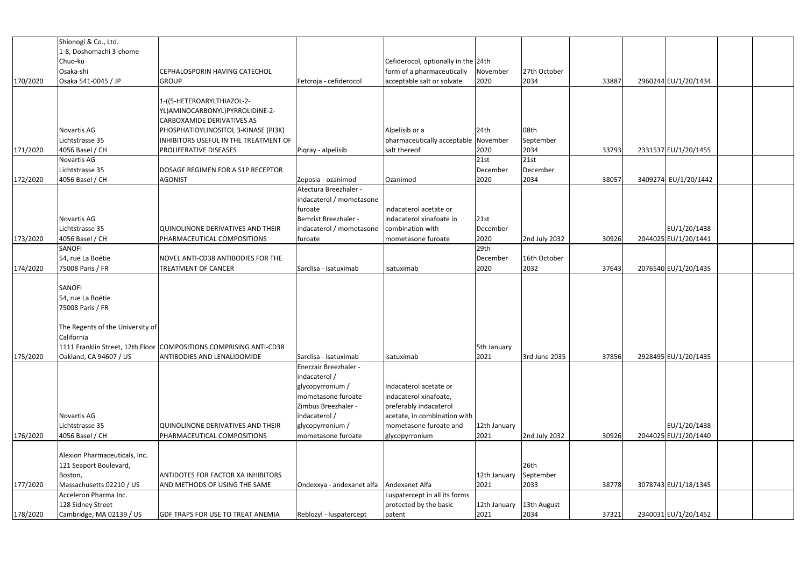|          | Shionogi & Co., Ltd.             |                                                                    |                           |                                      |              |               |       |                      |  |
|----------|----------------------------------|--------------------------------------------------------------------|---------------------------|--------------------------------------|--------------|---------------|-------|----------------------|--|
|          | 1-8, Doshomachi 3-chome          |                                                                    |                           |                                      |              |               |       |                      |  |
|          | Chuo-ku                          |                                                                    |                           | Cefiderocol, optionally in the 24th  |              |               |       |                      |  |
|          | Osaka-shi                        | CEPHALOSPORIN HAVING CATECHOL                                      |                           | form of a pharmaceutically           | November     | 27th October  |       |                      |  |
| 170/2020 | Osaka 541-0045 / JP              | <b>GROUP</b>                                                       | Fetcroja - cefiderocol    | acceptable salt or solvate           | 2020         | 2034          | 33887 | 2960244 EU/1/20/1434 |  |
|          |                                  |                                                                    |                           |                                      |              |               |       |                      |  |
|          |                                  | 1-((5-HETEROARYLTHIAZOL-2-                                         |                           |                                      |              |               |       |                      |  |
|          |                                  | YL) AMINOCARBONYL) PYRROLIDINE-2-                                  |                           |                                      |              |               |       |                      |  |
|          |                                  | CARBOXAMIDE DERIVATIVES AS                                         |                           |                                      |              |               |       |                      |  |
|          | Novartis AG                      | PHOSPHATIDYLINOSITOL 3-KINASE (PI3K)                               |                           | Alpelisib or a                       | 24th         | 08th          |       |                      |  |
|          | Lichtstrasse 35                  | INHIBITORS USEFUL IN THE TREATMENT OF                              |                           | pharmaceutically acceptable November |              | September     |       |                      |  |
| 171/2020 | 4056 Basel / CH                  | <b>PROLIFERATIVE DISEASES</b>                                      | Piqray - alpelisib        | salt thereof                         | 2020         | 2034          | 33793 | 2331537 EU/1/20/1455 |  |
|          | Novartis AG                      |                                                                    |                           |                                      | 21st         | 21st          |       |                      |  |
|          | Lichtstrasse 35                  | DOSAGE REGIMEN FOR A S1P RECEPTOR                                  |                           |                                      | December     | December      |       |                      |  |
| 172/2020 | 4056 Basel / CH                  | <b>AGONIST</b>                                                     | Zeposia - ozanimod        | Ozanimod                             | 2020         | 2034          | 38057 | 3409274 EU/1/20/1442 |  |
|          |                                  |                                                                    | Atectura Breezhaler -     |                                      |              |               |       |                      |  |
|          |                                  |                                                                    | indacaterol / mometasone  |                                      |              |               |       |                      |  |
|          |                                  |                                                                    | furoate                   | indacaterol acetate or               |              |               |       |                      |  |
|          | Novartis AG                      |                                                                    | Bemrist Breezhaler -      | indacaterol xinafoate in             | 21st         |               |       |                      |  |
|          | Lichtstrasse 35                  | QUINOLINONE DERIVATIVES AND THEIR                                  | indacaterol / mometasone  | combination with                     | December     |               |       | EU/1/20/1438 -       |  |
| 173/2020 | 4056 Basel / CH                  | PHARMACEUTICAL COMPOSITIONS                                        | furoate                   | mometasone furoate                   | 2020         | 2nd July 2032 | 30926 | 2044025 EU/1/20/1441 |  |
|          | SANOFI                           |                                                                    |                           |                                      | 29th         |               |       |                      |  |
|          | 54, rue La Boétie                | NOVEL ANTI-CD38 ANTIBODIES FOR THE                                 |                           |                                      | December     | 16th October  |       |                      |  |
| 174/2020 | 75008 Paris / FR                 | TREATMENT OF CANCER                                                | Sarclisa - isatuximab     | isatuximab                           | 2020         | 2032          | 37643 | 2076540 EU/1/20/1435 |  |
|          |                                  |                                                                    |                           |                                      |              |               |       |                      |  |
|          | <b>SANOFI</b>                    |                                                                    |                           |                                      |              |               |       |                      |  |
|          | 54, rue La Boétie                |                                                                    |                           |                                      |              |               |       |                      |  |
|          | 75008 Paris / FR                 |                                                                    |                           |                                      |              |               |       |                      |  |
|          |                                  |                                                                    |                           |                                      |              |               |       |                      |  |
|          | The Regents of the University of |                                                                    |                           |                                      |              |               |       |                      |  |
|          | California                       |                                                                    |                           |                                      |              |               |       |                      |  |
|          |                                  | 1111 Franklin Street, 12th Floor COMPOSITIONS COMPRISING ANTI-CD38 |                           |                                      | 5th January  |               |       |                      |  |
| 175/2020 | Oakland, CA 94607 / US           | <b>ANTIBODIES AND LENALIDOMIDE</b>                                 | Sarclisa - isatuximab     | isatuximab                           | 2021         | 3rd June 2035 | 37856 | 2928495 EU/1/20/1435 |  |
|          |                                  |                                                                    | Enerzair Breezhaler -     |                                      |              |               |       |                      |  |
|          |                                  |                                                                    | indacaterol /             |                                      |              |               |       |                      |  |
|          |                                  |                                                                    | glycopyrronium /          | Indacaterol acetate or               |              |               |       |                      |  |
|          |                                  |                                                                    | mometasone furoate        | indacaterol xinafoate,               |              |               |       |                      |  |
|          |                                  |                                                                    | Zimbus Breezhaler -       | preferably indacaterol               |              |               |       |                      |  |
|          | Novartis AG                      |                                                                    | indacaterol /             | acetate, in combination with         |              |               |       |                      |  |
|          | Lichtstrasse 35                  | QUINOLINONE DERIVATIVES AND THEIR                                  | glycopyrronium /          | mometasone furoate and               | 12th January |               |       | EU/1/20/1438 -       |  |
| 176/2020 | 4056 Basel / CH                  | PHARMACEUTICAL COMPOSITIONS                                        | mometasone furoate        | glycopyrronium                       | 2021         | 2nd July 2032 | 30926 | 2044025 EU/1/20/1440 |  |
|          | Alexion Pharmaceuticals, Inc.    |                                                                    |                           |                                      |              |               |       |                      |  |
|          | 121 Seaport Boulevard,           |                                                                    |                           |                                      |              | 26th          |       |                      |  |
|          | Boston,                          | <b>ANTIDOTES FOR FACTOR XA INHIBITORS</b>                          |                           |                                      | 12th January | September     |       |                      |  |
| 177/2020 | Massachusetts 02210 / US         | AND METHODS OF USING THE SAME                                      | Ondexxya - andexanet alfa | Andexanet Alfa                       | 2021         | 2033          | 38778 | 3078743 EU/1/18/1345 |  |
|          | Acceleron Pharma Inc.            |                                                                    |                           | Luspatercept in all its forms        |              |               |       |                      |  |
|          | 128 Sidney Street                |                                                                    |                           | protected by the basic               | 12th January | 13th August   |       |                      |  |
| 178/2020 | Cambridge, MA 02139 / US         | <b>GDF TRAPS FOR USE TO TREAT ANEMIA</b>                           | Reblozyl - luspatercept   | patent                               | 2021         | 2034          | 37321 | 2340031 EU/1/20/1452 |  |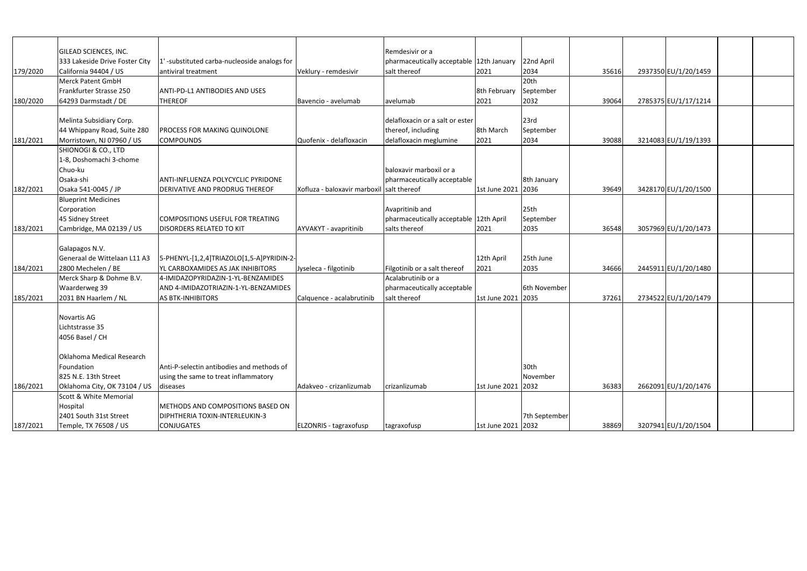|          | GILEAD SCIENCES, INC.                                             |                                             |                                           | Remdesivir or a                          |                    |                  |       |                      |  |
|----------|-------------------------------------------------------------------|---------------------------------------------|-------------------------------------------|------------------------------------------|--------------------|------------------|-------|----------------------|--|
|          | 333 Lakeside Drive Foster City                                    | 1'-substituted carba-nucleoside analogs for |                                           | pharmaceutically acceptable 12th January |                    | 22nd April       |       |                      |  |
| 179/2020 | California 94404 / US                                             | antiviral treatment                         | Veklury - remdesivir                      | salt thereof                             | 2021               | 2034             | 35616 | 2937350 EU/1/20/1459 |  |
|          | Merck Patent GmbH                                                 |                                             |                                           |                                          |                    | 20th             |       |                      |  |
|          | Frankfurter Strasse 250                                           | ANTI-PD-L1 ANTIBODIES AND USES              |                                           |                                          | 8th February       | September        |       |                      |  |
| 180/2020 | 64293 Darmstadt / DE                                              | <b>THEREOF</b>                              | Bavencio - avelumab                       | avelumab                                 | 2021               | 2032             | 39064 | 2785375 EU/1/17/1214 |  |
|          |                                                                   |                                             |                                           |                                          |                    |                  |       |                      |  |
|          | Melinta Subsidiary Corp.                                          |                                             |                                           | delafloxacin or a salt or ester          |                    | 23rd             |       |                      |  |
|          | 44 Whippany Road, Suite 280                                       | <b>PROCESS FOR MAKING QUINOLONE</b>         |                                           | thereof, including                       | 8th March          | September        |       |                      |  |
| 181/2021 | Morristown, NJ 07960 / US                                         | <b>COMPOUNDS</b>                            | Quofenix - delafloxacin                   | delafloxacin meglumine                   | 2021               | 2034             | 39088 | 3214083 EU/1/19/1393 |  |
|          | SHIONOGI & CO., LTD                                               |                                             |                                           |                                          |                    |                  |       |                      |  |
|          | 1-8, Doshomachi 3-chome                                           |                                             |                                           |                                          |                    |                  |       |                      |  |
|          | Chuo-ku                                                           |                                             |                                           | baloxavir marboxil or a                  |                    |                  |       |                      |  |
|          | Osaka-shi                                                         | <b>ANTI-INFLUENZA POLYCYCLIC PYRIDONE</b>   |                                           | pharmaceutically acceptable              |                    | 8th January      |       |                      |  |
| 182/2021 | Osaka 541-0045 / JP                                               | DERIVATIVE AND PRODRUG THEREOF              | Xofluza - baloxavir marboxil salt thereof |                                          | 1st June 2021 2036 |                  | 39649 | 3428170 EU/1/20/1500 |  |
|          | <b>Blueprint Medicines</b>                                        |                                             |                                           |                                          |                    |                  |       |                      |  |
|          | Corporation                                                       |                                             |                                           | Avapritinib and                          |                    | 25 <sub>th</sub> |       |                      |  |
|          | 45 Sidney Street                                                  | COMPOSITIONS USEFUL FOR TREATING            |                                           | pharmaceutically acceptable 12th April   |                    | September        |       |                      |  |
| 183/2021 | Cambridge, MA 02139 / US                                          | <b>DISORDERS RELATED TO KIT</b>             | <b>AYVAKYT</b> - avapritinib              | salts thereof                            | 2021               | 2035             | 36548 | 3057969 EU/1/20/1473 |  |
|          |                                                                   |                                             |                                           |                                          |                    |                  |       |                      |  |
|          | Galapagos N.V.                                                    |                                             |                                           |                                          |                    |                  |       |                      |  |
|          | Generaal de Wittelaan L11 A3                                      | 5-PHENYL-[1,2,4]TRIAZOLO[1,5-A]PYRIDIN-2-   |                                           |                                          | 12th April         | 25th June        |       |                      |  |
| 184/2021 | 2800 Mechelen / BE                                                | YL CARBOXAMIDES AS JAK INHIBITORS           | Jyseleca - filgotinib                     | Filgotinib or a salt thereof             | 2021               | 2035             | 34666 | 2445911 EU/1/20/1480 |  |
|          | Merck Sharp & Dohme B.V.                                          | 4-IMIDAZOPYRIDAZIN-1-YL-BENZAMIDES          |                                           | Acalabrutinib or a                       |                    |                  |       |                      |  |
|          | Waarderweg 39                                                     | AND 4-IMIDAZOTRIAZIN-1-YL-BENZAMIDES        |                                           | pharmaceutically acceptable              |                    | 6th November     |       |                      |  |
| 185/2021 | 2031 BN Haarlem / NL                                              | <b>AS BTK-INHIBITORS</b>                    | Calquence - acalabrutinib                 | salt thereof                             | 1st June 2021 2035 |                  | 37261 | 2734522 EU/1/20/1479 |  |
|          |                                                                   |                                             |                                           |                                          |                    |                  |       |                      |  |
|          | Novartis AG                                                       |                                             |                                           |                                          |                    |                  |       |                      |  |
|          | Lichtstrasse 35                                                   |                                             |                                           |                                          |                    |                  |       |                      |  |
|          | 4056 Basel / CH                                                   |                                             |                                           |                                          |                    |                  |       |                      |  |
|          |                                                                   |                                             |                                           |                                          |                    |                  |       |                      |  |
|          | Oklahoma Medical Research                                         |                                             |                                           |                                          |                    |                  |       |                      |  |
|          | Foundation                                                        | Anti-P-selectin antibodies and methods of   |                                           |                                          |                    | 30th             |       |                      |  |
|          | 825 N.E. 13th Street                                              | using the same to treat inflammatory        |                                           |                                          |                    | November         |       |                      |  |
|          |                                                                   |                                             | Adakveo - crizanlizumab                   | crizanlizumab                            | 1st June 2021 2032 |                  | 36383 | 2662091 EU/1/20/1476 |  |
| 186/2021 | Oklahoma City, OK 73104 / US<br><b>Scott &amp; White Memorial</b> | diseases                                    |                                           |                                          |                    |                  |       |                      |  |
|          | Hospital                                                          | METHODS AND COMPOSITIONS BASED ON           |                                           |                                          |                    |                  |       |                      |  |
|          |                                                                   | DIPHTHERIA TOXIN-INTERLEUKIN-3              |                                           |                                          |                    |                  |       |                      |  |
|          | 2401 South 31st Street                                            |                                             |                                           |                                          |                    | 7th September    |       |                      |  |
| 187/2021 | Temple, TX 76508 / US                                             | <b>CONJUGATES</b>                           | ELZONRIS - tagraxofusp                    | tagraxofusp                              | 1st June 2021 2032 |                  | 38869 | 3207941 EU/1/20/1504 |  |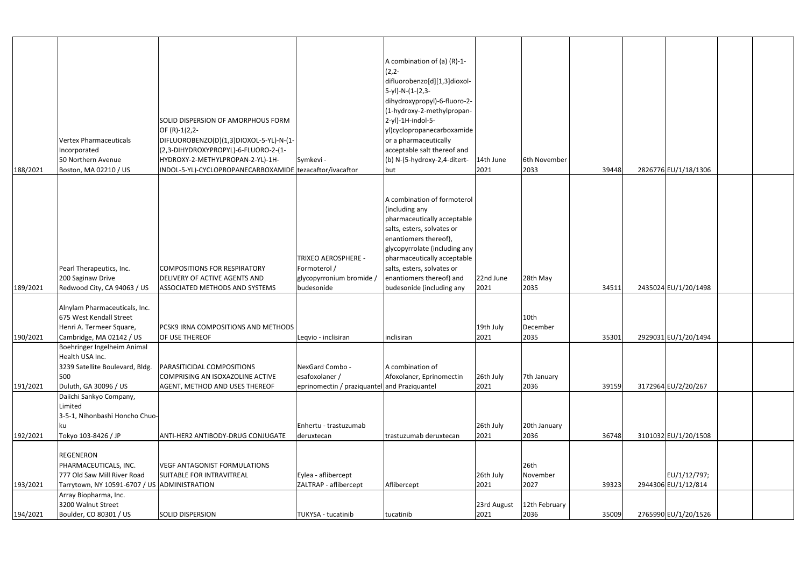|          |                                              |                                                          |                                              | A combination of (a) (R)-1-                                  |             |                  |       |                      |  |
|----------|----------------------------------------------|----------------------------------------------------------|----------------------------------------------|--------------------------------------------------------------|-------------|------------------|-------|----------------------|--|
|          |                                              |                                                          |                                              | $(2,2-$                                                      |             |                  |       |                      |  |
|          |                                              |                                                          |                                              | difluorobenzo[d][1,3]dioxol-                                 |             |                  |       |                      |  |
|          |                                              |                                                          |                                              | 5-yl)-N-(1-(2,3-                                             |             |                  |       |                      |  |
|          |                                              |                                                          |                                              | dihydroxypropyl)-6-fluoro-2-                                 |             |                  |       |                      |  |
|          |                                              |                                                          |                                              | (1-hydroxy-2-methylpropan-                                   |             |                  |       |                      |  |
|          |                                              | SOLID DISPERSION OF AMORPHOUS FORM                       |                                              | 2-yl)-1H-indol-5-                                            |             |                  |       |                      |  |
|          |                                              | OF (R)-1(2,2-                                            |                                              | yl)cyclopropanecarboxamide                                   |             |                  |       |                      |  |
|          | <b>Vertex Pharmaceuticals</b>                | DIFLUOROBENZO(D)(1,3)DIOXOL-5-YL)-N-(1-                  |                                              | or a pharmaceutically                                        |             |                  |       |                      |  |
|          | Incorporated                                 | (2,3-DIHYDROXYPROPYL)-6-FLUORO-2-(1-                     |                                              | acceptable salt thereof and                                  |             |                  |       |                      |  |
|          | 50 Northern Avenue                           | HYDROXY-2-METHYLPROPAN-2-YL)-1H-                         | Symkevi -                                    | (b) N-(5-hydroxy-2,4-ditert-                                 | 14th June   | 6th November     |       |                      |  |
| 188/2021 | Boston, MA 02210 / US                        | INDOL-5-YL)-CYCLOPROPANECARBOXAMIDE tezacaftor/ivacaftor |                                              | but                                                          | 2021        | 2033             | 39448 | 2826776 EU/1/18/1306 |  |
|          |                                              |                                                          |                                              |                                                              |             |                  |       |                      |  |
|          |                                              |                                                          |                                              |                                                              |             |                  |       |                      |  |
|          |                                              |                                                          |                                              | A combination of formoterol                                  |             |                  |       |                      |  |
|          |                                              |                                                          |                                              | (including any                                               |             |                  |       |                      |  |
|          |                                              |                                                          |                                              | pharmaceutically acceptable                                  |             |                  |       |                      |  |
|          |                                              |                                                          |                                              | salts, esters, solvates or                                   |             |                  |       |                      |  |
|          |                                              |                                                          |                                              | enantiomers thereof),                                        |             |                  |       |                      |  |
|          |                                              |                                                          | <b>TRIXEO AEROSPHERE -</b>                   | glycopyrrolate (including any<br>pharmaceutically acceptable |             |                  |       |                      |  |
|          | Pearl Therapeutics, Inc.                     | <b>COMPOSITIONS FOR RESPIRATORY</b>                      | Formoterol /                                 | salts, esters, solvates or                                   |             |                  |       |                      |  |
|          | 200 Saginaw Drive                            | DELIVERY OF ACTIVE AGENTS AND                            | glycopyrronium bromide /                     | enantiomers thereof) and                                     | 22nd June   | 28th May         |       |                      |  |
| 189/2021 | Redwood City, CA 94063 / US                  | <b>ASSOCIATED METHODS AND SYSTEMS</b>                    | budesonide                                   | budesonide (including any                                    | 2021        | 2035             | 34511 | 2435024 EU/1/20/1498 |  |
|          |                                              |                                                          |                                              |                                                              |             |                  |       |                      |  |
|          | Alnylam Pharmaceuticals, Inc.                |                                                          |                                              |                                                              |             |                  |       |                      |  |
|          | 675 West Kendall Street                      |                                                          |                                              |                                                              |             | 10 <sub>th</sub> |       |                      |  |
|          | Henri A. Termeer Square,                     | <b>PCSK9 IRNA COMPOSITIONS AND METHODS</b>               |                                              |                                                              | 19th July   | December         |       |                      |  |
| 190/2021 | Cambridge, MA 02142 / US                     | OF USE THEREOF                                           | Leqvio - inclisiran                          | inclisiran                                                   | 2021        | 2035             | 35301 | 2929031 EU/1/20/1494 |  |
|          | Boehringer Ingelheim Animal                  |                                                          |                                              |                                                              |             |                  |       |                      |  |
|          | Health USA Inc.                              |                                                          |                                              |                                                              |             |                  |       |                      |  |
|          | 3239 Satellite Boulevard, Bldg.              | <b>PARASITICIDAL COMPOSITIONS</b>                        | NexGard Combo -                              | A combination of                                             |             |                  |       |                      |  |
|          | 500                                          | COMPRISING AN ISOXAZOLINE ACTIVE                         | esafoxolaner /                               | Afoxolaner, Eprinomectin                                     | 26th July   | 7th January      |       |                      |  |
| 191/2021 | Duluth, GA 30096 / US                        | AGENT, METHOD AND USES THEREOF                           | eprinomectin / praziquantel and Praziquantel |                                                              | 2021        | 2036             | 39159 | 3172964 EU/2/20/267  |  |
|          | Daiichi Sankyo Company,                      |                                                          |                                              |                                                              |             |                  |       |                      |  |
|          | Limited                                      |                                                          |                                              |                                                              |             |                  |       |                      |  |
|          | 3-5-1, Nihonbashi Honcho Chuo-               |                                                          |                                              |                                                              |             |                  |       |                      |  |
|          |                                              |                                                          | Enhertu - trastuzumab                        |                                                              | 26th July   | 20th January     |       |                      |  |
| 192/2021 | Tokyo 103-8426 / JP                          | ANTI-HER2 ANTIBODY-DRUG CONJUGATE                        | deruxtecan                                   | trastuzumab deruxtecan                                       | 2021        | 2036             | 36748 | 3101032 EU/1/20/1508 |  |
|          | <b>REGENERON</b>                             |                                                          |                                              |                                                              |             |                  |       |                      |  |
|          | PHARMACEUTICALS, INC.                        | <b>VEGF ANTAGONIST FORMULATIONS</b>                      |                                              |                                                              |             | 26th             |       |                      |  |
|          | 777 Old Saw Mill River Road                  | SUITABLE FOR INTRAVITREAL                                | Eylea - aflibercept                          |                                                              | 26th July   | November         |       | EU/1/12/797;         |  |
| 193/2021 | Tarrytown, NY 10591-6707 / US ADMINISTRATION |                                                          | ZALTRAP - aflibercept                        | Aflibercept                                                  | 2021        | 2027             | 39323 | 2944306 EU/1/12/814  |  |
|          | Array Biopharma, Inc.                        |                                                          |                                              |                                                              |             |                  |       |                      |  |
|          | 3200 Walnut Street                           |                                                          |                                              |                                                              | 23rd August | 12th February    |       |                      |  |
| 194/2021 | Boulder, CO 80301 / US                       | <b>SOLID DISPERSION</b>                                  | TUKYSA - tucatinib                           | tucatinib                                                    | 2021        | 2036             | 35009 | 2765990 EU/1/20/1526 |  |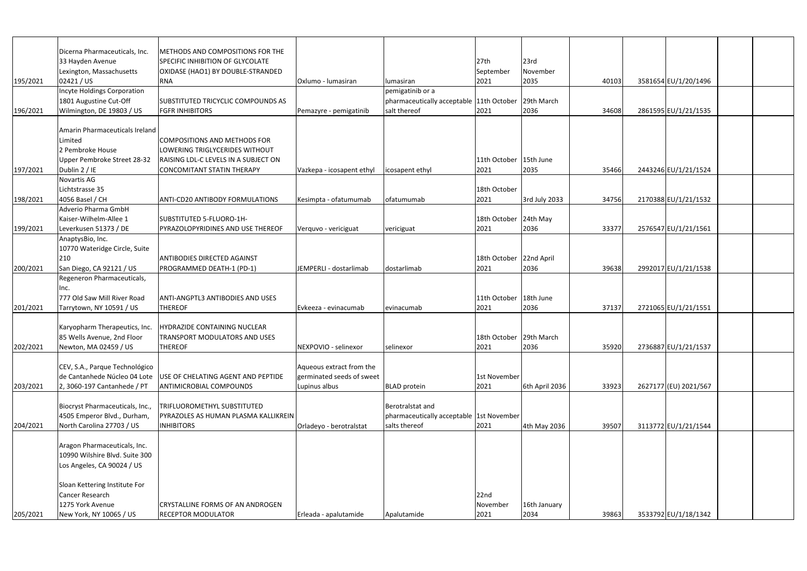|          | Dicerna Pharmaceuticals, Inc.      | METHODS AND COMPOSITIONS FOR THE                                  |                           |                                          |                         |                |       |                       |  |
|----------|------------------------------------|-------------------------------------------------------------------|---------------------------|------------------------------------------|-------------------------|----------------|-------|-----------------------|--|
|          | 33 Hayden Avenue                   | SPECIFIC INHIBITION OF GLYCOLATE                                  |                           |                                          | 27th                    | 23rd           |       |                       |  |
|          | Lexington, Massachusetts           | OXIDASE (HAO1) BY DOUBLE-STRANDED                                 |                           |                                          | September               | November       |       |                       |  |
| 195/2021 | 02421 / US                         | <b>RNA</b>                                                        | Oxlumo - lumasiran        | lumasiran                                | 2021                    | 2035           | 40103 | 3581654 EU/1/20/1496  |  |
|          | <b>Incyte Holdings Corporation</b> |                                                                   |                           | pemigatinib or a                         |                         |                |       |                       |  |
|          | 1801 Augustine Cut-Off             | <b>SUBSTITUTED TRICYCLIC COMPOUNDS AS</b>                         |                           | pharmaceutically acceptable 11th October |                         | 29th March     |       |                       |  |
| 196/2021 | Wilmington, DE 19803 / US          | <b>FGFR INHIBITORS</b>                                            | Pemazyre - pemigatinib    | salt thereof                             | 2021                    | 2036           | 34608 | 2861595 EU/1/21/1535  |  |
|          |                                    |                                                                   |                           |                                          |                         |                |       |                       |  |
|          | Amarin Pharmaceuticals Ireland     |                                                                   |                           |                                          |                         |                |       |                       |  |
|          | Limited                            | COMPOSITIONS AND METHODS FOR                                      |                           |                                          |                         |                |       |                       |  |
|          | 2 Pembroke House                   | LOWERING TRIGLYCERIDES WITHOUT                                    |                           |                                          |                         |                |       |                       |  |
|          | Upper Pembroke Street 28-32        | <b>RAISING LDL-C LEVELS IN A SUBJECT ON</b>                       |                           |                                          | 11th October 15th June  |                |       |                       |  |
| 197/2021 | Dublin 2 / IE                      | CONCOMITANT STATIN THERAPY                                        | Vazkepa - icosapent ethyl | icosapent ethyl                          | 2021                    | 2035           | 35466 | 2443246 EU/1/21/1524  |  |
|          | Novartis AG                        |                                                                   |                           |                                          |                         |                |       |                       |  |
|          | Lichtstrasse 35                    |                                                                   |                           |                                          | 18th October            |                |       |                       |  |
| 198/2021 | 4056 Basel / CH                    | <b>ANTI-CD20 ANTIBODY FORMULATIONS</b>                            | Kesimpta - ofatumumab     | ofatumumab                               | 2021                    | 3rd July 2033  | 34756 | 2170388 EU/1/21/1532  |  |
|          | Adverio Pharma GmbH                |                                                                   |                           |                                          |                         |                |       |                       |  |
|          | Kaiser-Wilhelm-Allee 1             | <b>SUBSTITUTED 5-FLUORO-1H-</b>                                   |                           |                                          | 18th October 24th May   |                |       |                       |  |
| 199/2021 | Leverkusen 51373 / DE              | PYRAZOLOPYRIDINES AND USE THEREOF                                 | Verquvo - vericiguat      | vericiguat                               | 2021                    | 2036           | 33377 | 2576547 EU/1/21/1561  |  |
|          | AnaptysBio, Inc.                   |                                                                   |                           |                                          |                         |                |       |                       |  |
|          | 10770 Wateridge Circle, Suite      |                                                                   |                           |                                          |                         |                |       |                       |  |
|          | 210                                | <b>ANTIBODIES DIRECTED AGAINST</b>                                |                           |                                          | 18th October 22nd April |                |       |                       |  |
| 200/2021 | San Diego, CA 92121 / US           | PROGRAMMED DEATH-1 (PD-1)                                         | JEMPERLI - dostarlimab    | dostarlimab                              | 2021                    | 2036           | 39638 | 2992017 EU/1/21/1538  |  |
|          | Regeneron Pharmaceuticals,         |                                                                   |                           |                                          |                         |                |       |                       |  |
|          | nc.                                |                                                                   |                           |                                          |                         |                |       |                       |  |
|          | 777 Old Saw Mill River Road        | ANTI-ANGPTL3 ANTIBODIES AND USES                                  |                           |                                          | 11th October 18th June  |                |       |                       |  |
| 201/2021 | Tarrytown, NY 10591 / US           | <b>THEREOF</b>                                                    | Evkeeza - evinacumab      | evinacumab                               | 2021                    | 2036           | 37137 | 2721065 EU/1/21/1551  |  |
|          |                                    |                                                                   |                           |                                          |                         |                |       |                       |  |
|          |                                    | Karyopharm Therapeutics, Inc.   HYDRAZIDE CONTAINING NUCLEAR      |                           |                                          |                         |                |       |                       |  |
|          | 85 Wells Avenue, 2nd Floor         | <b>TRANSPORT MODULATORS AND USES</b>                              |                           |                                          | 18th October 29th March |                |       |                       |  |
| 202/2021 | Newton, MA 02459 / US              | <b>THEREOF</b>                                                    | NEXPOVIO - selinexor      | selinexor                                | 2021                    | 2036           | 35920 | 2736887 EU/1/21/1537  |  |
|          |                                    |                                                                   |                           |                                          |                         |                |       |                       |  |
|          | CEV, S.A., Parque Technológico     |                                                                   | Aqueous extract from the  |                                          |                         |                |       |                       |  |
|          |                                    | de Cantanhede Núcleo 04 Lote   USE OF CHELATING AGENT AND PEPTIDE | germinated seeds of sweet |                                          | 1st November            |                |       |                       |  |
| 203/2021 | 2, 3060-197 Cantanhede / PT        | <b>ANTIMICROBIAL COMPOUNDS</b>                                    | Lupinus albus             | <b>BLAD</b> protein                      | 2021                    | 6th April 2036 | 33923 | 2627177 (EU) 2021/567 |  |
|          |                                    |                                                                   |                           |                                          |                         |                |       |                       |  |
|          | Biocryst Pharmaceuticals, Inc.,    | <b>TRIFLUOROMETHYL SUBSTITUTED</b>                                |                           | Berotralstat and                         |                         |                |       |                       |  |
|          | 4505 Emperor Blvd., Durham,        | PYRAZOLES AS HUMAN PLASMA KALLIKREIN                              |                           | pharmaceutically acceptable 1st November |                         |                |       |                       |  |
| 204/2021 | North Carolina 27703 / US          | <b>INHIBITORS</b>                                                 | Orladeyo - berotralstat   | salts thereof                            | 2021                    | 4th May 2036   | 39507 | 3113772 EU/1/21/1544  |  |
|          |                                    |                                                                   |                           |                                          |                         |                |       |                       |  |
|          | Aragon Pharmaceuticals, Inc.       |                                                                   |                           |                                          |                         |                |       |                       |  |
|          | 10990 Wilshire Blvd. Suite 300     |                                                                   |                           |                                          |                         |                |       |                       |  |
|          | Los Angeles, CA 90024 / US         |                                                                   |                           |                                          |                         |                |       |                       |  |
|          |                                    |                                                                   |                           |                                          |                         |                |       |                       |  |
|          | Sloan Kettering Institute For      |                                                                   |                           |                                          |                         |                |       |                       |  |
|          | Cancer Research                    |                                                                   |                           |                                          | 22nd                    |                |       |                       |  |
|          | 1275 York Avenue                   | CRYSTALLINE FORMS OF AN ANDROGEN                                  |                           |                                          | November                | 16th January   |       |                       |  |
| 205/2021 | New York, NY 10065 / US            | <b>RECEPTOR MODULATOR</b>                                         | Erleada - apalutamide     | Apalutamide                              | 2021                    | 2034           | 39863 | 3533792 EU/1/18/1342  |  |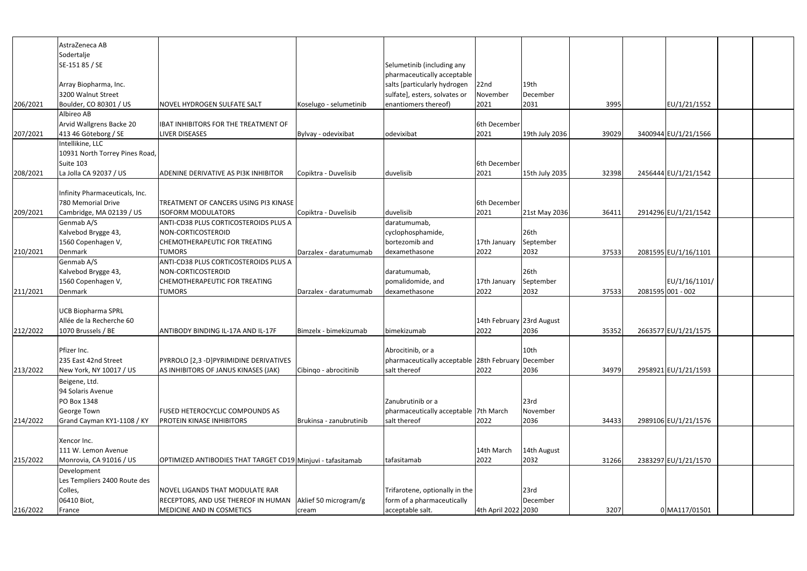| AstraZeneca AB<br>Sodertalje<br>SE-151 85 / SE<br>Selumetinib (including any<br>pharmaceutically acceptable<br>salts [particularly hydrogen<br>22 <sub>nd</sub><br>19 <sub>th</sub><br>Array Biopharma, Inc.<br>sulfate], esters, solvates or<br>3200 Walnut Street<br>December<br>November<br>enantiomers thereof)<br>2021<br>2031<br>3995<br>EU/1/21/1552<br>206/2021<br>Boulder, CO 80301 / US<br>Koselugo - selumetinib<br>NOVEL HYDROGEN SULFATE SALT<br>Albireo AB<br>Arvid Wallgrens Backe 20<br>IBAT INHIBITORS FOR THE TREATMENT OF<br>6th December<br>3400944 EU/1/21/1566<br>413 46 Göteborg / SE<br>odevixibat<br>2021<br>19th July 2036<br>39029<br>207/2021<br><b>LIVER DISEASES</b><br>Bylvay - odevixibat<br>Intellikine, LLC<br>10931 North Torrey Pines Road,<br>Suite 103<br>6th December<br>La Jolla CA 92037 / US<br>duvelisib<br>2456444 EU/1/21/1542<br>208/2021<br><b>ADENINE DERIVATIVE AS PI3K INHIBITOR</b><br>Copiktra - Duvelisib<br>2021<br>15th July 2035<br>32398<br>Infinity Pharmaceuticals, Inc.<br>780 Memorial Drive<br>6th December<br>TREATMENT OF CANCERS USING PI3 KINASE<br>2914296 EU/1/21/1542<br>duvelisib<br>2021<br>209/2021<br>Cambridge, MA 02139 / US<br><b>ISOFORM MODULATORS</b><br>Copiktra - Duvelisib<br>21st May 2036<br>36411<br>Genmab A/S<br>ANTI-CD38 PLUS CORTICOSTEROIDS PLUS A<br>daratumumab,<br>26th<br>Kalvebod Brygge 43,<br>NON-CORTICOSTEROID<br>cyclophosphamide,<br>1560 Copenhagen V,<br>bortezomib and<br>CHEMOTHERAPEUTIC FOR TREATING<br>17th January<br>September<br>dexamethasone<br>2022<br>2032<br>37533<br>2081595 EU/1/16/1101<br>210/2021<br>Denmark<br><b>TUMORS</b><br>Darzalex - daratumumab<br>Genmab A/S<br>ANTI-CD38 PLUS CORTICOSTEROIDS PLUS A<br>Kalvebod Brygge 43,<br>26th<br>NON-CORTICOSTEROID<br>daratumumab,<br>EU/1/16/1101/<br>1560 Copenhagen V,<br>September<br>CHEMOTHERAPEUTIC FOR TREATING<br>pomalidomide, and<br>17th January<br>2032<br>37533<br>2081595 001 - 002<br>211/2021<br><b>TUMORS</b><br>Darzalex - daratumumab<br>dexamethasone<br>2022<br>Denmark<br><b>UCB Biopharma SPRL</b><br>14th February 23rd August<br>Allée de la Recherche 60<br>2022<br>2036<br>35352<br>2663577 EU/1/21/1575<br>212/2022<br>1070 Brussels / BE<br>ANTIBODY BINDING IL-17A AND IL-17F<br>Bimzelx - bimekizumab<br>bimekizumab<br>Abrocitinib, or a<br>10 <sub>th</sub><br>Pfizer Inc.<br>235 East 42nd Street<br>pharmaceutically acceptable 28th February December<br>PYRROLO [2,3 -D]PYRIMIDINE DERIVATIVES<br>New York, NY 10017 / US<br>Cibingo - abrocitinib<br>salt thereof<br>2022<br>34979<br>2958921 EU/1/21/1593<br>213/2022<br>AS INHIBITORS OF JANUS KINASES (JAK)<br>2036<br>Beigene, Ltd.<br>94 Solaris Avenue<br>Zanubrutinib or a<br>23rd<br>PO Box 1348<br>George Town<br>pharmaceutically acceptable 7th March<br><b>November</b><br><b>FUSED HETEROCYCLIC COMPOUNDS AS</b><br>Grand Cayman KY1-1108 / KY<br>salt thereof<br>2022<br>2036<br>2989106 EU/1/21/1576<br>214/2022<br><b>PROTEIN KINASE INHIBITORS</b><br>34433<br>Brukinsa - zanubrutinib<br>Xencor Inc.<br>14th March<br>14th August<br>111 W. Lemon Avenue<br>2032<br>Monrovia, CA 91016 / US<br>tafasitamab<br>2022<br>2383297 EU/1/21/1570<br>215/2022<br>OPTIMIZED ANTIBODIES THAT TARGET CD19 Minjuvi - tafasitamab<br>31266<br>Development<br>Les Templiers 2400 Route des<br>Trifarotene, optionally in the<br>23rd<br>Colles,<br>NOVEL LIGANDS THAT MODULATE RAR<br>06410 Biot,<br>form of a pharmaceutically<br>RECEPTORS, AND USE THEREOF IN HUMAN<br>Aklief 50 microgram/g<br>December<br>4th April 2022 2030<br>3207<br>0 MA117/01501<br>216/2022<br>acceptable salt.<br>MEDICINE AND IN COSMETICS<br>France<br>cream |  |  |  |  |  |  |
|--------------------------------------------------------------------------------------------------------------------------------------------------------------------------------------------------------------------------------------------------------------------------------------------------------------------------------------------------------------------------------------------------------------------------------------------------------------------------------------------------------------------------------------------------------------------------------------------------------------------------------------------------------------------------------------------------------------------------------------------------------------------------------------------------------------------------------------------------------------------------------------------------------------------------------------------------------------------------------------------------------------------------------------------------------------------------------------------------------------------------------------------------------------------------------------------------------------------------------------------------------------------------------------------------------------------------------------------------------------------------------------------------------------------------------------------------------------------------------------------------------------------------------------------------------------------------------------------------------------------------------------------------------------------------------------------------------------------------------------------------------------------------------------------------------------------------------------------------------------------------------------------------------------------------------------------------------------------------------------------------------------------------------------------------------------------------------------------------------------------------------------------------------------------------------------------------------------------------------------------------------------------------------------------------------------------------------------------------------------------------------------------------------------------------------------------------------------------------------------------------------------------------------------------------------------------------------------------------------------------------------------------------------------------------------------------------------------------------------------------------------------------------------------------------------------------------------------------------------------------------------------------------------------------------------------------------------------------------------------------------------------------------------------------------------------------------------------------------------------------------------------------------------------------------------------------------------------------------------------------------------------------------------------------------------------------------------------------------------------------------------------------------------------------------------------------------------------------------------------------------------------------------------------------------------------------------------------------------------------------------------------------------------------------------------------------------------------------|--|--|--|--|--|--|
|                                                                                                                                                                                                                                                                                                                                                                                                                                                                                                                                                                                                                                                                                                                                                                                                                                                                                                                                                                                                                                                                                                                                                                                                                                                                                                                                                                                                                                                                                                                                                                                                                                                                                                                                                                                                                                                                                                                                                                                                                                                                                                                                                                                                                                                                                                                                                                                                                                                                                                                                                                                                                                                                                                                                                                                                                                                                                                                                                                                                                                                                                                                                                                                                                                                                                                                                                                                                                                                                                                                                                                                                                                                                                                                    |  |  |  |  |  |  |
|                                                                                                                                                                                                                                                                                                                                                                                                                                                                                                                                                                                                                                                                                                                                                                                                                                                                                                                                                                                                                                                                                                                                                                                                                                                                                                                                                                                                                                                                                                                                                                                                                                                                                                                                                                                                                                                                                                                                                                                                                                                                                                                                                                                                                                                                                                                                                                                                                                                                                                                                                                                                                                                                                                                                                                                                                                                                                                                                                                                                                                                                                                                                                                                                                                                                                                                                                                                                                                                                                                                                                                                                                                                                                                                    |  |  |  |  |  |  |
|                                                                                                                                                                                                                                                                                                                                                                                                                                                                                                                                                                                                                                                                                                                                                                                                                                                                                                                                                                                                                                                                                                                                                                                                                                                                                                                                                                                                                                                                                                                                                                                                                                                                                                                                                                                                                                                                                                                                                                                                                                                                                                                                                                                                                                                                                                                                                                                                                                                                                                                                                                                                                                                                                                                                                                                                                                                                                                                                                                                                                                                                                                                                                                                                                                                                                                                                                                                                                                                                                                                                                                                                                                                                                                                    |  |  |  |  |  |  |
|                                                                                                                                                                                                                                                                                                                                                                                                                                                                                                                                                                                                                                                                                                                                                                                                                                                                                                                                                                                                                                                                                                                                                                                                                                                                                                                                                                                                                                                                                                                                                                                                                                                                                                                                                                                                                                                                                                                                                                                                                                                                                                                                                                                                                                                                                                                                                                                                                                                                                                                                                                                                                                                                                                                                                                                                                                                                                                                                                                                                                                                                                                                                                                                                                                                                                                                                                                                                                                                                                                                                                                                                                                                                                                                    |  |  |  |  |  |  |
|                                                                                                                                                                                                                                                                                                                                                                                                                                                                                                                                                                                                                                                                                                                                                                                                                                                                                                                                                                                                                                                                                                                                                                                                                                                                                                                                                                                                                                                                                                                                                                                                                                                                                                                                                                                                                                                                                                                                                                                                                                                                                                                                                                                                                                                                                                                                                                                                                                                                                                                                                                                                                                                                                                                                                                                                                                                                                                                                                                                                                                                                                                                                                                                                                                                                                                                                                                                                                                                                                                                                                                                                                                                                                                                    |  |  |  |  |  |  |
|                                                                                                                                                                                                                                                                                                                                                                                                                                                                                                                                                                                                                                                                                                                                                                                                                                                                                                                                                                                                                                                                                                                                                                                                                                                                                                                                                                                                                                                                                                                                                                                                                                                                                                                                                                                                                                                                                                                                                                                                                                                                                                                                                                                                                                                                                                                                                                                                                                                                                                                                                                                                                                                                                                                                                                                                                                                                                                                                                                                                                                                                                                                                                                                                                                                                                                                                                                                                                                                                                                                                                                                                                                                                                                                    |  |  |  |  |  |  |
|                                                                                                                                                                                                                                                                                                                                                                                                                                                                                                                                                                                                                                                                                                                                                                                                                                                                                                                                                                                                                                                                                                                                                                                                                                                                                                                                                                                                                                                                                                                                                                                                                                                                                                                                                                                                                                                                                                                                                                                                                                                                                                                                                                                                                                                                                                                                                                                                                                                                                                                                                                                                                                                                                                                                                                                                                                                                                                                                                                                                                                                                                                                                                                                                                                                                                                                                                                                                                                                                                                                                                                                                                                                                                                                    |  |  |  |  |  |  |
|                                                                                                                                                                                                                                                                                                                                                                                                                                                                                                                                                                                                                                                                                                                                                                                                                                                                                                                                                                                                                                                                                                                                                                                                                                                                                                                                                                                                                                                                                                                                                                                                                                                                                                                                                                                                                                                                                                                                                                                                                                                                                                                                                                                                                                                                                                                                                                                                                                                                                                                                                                                                                                                                                                                                                                                                                                                                                                                                                                                                                                                                                                                                                                                                                                                                                                                                                                                                                                                                                                                                                                                                                                                                                                                    |  |  |  |  |  |  |
|                                                                                                                                                                                                                                                                                                                                                                                                                                                                                                                                                                                                                                                                                                                                                                                                                                                                                                                                                                                                                                                                                                                                                                                                                                                                                                                                                                                                                                                                                                                                                                                                                                                                                                                                                                                                                                                                                                                                                                                                                                                                                                                                                                                                                                                                                                                                                                                                                                                                                                                                                                                                                                                                                                                                                                                                                                                                                                                                                                                                                                                                                                                                                                                                                                                                                                                                                                                                                                                                                                                                                                                                                                                                                                                    |  |  |  |  |  |  |
|                                                                                                                                                                                                                                                                                                                                                                                                                                                                                                                                                                                                                                                                                                                                                                                                                                                                                                                                                                                                                                                                                                                                                                                                                                                                                                                                                                                                                                                                                                                                                                                                                                                                                                                                                                                                                                                                                                                                                                                                                                                                                                                                                                                                                                                                                                                                                                                                                                                                                                                                                                                                                                                                                                                                                                                                                                                                                                                                                                                                                                                                                                                                                                                                                                                                                                                                                                                                                                                                                                                                                                                                                                                                                                                    |  |  |  |  |  |  |
|                                                                                                                                                                                                                                                                                                                                                                                                                                                                                                                                                                                                                                                                                                                                                                                                                                                                                                                                                                                                                                                                                                                                                                                                                                                                                                                                                                                                                                                                                                                                                                                                                                                                                                                                                                                                                                                                                                                                                                                                                                                                                                                                                                                                                                                                                                                                                                                                                                                                                                                                                                                                                                                                                                                                                                                                                                                                                                                                                                                                                                                                                                                                                                                                                                                                                                                                                                                                                                                                                                                                                                                                                                                                                                                    |  |  |  |  |  |  |
|                                                                                                                                                                                                                                                                                                                                                                                                                                                                                                                                                                                                                                                                                                                                                                                                                                                                                                                                                                                                                                                                                                                                                                                                                                                                                                                                                                                                                                                                                                                                                                                                                                                                                                                                                                                                                                                                                                                                                                                                                                                                                                                                                                                                                                                                                                                                                                                                                                                                                                                                                                                                                                                                                                                                                                                                                                                                                                                                                                                                                                                                                                                                                                                                                                                                                                                                                                                                                                                                                                                                                                                                                                                                                                                    |  |  |  |  |  |  |
|                                                                                                                                                                                                                                                                                                                                                                                                                                                                                                                                                                                                                                                                                                                                                                                                                                                                                                                                                                                                                                                                                                                                                                                                                                                                                                                                                                                                                                                                                                                                                                                                                                                                                                                                                                                                                                                                                                                                                                                                                                                                                                                                                                                                                                                                                                                                                                                                                                                                                                                                                                                                                                                                                                                                                                                                                                                                                                                                                                                                                                                                                                                                                                                                                                                                                                                                                                                                                                                                                                                                                                                                                                                                                                                    |  |  |  |  |  |  |
|                                                                                                                                                                                                                                                                                                                                                                                                                                                                                                                                                                                                                                                                                                                                                                                                                                                                                                                                                                                                                                                                                                                                                                                                                                                                                                                                                                                                                                                                                                                                                                                                                                                                                                                                                                                                                                                                                                                                                                                                                                                                                                                                                                                                                                                                                                                                                                                                                                                                                                                                                                                                                                                                                                                                                                                                                                                                                                                                                                                                                                                                                                                                                                                                                                                                                                                                                                                                                                                                                                                                                                                                                                                                                                                    |  |  |  |  |  |  |
|                                                                                                                                                                                                                                                                                                                                                                                                                                                                                                                                                                                                                                                                                                                                                                                                                                                                                                                                                                                                                                                                                                                                                                                                                                                                                                                                                                                                                                                                                                                                                                                                                                                                                                                                                                                                                                                                                                                                                                                                                                                                                                                                                                                                                                                                                                                                                                                                                                                                                                                                                                                                                                                                                                                                                                                                                                                                                                                                                                                                                                                                                                                                                                                                                                                                                                                                                                                                                                                                                                                                                                                                                                                                                                                    |  |  |  |  |  |  |
|                                                                                                                                                                                                                                                                                                                                                                                                                                                                                                                                                                                                                                                                                                                                                                                                                                                                                                                                                                                                                                                                                                                                                                                                                                                                                                                                                                                                                                                                                                                                                                                                                                                                                                                                                                                                                                                                                                                                                                                                                                                                                                                                                                                                                                                                                                                                                                                                                                                                                                                                                                                                                                                                                                                                                                                                                                                                                                                                                                                                                                                                                                                                                                                                                                                                                                                                                                                                                                                                                                                                                                                                                                                                                                                    |  |  |  |  |  |  |
|                                                                                                                                                                                                                                                                                                                                                                                                                                                                                                                                                                                                                                                                                                                                                                                                                                                                                                                                                                                                                                                                                                                                                                                                                                                                                                                                                                                                                                                                                                                                                                                                                                                                                                                                                                                                                                                                                                                                                                                                                                                                                                                                                                                                                                                                                                                                                                                                                                                                                                                                                                                                                                                                                                                                                                                                                                                                                                                                                                                                                                                                                                                                                                                                                                                                                                                                                                                                                                                                                                                                                                                                                                                                                                                    |  |  |  |  |  |  |
|                                                                                                                                                                                                                                                                                                                                                                                                                                                                                                                                                                                                                                                                                                                                                                                                                                                                                                                                                                                                                                                                                                                                                                                                                                                                                                                                                                                                                                                                                                                                                                                                                                                                                                                                                                                                                                                                                                                                                                                                                                                                                                                                                                                                                                                                                                                                                                                                                                                                                                                                                                                                                                                                                                                                                                                                                                                                                                                                                                                                                                                                                                                                                                                                                                                                                                                                                                                                                                                                                                                                                                                                                                                                                                                    |  |  |  |  |  |  |
|                                                                                                                                                                                                                                                                                                                                                                                                                                                                                                                                                                                                                                                                                                                                                                                                                                                                                                                                                                                                                                                                                                                                                                                                                                                                                                                                                                                                                                                                                                                                                                                                                                                                                                                                                                                                                                                                                                                                                                                                                                                                                                                                                                                                                                                                                                                                                                                                                                                                                                                                                                                                                                                                                                                                                                                                                                                                                                                                                                                                                                                                                                                                                                                                                                                                                                                                                                                                                                                                                                                                                                                                                                                                                                                    |  |  |  |  |  |  |
|                                                                                                                                                                                                                                                                                                                                                                                                                                                                                                                                                                                                                                                                                                                                                                                                                                                                                                                                                                                                                                                                                                                                                                                                                                                                                                                                                                                                                                                                                                                                                                                                                                                                                                                                                                                                                                                                                                                                                                                                                                                                                                                                                                                                                                                                                                                                                                                                                                                                                                                                                                                                                                                                                                                                                                                                                                                                                                                                                                                                                                                                                                                                                                                                                                                                                                                                                                                                                                                                                                                                                                                                                                                                                                                    |  |  |  |  |  |  |
|                                                                                                                                                                                                                                                                                                                                                                                                                                                                                                                                                                                                                                                                                                                                                                                                                                                                                                                                                                                                                                                                                                                                                                                                                                                                                                                                                                                                                                                                                                                                                                                                                                                                                                                                                                                                                                                                                                                                                                                                                                                                                                                                                                                                                                                                                                                                                                                                                                                                                                                                                                                                                                                                                                                                                                                                                                                                                                                                                                                                                                                                                                                                                                                                                                                                                                                                                                                                                                                                                                                                                                                                                                                                                                                    |  |  |  |  |  |  |
|                                                                                                                                                                                                                                                                                                                                                                                                                                                                                                                                                                                                                                                                                                                                                                                                                                                                                                                                                                                                                                                                                                                                                                                                                                                                                                                                                                                                                                                                                                                                                                                                                                                                                                                                                                                                                                                                                                                                                                                                                                                                                                                                                                                                                                                                                                                                                                                                                                                                                                                                                                                                                                                                                                                                                                                                                                                                                                                                                                                                                                                                                                                                                                                                                                                                                                                                                                                                                                                                                                                                                                                                                                                                                                                    |  |  |  |  |  |  |
|                                                                                                                                                                                                                                                                                                                                                                                                                                                                                                                                                                                                                                                                                                                                                                                                                                                                                                                                                                                                                                                                                                                                                                                                                                                                                                                                                                                                                                                                                                                                                                                                                                                                                                                                                                                                                                                                                                                                                                                                                                                                                                                                                                                                                                                                                                                                                                                                                                                                                                                                                                                                                                                                                                                                                                                                                                                                                                                                                                                                                                                                                                                                                                                                                                                                                                                                                                                                                                                                                                                                                                                                                                                                                                                    |  |  |  |  |  |  |
|                                                                                                                                                                                                                                                                                                                                                                                                                                                                                                                                                                                                                                                                                                                                                                                                                                                                                                                                                                                                                                                                                                                                                                                                                                                                                                                                                                                                                                                                                                                                                                                                                                                                                                                                                                                                                                                                                                                                                                                                                                                                                                                                                                                                                                                                                                                                                                                                                                                                                                                                                                                                                                                                                                                                                                                                                                                                                                                                                                                                                                                                                                                                                                                                                                                                                                                                                                                                                                                                                                                                                                                                                                                                                                                    |  |  |  |  |  |  |
|                                                                                                                                                                                                                                                                                                                                                                                                                                                                                                                                                                                                                                                                                                                                                                                                                                                                                                                                                                                                                                                                                                                                                                                                                                                                                                                                                                                                                                                                                                                                                                                                                                                                                                                                                                                                                                                                                                                                                                                                                                                                                                                                                                                                                                                                                                                                                                                                                                                                                                                                                                                                                                                                                                                                                                                                                                                                                                                                                                                                                                                                                                                                                                                                                                                                                                                                                                                                                                                                                                                                                                                                                                                                                                                    |  |  |  |  |  |  |
|                                                                                                                                                                                                                                                                                                                                                                                                                                                                                                                                                                                                                                                                                                                                                                                                                                                                                                                                                                                                                                                                                                                                                                                                                                                                                                                                                                                                                                                                                                                                                                                                                                                                                                                                                                                                                                                                                                                                                                                                                                                                                                                                                                                                                                                                                                                                                                                                                                                                                                                                                                                                                                                                                                                                                                                                                                                                                                                                                                                                                                                                                                                                                                                                                                                                                                                                                                                                                                                                                                                                                                                                                                                                                                                    |  |  |  |  |  |  |
|                                                                                                                                                                                                                                                                                                                                                                                                                                                                                                                                                                                                                                                                                                                                                                                                                                                                                                                                                                                                                                                                                                                                                                                                                                                                                                                                                                                                                                                                                                                                                                                                                                                                                                                                                                                                                                                                                                                                                                                                                                                                                                                                                                                                                                                                                                                                                                                                                                                                                                                                                                                                                                                                                                                                                                                                                                                                                                                                                                                                                                                                                                                                                                                                                                                                                                                                                                                                                                                                                                                                                                                                                                                                                                                    |  |  |  |  |  |  |
|                                                                                                                                                                                                                                                                                                                                                                                                                                                                                                                                                                                                                                                                                                                                                                                                                                                                                                                                                                                                                                                                                                                                                                                                                                                                                                                                                                                                                                                                                                                                                                                                                                                                                                                                                                                                                                                                                                                                                                                                                                                                                                                                                                                                                                                                                                                                                                                                                                                                                                                                                                                                                                                                                                                                                                                                                                                                                                                                                                                                                                                                                                                                                                                                                                                                                                                                                                                                                                                                                                                                                                                                                                                                                                                    |  |  |  |  |  |  |
|                                                                                                                                                                                                                                                                                                                                                                                                                                                                                                                                                                                                                                                                                                                                                                                                                                                                                                                                                                                                                                                                                                                                                                                                                                                                                                                                                                                                                                                                                                                                                                                                                                                                                                                                                                                                                                                                                                                                                                                                                                                                                                                                                                                                                                                                                                                                                                                                                                                                                                                                                                                                                                                                                                                                                                                                                                                                                                                                                                                                                                                                                                                                                                                                                                                                                                                                                                                                                                                                                                                                                                                                                                                                                                                    |  |  |  |  |  |  |
|                                                                                                                                                                                                                                                                                                                                                                                                                                                                                                                                                                                                                                                                                                                                                                                                                                                                                                                                                                                                                                                                                                                                                                                                                                                                                                                                                                                                                                                                                                                                                                                                                                                                                                                                                                                                                                                                                                                                                                                                                                                                                                                                                                                                                                                                                                                                                                                                                                                                                                                                                                                                                                                                                                                                                                                                                                                                                                                                                                                                                                                                                                                                                                                                                                                                                                                                                                                                                                                                                                                                                                                                                                                                                                                    |  |  |  |  |  |  |
|                                                                                                                                                                                                                                                                                                                                                                                                                                                                                                                                                                                                                                                                                                                                                                                                                                                                                                                                                                                                                                                                                                                                                                                                                                                                                                                                                                                                                                                                                                                                                                                                                                                                                                                                                                                                                                                                                                                                                                                                                                                                                                                                                                                                                                                                                                                                                                                                                                                                                                                                                                                                                                                                                                                                                                                                                                                                                                                                                                                                                                                                                                                                                                                                                                                                                                                                                                                                                                                                                                                                                                                                                                                                                                                    |  |  |  |  |  |  |
|                                                                                                                                                                                                                                                                                                                                                                                                                                                                                                                                                                                                                                                                                                                                                                                                                                                                                                                                                                                                                                                                                                                                                                                                                                                                                                                                                                                                                                                                                                                                                                                                                                                                                                                                                                                                                                                                                                                                                                                                                                                                                                                                                                                                                                                                                                                                                                                                                                                                                                                                                                                                                                                                                                                                                                                                                                                                                                                                                                                                                                                                                                                                                                                                                                                                                                                                                                                                                                                                                                                                                                                                                                                                                                                    |  |  |  |  |  |  |
|                                                                                                                                                                                                                                                                                                                                                                                                                                                                                                                                                                                                                                                                                                                                                                                                                                                                                                                                                                                                                                                                                                                                                                                                                                                                                                                                                                                                                                                                                                                                                                                                                                                                                                                                                                                                                                                                                                                                                                                                                                                                                                                                                                                                                                                                                                                                                                                                                                                                                                                                                                                                                                                                                                                                                                                                                                                                                                                                                                                                                                                                                                                                                                                                                                                                                                                                                                                                                                                                                                                                                                                                                                                                                                                    |  |  |  |  |  |  |
|                                                                                                                                                                                                                                                                                                                                                                                                                                                                                                                                                                                                                                                                                                                                                                                                                                                                                                                                                                                                                                                                                                                                                                                                                                                                                                                                                                                                                                                                                                                                                                                                                                                                                                                                                                                                                                                                                                                                                                                                                                                                                                                                                                                                                                                                                                                                                                                                                                                                                                                                                                                                                                                                                                                                                                                                                                                                                                                                                                                                                                                                                                                                                                                                                                                                                                                                                                                                                                                                                                                                                                                                                                                                                                                    |  |  |  |  |  |  |
|                                                                                                                                                                                                                                                                                                                                                                                                                                                                                                                                                                                                                                                                                                                                                                                                                                                                                                                                                                                                                                                                                                                                                                                                                                                                                                                                                                                                                                                                                                                                                                                                                                                                                                                                                                                                                                                                                                                                                                                                                                                                                                                                                                                                                                                                                                                                                                                                                                                                                                                                                                                                                                                                                                                                                                                                                                                                                                                                                                                                                                                                                                                                                                                                                                                                                                                                                                                                                                                                                                                                                                                                                                                                                                                    |  |  |  |  |  |  |
|                                                                                                                                                                                                                                                                                                                                                                                                                                                                                                                                                                                                                                                                                                                                                                                                                                                                                                                                                                                                                                                                                                                                                                                                                                                                                                                                                                                                                                                                                                                                                                                                                                                                                                                                                                                                                                                                                                                                                                                                                                                                                                                                                                                                                                                                                                                                                                                                                                                                                                                                                                                                                                                                                                                                                                                                                                                                                                                                                                                                                                                                                                                                                                                                                                                                                                                                                                                                                                                                                                                                                                                                                                                                                                                    |  |  |  |  |  |  |
|                                                                                                                                                                                                                                                                                                                                                                                                                                                                                                                                                                                                                                                                                                                                                                                                                                                                                                                                                                                                                                                                                                                                                                                                                                                                                                                                                                                                                                                                                                                                                                                                                                                                                                                                                                                                                                                                                                                                                                                                                                                                                                                                                                                                                                                                                                                                                                                                                                                                                                                                                                                                                                                                                                                                                                                                                                                                                                                                                                                                                                                                                                                                                                                                                                                                                                                                                                                                                                                                                                                                                                                                                                                                                                                    |  |  |  |  |  |  |
|                                                                                                                                                                                                                                                                                                                                                                                                                                                                                                                                                                                                                                                                                                                                                                                                                                                                                                                                                                                                                                                                                                                                                                                                                                                                                                                                                                                                                                                                                                                                                                                                                                                                                                                                                                                                                                                                                                                                                                                                                                                                                                                                                                                                                                                                                                                                                                                                                                                                                                                                                                                                                                                                                                                                                                                                                                                                                                                                                                                                                                                                                                                                                                                                                                                                                                                                                                                                                                                                                                                                                                                                                                                                                                                    |  |  |  |  |  |  |
|                                                                                                                                                                                                                                                                                                                                                                                                                                                                                                                                                                                                                                                                                                                                                                                                                                                                                                                                                                                                                                                                                                                                                                                                                                                                                                                                                                                                                                                                                                                                                                                                                                                                                                                                                                                                                                                                                                                                                                                                                                                                                                                                                                                                                                                                                                                                                                                                                                                                                                                                                                                                                                                                                                                                                                                                                                                                                                                                                                                                                                                                                                                                                                                                                                                                                                                                                                                                                                                                                                                                                                                                                                                                                                                    |  |  |  |  |  |  |
|                                                                                                                                                                                                                                                                                                                                                                                                                                                                                                                                                                                                                                                                                                                                                                                                                                                                                                                                                                                                                                                                                                                                                                                                                                                                                                                                                                                                                                                                                                                                                                                                                                                                                                                                                                                                                                                                                                                                                                                                                                                                                                                                                                                                                                                                                                                                                                                                                                                                                                                                                                                                                                                                                                                                                                                                                                                                                                                                                                                                                                                                                                                                                                                                                                                                                                                                                                                                                                                                                                                                                                                                                                                                                                                    |  |  |  |  |  |  |
|                                                                                                                                                                                                                                                                                                                                                                                                                                                                                                                                                                                                                                                                                                                                                                                                                                                                                                                                                                                                                                                                                                                                                                                                                                                                                                                                                                                                                                                                                                                                                                                                                                                                                                                                                                                                                                                                                                                                                                                                                                                                                                                                                                                                                                                                                                                                                                                                                                                                                                                                                                                                                                                                                                                                                                                                                                                                                                                                                                                                                                                                                                                                                                                                                                                                                                                                                                                                                                                                                                                                                                                                                                                                                                                    |  |  |  |  |  |  |
|                                                                                                                                                                                                                                                                                                                                                                                                                                                                                                                                                                                                                                                                                                                                                                                                                                                                                                                                                                                                                                                                                                                                                                                                                                                                                                                                                                                                                                                                                                                                                                                                                                                                                                                                                                                                                                                                                                                                                                                                                                                                                                                                                                                                                                                                                                                                                                                                                                                                                                                                                                                                                                                                                                                                                                                                                                                                                                                                                                                                                                                                                                                                                                                                                                                                                                                                                                                                                                                                                                                                                                                                                                                                                                                    |  |  |  |  |  |  |
|                                                                                                                                                                                                                                                                                                                                                                                                                                                                                                                                                                                                                                                                                                                                                                                                                                                                                                                                                                                                                                                                                                                                                                                                                                                                                                                                                                                                                                                                                                                                                                                                                                                                                                                                                                                                                                                                                                                                                                                                                                                                                                                                                                                                                                                                                                                                                                                                                                                                                                                                                                                                                                                                                                                                                                                                                                                                                                                                                                                                                                                                                                                                                                                                                                                                                                                                                                                                                                                                                                                                                                                                                                                                                                                    |  |  |  |  |  |  |
|                                                                                                                                                                                                                                                                                                                                                                                                                                                                                                                                                                                                                                                                                                                                                                                                                                                                                                                                                                                                                                                                                                                                                                                                                                                                                                                                                                                                                                                                                                                                                                                                                                                                                                                                                                                                                                                                                                                                                                                                                                                                                                                                                                                                                                                                                                                                                                                                                                                                                                                                                                                                                                                                                                                                                                                                                                                                                                                                                                                                                                                                                                                                                                                                                                                                                                                                                                                                                                                                                                                                                                                                                                                                                                                    |  |  |  |  |  |  |
|                                                                                                                                                                                                                                                                                                                                                                                                                                                                                                                                                                                                                                                                                                                                                                                                                                                                                                                                                                                                                                                                                                                                                                                                                                                                                                                                                                                                                                                                                                                                                                                                                                                                                                                                                                                                                                                                                                                                                                                                                                                                                                                                                                                                                                                                                                                                                                                                                                                                                                                                                                                                                                                                                                                                                                                                                                                                                                                                                                                                                                                                                                                                                                                                                                                                                                                                                                                                                                                                                                                                                                                                                                                                                                                    |  |  |  |  |  |  |
|                                                                                                                                                                                                                                                                                                                                                                                                                                                                                                                                                                                                                                                                                                                                                                                                                                                                                                                                                                                                                                                                                                                                                                                                                                                                                                                                                                                                                                                                                                                                                                                                                                                                                                                                                                                                                                                                                                                                                                                                                                                                                                                                                                                                                                                                                                                                                                                                                                                                                                                                                                                                                                                                                                                                                                                                                                                                                                                                                                                                                                                                                                                                                                                                                                                                                                                                                                                                                                                                                                                                                                                                                                                                                                                    |  |  |  |  |  |  |
|                                                                                                                                                                                                                                                                                                                                                                                                                                                                                                                                                                                                                                                                                                                                                                                                                                                                                                                                                                                                                                                                                                                                                                                                                                                                                                                                                                                                                                                                                                                                                                                                                                                                                                                                                                                                                                                                                                                                                                                                                                                                                                                                                                                                                                                                                                                                                                                                                                                                                                                                                                                                                                                                                                                                                                                                                                                                                                                                                                                                                                                                                                                                                                                                                                                                                                                                                                                                                                                                                                                                                                                                                                                                                                                    |  |  |  |  |  |  |
|                                                                                                                                                                                                                                                                                                                                                                                                                                                                                                                                                                                                                                                                                                                                                                                                                                                                                                                                                                                                                                                                                                                                                                                                                                                                                                                                                                                                                                                                                                                                                                                                                                                                                                                                                                                                                                                                                                                                                                                                                                                                                                                                                                                                                                                                                                                                                                                                                                                                                                                                                                                                                                                                                                                                                                                                                                                                                                                                                                                                                                                                                                                                                                                                                                                                                                                                                                                                                                                                                                                                                                                                                                                                                                                    |  |  |  |  |  |  |